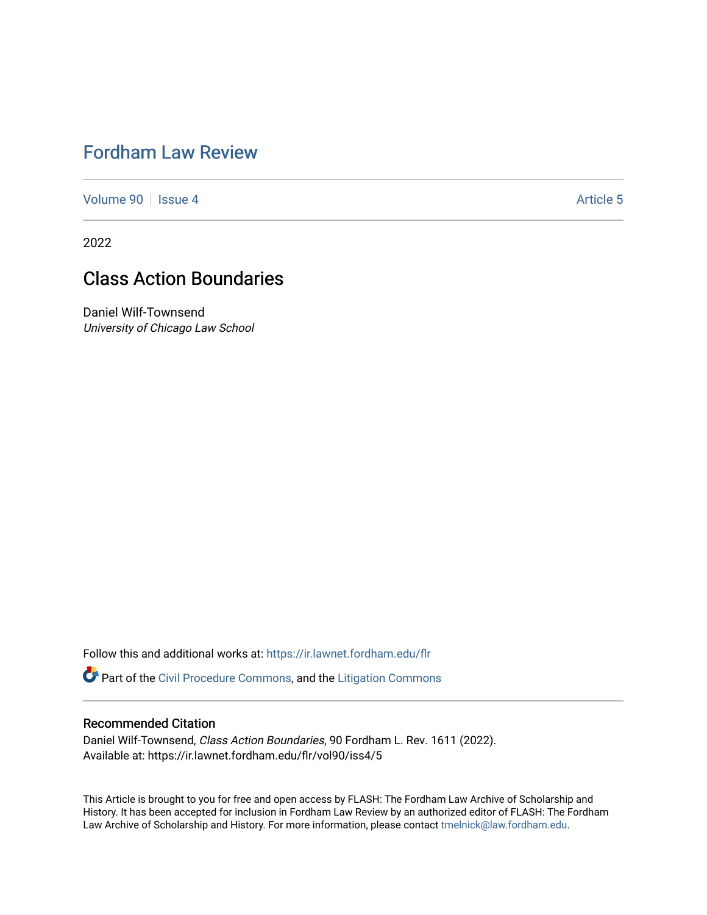# [Fordham Law Review](https://ir.lawnet.fordham.edu/flr)

[Volume 90](https://ir.lawnet.fordham.edu/flr/vol90) | [Issue 4](https://ir.lawnet.fordham.edu/flr/vol90/iss4) Article 5

2022

# Class Action Boundaries

Daniel Wilf-Townsend University of Chicago Law School

Follow this and additional works at: [https://ir.lawnet.fordham.edu/flr](https://ir.lawnet.fordham.edu/flr?utm_source=ir.lawnet.fordham.edu%2Fflr%2Fvol90%2Fiss4%2F5&utm_medium=PDF&utm_campaign=PDFCoverPages)

Part of the [Civil Procedure Commons,](http://network.bepress.com/hgg/discipline/584?utm_source=ir.lawnet.fordham.edu%2Fflr%2Fvol90%2Fiss4%2F5&utm_medium=PDF&utm_campaign=PDFCoverPages) and the [Litigation Commons](http://network.bepress.com/hgg/discipline/910?utm_source=ir.lawnet.fordham.edu%2Fflr%2Fvol90%2Fiss4%2F5&utm_medium=PDF&utm_campaign=PDFCoverPages) 

## Recommended Citation

Daniel Wilf-Townsend, Class Action Boundaries, 90 Fordham L. Rev. 1611 (2022). Available at: https://ir.lawnet.fordham.edu/flr/vol90/iss4/5

This Article is brought to you for free and open access by FLASH: The Fordham Law Archive of Scholarship and History. It has been accepted for inclusion in Fordham Law Review by an authorized editor of FLASH: The Fordham Law Archive of Scholarship and History. For more information, please contact [tmelnick@law.fordham.edu](mailto:tmelnick@law.fordham.edu).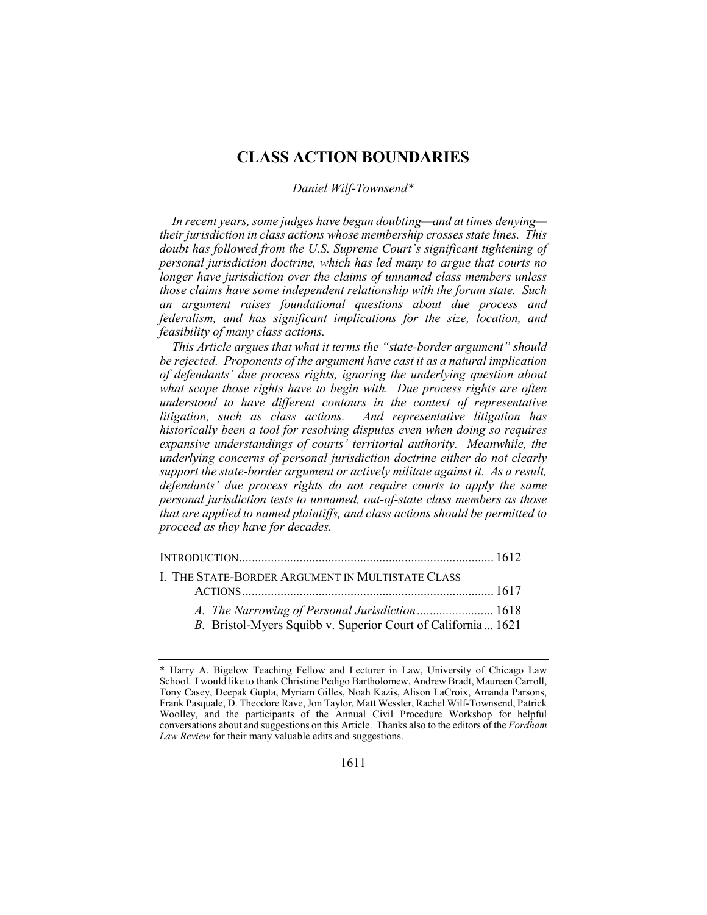## **CLASS ACTION BOUNDARIES**

## *Daniel Wilf-Townsend\**

*In recent years, some judges have begun doubting—and at times denying their jurisdiction in class actions whose membership crosses state lines. This doubt has followed from the U.S. Supreme Court's significant tightening of personal jurisdiction doctrine, which has led many to argue that courts no longer have jurisdiction over the claims of unnamed class members unless those claims have some independent relationship with the forum state. Such an argument raises foundational questions about due process and federalism, and has significant implications for the size, location, and feasibility of many class actions.*

*This Article argues that what it terms the "state-border argument" should be rejected. Proponents of the argument have cast it as a natural implication of defendants' due process rights, ignoring the underlying question about what scope those rights have to begin with. Due process rights are often understood to have different contours in the context of representative litigation, such as class actions. And representative litigation has historically been a tool for resolving disputes even when doing so requires expansive understandings of courts' territorial authority. Meanwhile, the underlying concerns of personal jurisdiction doctrine either do not clearly support the state-border argument or actively militate against it. As a result, defendants' due process rights do not require courts to apply the same personal jurisdiction tests to unnamed, out-of-state class members as those that are applied to named plaintiffs, and class actions should be permitted to proceed as they have for decades.*

| L. THE STATE-BORDER ARGUMENT IN MULTISTATE CLASS             |  |
|--------------------------------------------------------------|--|
|                                                              |  |
| A. The Narrowing of Personal Jurisdiction 1618               |  |
| B. Bristol-Myers Squibb v. Superior Court of California 1621 |  |

<sup>\*</sup> Harry A. Bigelow Teaching Fellow and Lecturer in Law, University of Chicago Law School. I would like to thank Christine Pedigo Bartholomew, Andrew Bradt, Maureen Carroll, Tony Casey, Deepak Gupta, Myriam Gilles, Noah Kazis, Alison LaCroix, Amanda Parsons, Frank Pasquale, D. Theodore Rave, Jon Taylor, Matt Wessler, Rachel Wilf-Townsend, Patrick Woolley, and the participants of the Annual Civil Procedure Workshop for helpful conversations about and suggestions on this Article. Thanks also to the editors of the *Fordham Law Review* for their many valuable edits and suggestions.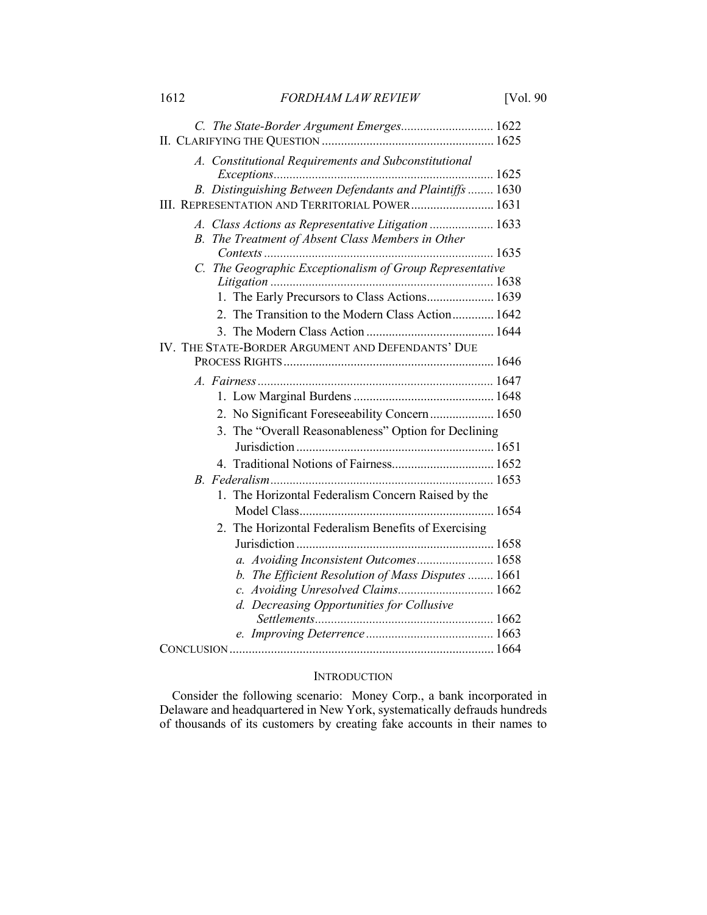| 1612 | <b>FORDHAM LAW REVIEW</b> | [Vol. 90] |
|------|---------------------------|-----------|
|      |                           |           |

| C. The State-Border Argument Emerges 1622                |  |
|----------------------------------------------------------|--|
|                                                          |  |
| A. Constitutional Requirements and Subconstitutional     |  |
| B. Distinguishing Between Defendants and Plaintiffs 1630 |  |
| III. REPRESENTATION AND TERRITORIAL POWER 1631           |  |
|                                                          |  |
| A. Class Actions as Representative Litigation  1633      |  |
| B. The Treatment of Absent Class Members in Other        |  |
| C. The Geographic Exceptionalism of Group Representative |  |
|                                                          |  |
| 1. The Early Precursors to Class Actions 1639            |  |
| 2. The Transition to the Modern Class Action 1642        |  |
|                                                          |  |
| IV. THE STATE-BORDER ARGUMENT AND DEFENDANTS' DUE        |  |
|                                                          |  |
|                                                          |  |
|                                                          |  |
| 2. No Significant Foreseeability Concern  1650           |  |
| The "Overall Reasonableness" Option for Declining<br>3.  |  |
|                                                          |  |
| 4. Traditional Notions of Fairness 1652                  |  |
|                                                          |  |
| 1. The Horizontal Federalism Concern Raised by the       |  |
|                                                          |  |
| The Horizontal Federalism Benefits of Exercising         |  |
|                                                          |  |
| a. Avoiding Inconsistent Outcomes 1658                   |  |
| b. The Efficient Resolution of Mass Disputes  1661       |  |
| c. Avoiding Unresolved Claims 1662                       |  |
| d. Decreasing Opportunities for Collusive                |  |
|                                                          |  |
|                                                          |  |
|                                                          |  |

## **INTRODUCTION**

Consider the following scenario: Money Corp., a bank incorporated in Delaware and headquartered in New York, systematically defrauds hundreds of thousands of its customers by creating fake accounts in their names to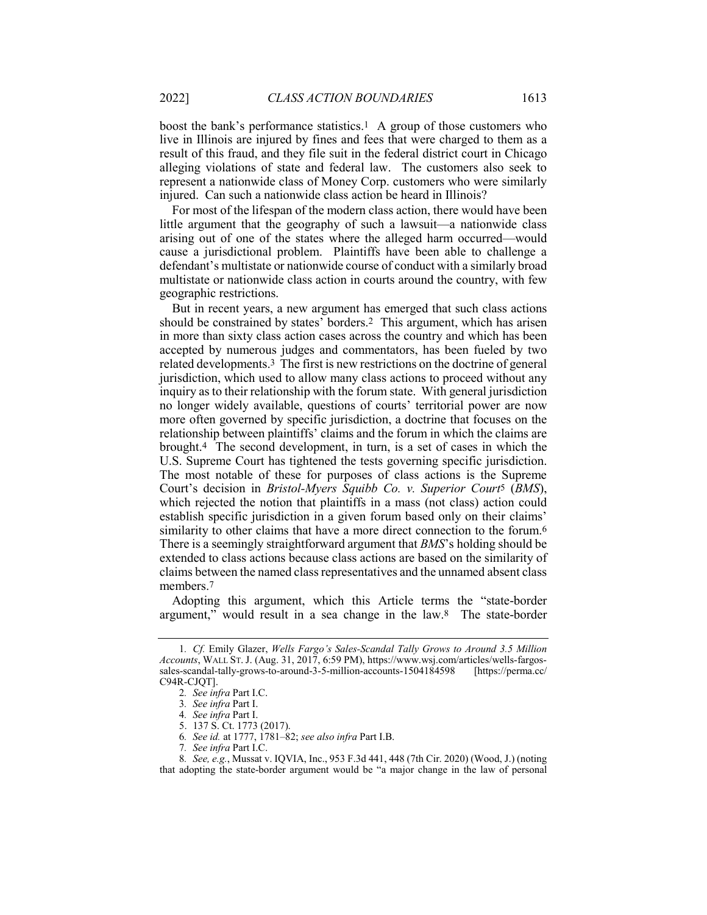boost the bank's performance statistics.1 A group of those customers who live in Illinois are injured by fines and fees that were charged to them as a result of this fraud, and they file suit in the federal district court in Chicago alleging violations of state and federal law. The customers also seek to represent a nationwide class of Money Corp. customers who were similarly injured. Can such a nationwide class action be heard in Illinois?

For most of the lifespan of the modern class action, there would have been little argument that the geography of such a lawsuit—a nationwide class arising out of one of the states where the alleged harm occurred—would cause a jurisdictional problem. Plaintiffs have been able to challenge a defendant's multistate or nationwide course of conduct with a similarly broad multistate or nationwide class action in courts around the country, with few geographic restrictions.

But in recent years, a new argument has emerged that such class actions should be constrained by states' borders.2 This argument, which has arisen in more than sixty class action cases across the country and which has been accepted by numerous judges and commentators, has been fueled by two related developments.3 The first is new restrictions on the doctrine of general jurisdiction, which used to allow many class actions to proceed without any inquiry as to their relationship with the forum state. With general jurisdiction no longer widely available, questions of courts' territorial power are now more often governed by specific jurisdiction, a doctrine that focuses on the relationship between plaintiffs' claims and the forum in which the claims are brought.4 The second development, in turn, is a set of cases in which the U.S. Supreme Court has tightened the tests governing specific jurisdiction. The most notable of these for purposes of class actions is the Supreme Court's decision in *Bristol-Myers Squibb Co. v. Superior Court*5 (*BMS*), which rejected the notion that plaintiffs in a mass (not class) action could establish specific jurisdiction in a given forum based only on their claims' similarity to other claims that have a more direct connection to the forum.<sup>6</sup> There is a seemingly straightforward argument that *BMS*'s holding should be extended to class actions because class actions are based on the similarity of claims between the named class representatives and the unnamed absent class members.7

Adopting this argument, which this Article terms the "state-border argument," would result in a sea change in the law.8 The state-border

<sup>1</sup>*. Cf.* Emily Glazer, *Wells Fargo's Sales-Scandal Tally Grows to Around 3.5 Million Accounts*, WALL ST. J. (Aug. 31, 2017, 6:59 PM), https://www.wsj.com/articles/wells-fargossales-scandal-tally-grows-to-around-3-5-million-accounts-1504184598 [https://perma.cc/ C94R-CJQT].

<sup>2</sup>*. See infra* Part I.C.

<sup>3</sup>*. See infra* Part I.

<sup>4</sup>*. See infra* Part I.

<sup>5.</sup> 137 S. Ct. 1773 (2017).

<sup>6</sup>*. See id.* at 1777, 1781–82; *see also infra* Part I.B.

<sup>7</sup>*. See infra* Part I.C.

<sup>8</sup>*. See, e.g.*, Mussat v. IQVIA, Inc., 953 F.3d 441, 448 (7th Cir. 2020) (Wood, J.) (noting that adopting the state-border argument would be "a major change in the law of personal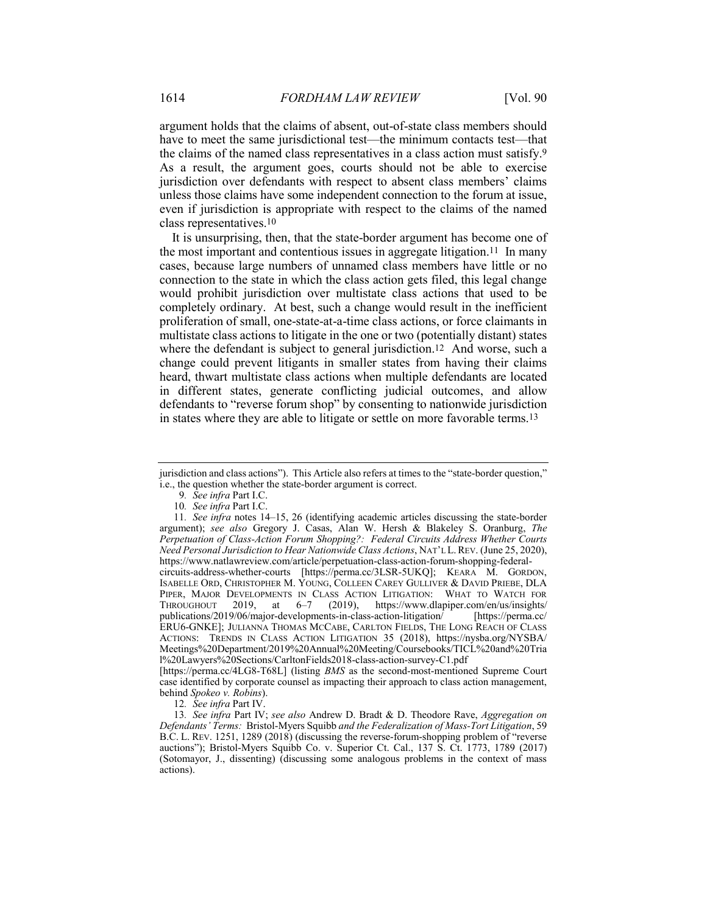argument holds that the claims of absent, out-of-state class members should have to meet the same jurisdictional test—the minimum contacts test—that the claims of the named class representatives in a class action must satisfy.9 As a result, the argument goes, courts should not be able to exercise jurisdiction over defendants with respect to absent class members' claims unless those claims have some independent connection to the forum at issue, even if jurisdiction is appropriate with respect to the claims of the named class representatives.10

It is unsurprising, then, that the state-border argument has become one of the most important and contentious issues in aggregate litigation.11 In many cases, because large numbers of unnamed class members have little or no connection to the state in which the class action gets filed, this legal change would prohibit jurisdiction over multistate class actions that used to be completely ordinary. At best, such a change would result in the inefficient proliferation of small, one-state-at-a-time class actions, or force claimants in multistate class actions to litigate in the one or two (potentially distant) states where the defendant is subject to general jurisdiction.<sup>12</sup> And worse, such a change could prevent litigants in smaller states from having their claims heard, thwart multistate class actions when multiple defendants are located in different states, generate conflicting judicial outcomes, and allow defendants to "reverse forum shop" by consenting to nationwide jurisdiction in states where they are able to litigate or settle on more favorable terms.13

12*. See infra* Part IV.

jurisdiction and class actions"). This Article also refers at times to the "state-border question," i.e., the question whether the state-border argument is correct.

<sup>9</sup>*. See infra* Part I.C.

<sup>10</sup>*. See infra* Part I.C.

<sup>11</sup>*. See infra* notes 14–15, 26 (identifying academic articles discussing the state-border argument); *see also* Gregory J. Casas, Alan W. Hersh & Blakeley S. Oranburg, *The Perpetuation of Class-Action Forum Shopping?: Federal Circuits Address Whether Courts Need Personal Jurisdiction to Hear Nationwide Class Actions*, NAT'L L.REV. (June 25, 2020), https://www.natlawreview.com/article/perpetuation-class-action-forum-shopping-federalcircuits-address-whether-courts [https://perma.cc/3LSR-5UKQ]; KEARA M. GORDON, ISABELLE ORD, CHRISTOPHER M. YOUNG, COLLEEN CAREY GULLIVER & DAVID PRIEBE, DLA PIPER, MAJOR DEVELOPMENTS IN CLASS ACTION LITIGATION: WHAT TO WATCH FOR THROUGHOUT 2019, at 6-7 (2019), https://www.dlapiper.com/en/us/insights/ https://www.dlapiper.com/en/us/insights/

publications/2019/06/major-developments-in-class-action-litigation/ [https://perma.cc/ ERU6-GNKE]; JULIANNA THOMAS MCCABE, CARLTON FIELDS, THE LONG REACH OF CLASS ACTIONS: TRENDS IN CLASS ACTION LITIGATION 35 (2018), https://nysba.org/NYSBA/ Meetings%20Department/2019%20Annual%20Meeting/Coursebooks/TICL%20and%20Tria l%20Lawyers%20Sections/CarltonFields2018-class-action-survey-C1.pdf

<sup>[</sup>https://perma.cc/4LG8-T68L] (listing *BMS* as the second-most-mentioned Supreme Court case identified by corporate counsel as impacting their approach to class action management, behind *Spokeo v. Robins*).

<sup>13</sup>*. See infra* Part IV; *see also* Andrew D. Bradt & D. Theodore Rave, *Aggregation on Defendants' Terms:* Bristol-Myers Squibb *and the Federalization of Mass-Tort Litigation*, 59 B.C. L. REV. 1251, 1289 (2018) (discussing the reverse-forum-shopping problem of "reverse auctions"); Bristol-Myers Squibb Co. v. Superior Ct. Cal., 137 S. Ct. 1773, 1789 (2017) (Sotomayor, J., dissenting) (discussing some analogous problems in the context of mass actions).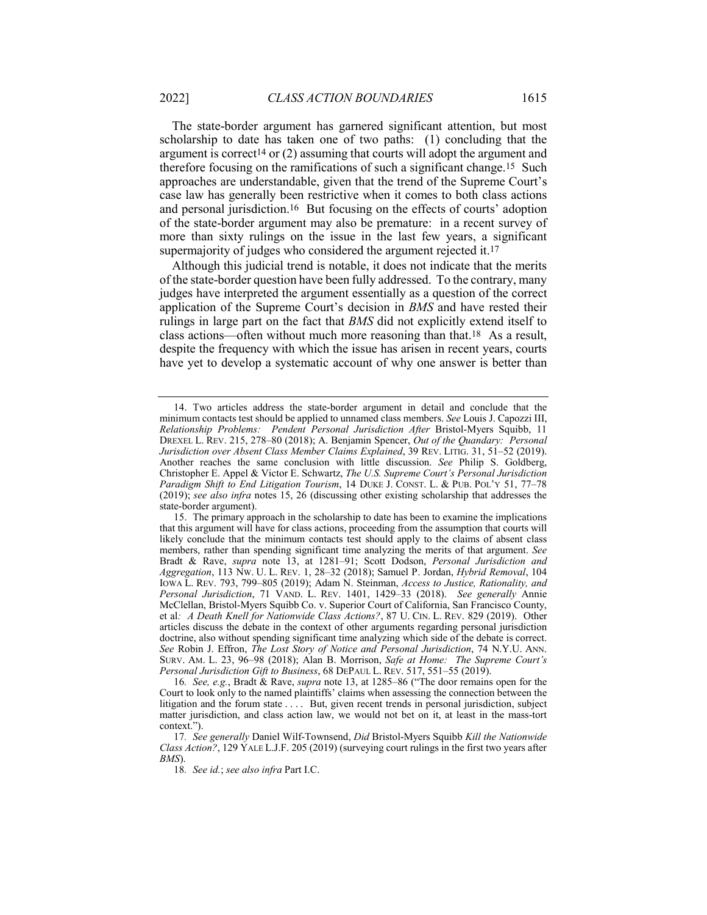The state-border argument has garnered significant attention, but most scholarship to date has taken one of two paths: (1) concluding that the argument is correct<sup>14</sup> or  $(2)$  assuming that courts will adopt the argument and therefore focusing on the ramifications of such a significant change.15 Such approaches are understandable, given that the trend of the Supreme Court's case law has generally been restrictive when it comes to both class actions and personal jurisdiction.16 But focusing on the effects of courts' adoption of the state-border argument may also be premature: in a recent survey of more than sixty rulings on the issue in the last few years, a significant supermajority of judges who considered the argument rejected it.<sup>17</sup>

Although this judicial trend is notable, it does not indicate that the merits of the state-border question have been fully addressed. To the contrary, many judges have interpreted the argument essentially as a question of the correct application of the Supreme Court's decision in *BMS* and have rested their rulings in large part on the fact that *BMS* did not explicitly extend itself to class actions—often without much more reasoning than that.18 As a result, despite the frequency with which the issue has arisen in recent years, courts have yet to develop a systematic account of why one answer is better than

16*. See, e.g.*, Bradt & Rave, *supra* note 13, at 1285–86 ("The door remains open for the Court to look only to the named plaintiffs' claims when assessing the connection between the litigation and the forum state . . . . But, given recent trends in personal jurisdiction, subject matter jurisdiction, and class action law, we would not bet on it, at least in the mass-tort context.").

18*. See id.*; *see also infra* Part I.C.

<sup>14.</sup> Two articles address the state-border argument in detail and conclude that the minimum contacts test should be applied to unnamed class members. *See* Louis J. Capozzi III, *Relationship Problems: Pendent Personal Jurisdiction After* Bristol-Myers Squibb, 11 DREXEL L. REV. 215, 278–80 (2018); A. Benjamin Spencer, *Out of the Quandary: Personal Jurisdiction over Absent Class Member Claims Explained*, 39 REV. LITIG. 31, 51–52 (2019). Another reaches the same conclusion with little discussion. *See* Philip S. Goldberg, Christopher E. Appel & Victor E. Schwartz, *The U.S. Supreme Court's Personal Jurisdiction Paradigm Shift to End Litigation Tourism*, 14 DUKE J. CONST. L. & PUB. POL'Y 51, 77–78 (2019); *see also infra* notes 15, 26 (discussing other existing scholarship that addresses the state-border argument).

<sup>15.</sup> The primary approach in the scholarship to date has been to examine the implications that this argument will have for class actions, proceeding from the assumption that courts will likely conclude that the minimum contacts test should apply to the claims of absent class members, rather than spending significant time analyzing the merits of that argument. *See* Bradt & Rave, *supra* note 13, at 1281–91; Scott Dodson, *Personal Jurisdiction and Aggregation*, 113 NW. U. L. REV. 1, 28–32 (2018); Samuel P. Jordan, *Hybrid Removal*, 104 IOWA L. REV. 793, 799–805 (2019); Adam N. Steinman, *Access to Justice, Rationality, and Personal Jurisdiction*, 71 VAND. L. REV. 1401, 1429–33 (2018). *See generally* Annie McClellan, Bristol-Myers Squibb Co. v. Superior Court of California, San Francisco County, et al*: A Death Knell for Nationwide Class Actions?*, 87 U. CIN. L. REV. 829 (2019). Other articles discuss the debate in the context of other arguments regarding personal jurisdiction doctrine, also without spending significant time analyzing which side of the debate is correct. *See* Robin J. Effron, *The Lost Story of Notice and Personal Jurisdiction*, 74 N.Y.U. ANN. SURV. AM. L. 23, 96–98 (2018); Alan B. Morrison, *Safe at Home: The Supreme Court's Personal Jurisdiction Gift to Business*, 68 DEPAUL L. REV. 517, 551–55 (2019).

<sup>17</sup>*. See generally* Daniel Wilf-Townsend, *Did* Bristol-Myers Squibb *Kill the Nationwide Class Action?*, 129 YALE L.J.F. 205 (2019) (surveying court rulings in the first two years after *BMS*).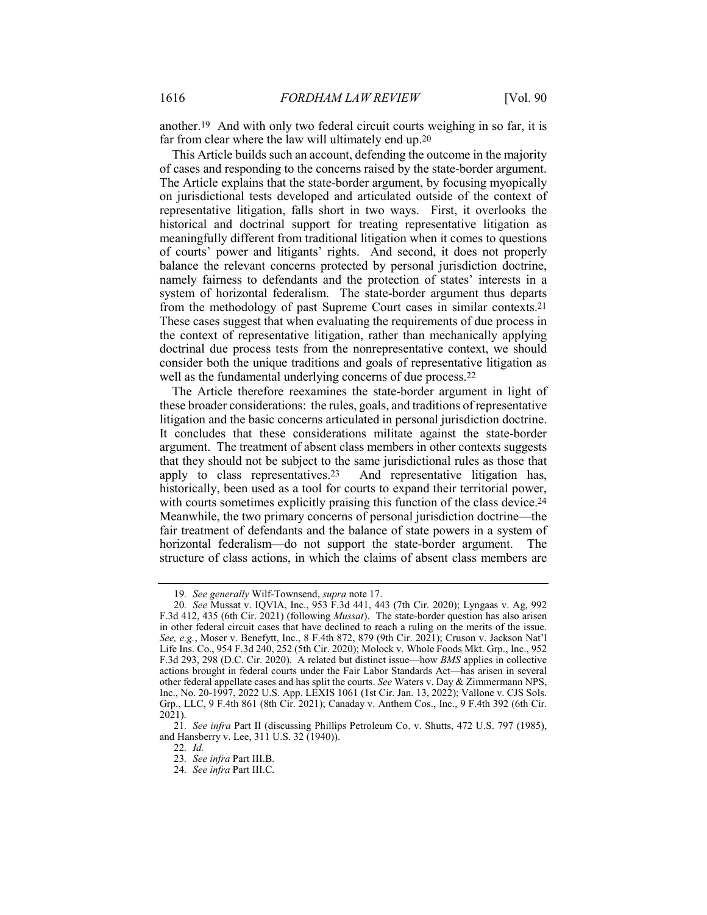another.19 And with only two federal circuit courts weighing in so far, it is far from clear where the law will ultimately end up.20

This Article builds such an account, defending the outcome in the majority of cases and responding to the concerns raised by the state-border argument. The Article explains that the state-border argument, by focusing myopically on jurisdictional tests developed and articulated outside of the context of representative litigation, falls short in two ways. First, it overlooks the historical and doctrinal support for treating representative litigation as meaningfully different from traditional litigation when it comes to questions of courts' power and litigants' rights. And second, it does not properly balance the relevant concerns protected by personal jurisdiction doctrine, namely fairness to defendants and the protection of states' interests in a system of horizontal federalism. The state-border argument thus departs from the methodology of past Supreme Court cases in similar contexts.21 These cases suggest that when evaluating the requirements of due process in the context of representative litigation, rather than mechanically applying doctrinal due process tests from the nonrepresentative context, we should consider both the unique traditions and goals of representative litigation as well as the fundamental underlying concerns of due process.22

The Article therefore reexamines the state-border argument in light of these broader considerations: the rules, goals, and traditions of representative litigation and the basic concerns articulated in personal jurisdiction doctrine. It concludes that these considerations militate against the state-border argument. The treatment of absent class members in other contexts suggests that they should not be subject to the same jurisdictional rules as those that apply to class representatives.23 And representative litigation has, historically, been used as a tool for courts to expand their territorial power, with courts sometimes explicitly praising this function of the class device.<sup>24</sup> Meanwhile, the two primary concerns of personal jurisdiction doctrine—the fair treatment of defendants and the balance of state powers in a system of horizontal federalism—do not support the state-border argument. The structure of class actions, in which the claims of absent class members are

<sup>19</sup>*. See generally* Wilf-Townsend, *supra* note 17.

<sup>20</sup>*. See* Mussat v. IQVIA, Inc., 953 F.3d 441, 443 (7th Cir. 2020); Lyngaas v. Ag, 992 F.3d 412, 435 (6th Cir. 2021) (following *Mussat*). The state-border question has also arisen in other federal circuit cases that have declined to reach a ruling on the merits of the issue. *See, e.g.*, Moser v. Benefytt, Inc., 8 F.4th 872, 879 (9th Cir. 2021); Cruson v. Jackson Nat'l Life Ins. Co., 954 F.3d 240, 252 (5th Cir. 2020); Molock v. Whole Foods Mkt. Grp., Inc., 952 F.3d 293, 298 (D.C. Cir. 2020). A related but distinct issue—how *BMS* applies in collective actions brought in federal courts under the Fair Labor Standards Act—has arisen in several other federal appellate cases and has split the courts. *See* Waters v. Day & Zimmermann NPS, Inc., No. 20-1997, 2022 U.S. App. LEXIS 1061 (1st Cir. Jan. 13, 2022); Vallone v. CJS Sols. Grp., LLC, 9 F.4th 861 (8th Cir. 2021); Canaday v. Anthem Cos., Inc., 9 F.4th 392 (6th Cir. 2021).

<sup>21</sup>*. See infra* Part II (discussing Phillips Petroleum Co. v. Shutts, 472 U.S. 797 (1985), and Hansberry v. Lee, 311 U.S. 32 (1940)).

<sup>22</sup>*. Id.*

<sup>23</sup>*. See infra* Part III.B.

<sup>24</sup>*. See infra* Part III.C.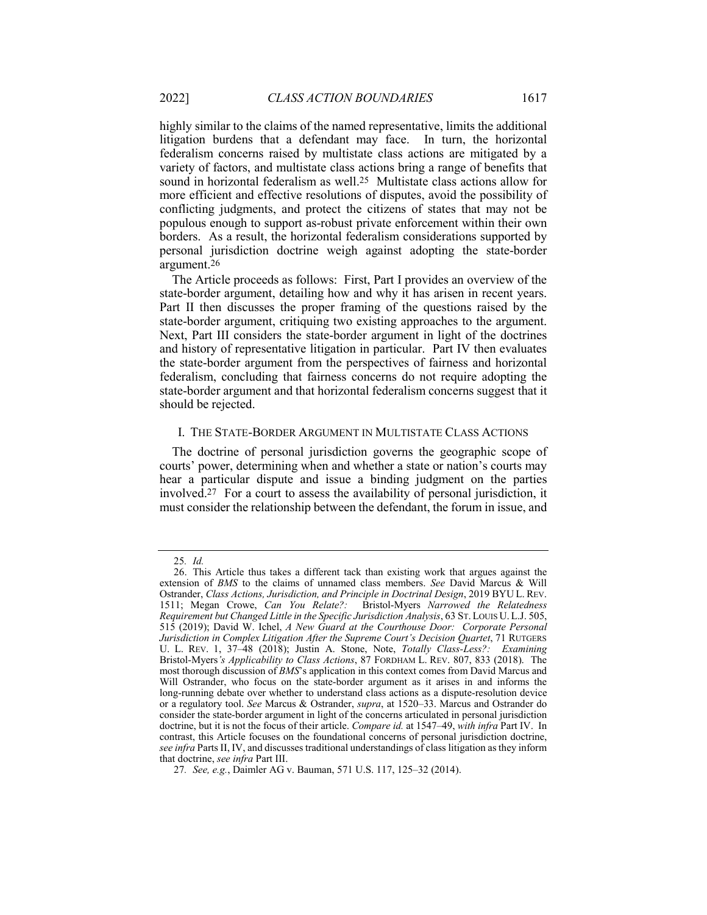variety of factors, and multistate class actions bring a range of benefits that sound in horizontal federalism as well.25 Multistate class actions allow for more efficient and effective resolutions of disputes, avoid the possibility of conflicting judgments, and protect the citizens of states that may not be populous enough to support as-robust private enforcement within their own borders. As a result, the horizontal federalism considerations supported by personal jurisdiction doctrine weigh against adopting the state-border argument.26

The Article proceeds as follows: First, Part I provides an overview of the state-border argument, detailing how and why it has arisen in recent years. Part II then discusses the proper framing of the questions raised by the state-border argument, critiquing two existing approaches to the argument. Next, Part III considers the state-border argument in light of the doctrines and history of representative litigation in particular. Part IV then evaluates the state-border argument from the perspectives of fairness and horizontal federalism, concluding that fairness concerns do not require adopting the state-border argument and that horizontal federalism concerns suggest that it should be rejected.

## I. THE STATE-BORDER ARGUMENT IN MULTISTATE CLASS ACTIONS

The doctrine of personal jurisdiction governs the geographic scope of courts' power, determining when and whether a state or nation's courts may hear a particular dispute and issue a binding judgment on the parties involved.27 For a court to assess the availability of personal jurisdiction, it must consider the relationship between the defendant, the forum in issue, and

<sup>25</sup>*. Id.*

<sup>26.</sup> This Article thus takes a different tack than existing work that argues against the extension of *BMS* to the claims of unnamed class members. *See* David Marcus & Will Ostrander, *Class Actions, Jurisdiction, and Principle in Doctrinal Design*, 2019 BYU L. REV.<br>1511; Megan Crowe, *Can You Relate?*: Bristol-Myers *Narrowed the Relatedness* 1511; Megan Crowe, *Can You Relate?*: *Requirement but Changed Little in the Specific Jurisdiction Analysis*, 63 ST. LOUIS U. L.J. 505, 515 (2019); David W. Ichel, *A New Guard at the Courthouse Door: Corporate Personal Jurisdiction in Complex Litigation After the Supreme Court's Decision Quartet*, 71 RUTGERS U. L. REV. 1, 37–48 (2018); Justin A. Stone, Note, *Totally Class-Less?: Examining*  Bristol-Myers*'s Applicability to Class Actions*, 87 FORDHAM L. REV. 807, 833 (2018). The most thorough discussion of *BMS*'s application in this context comes from David Marcus and Will Ostrander, who focus on the state-border argument as it arises in and informs the long-running debate over whether to understand class actions as a dispute-resolution device or a regulatory tool. *See* Marcus & Ostrander, *supra*, at 1520–33. Marcus and Ostrander do consider the state-border argument in light of the concerns articulated in personal jurisdiction doctrine, but it is not the focus of their article. *Compare id.* at 1547–49, *with infra* Part IV. In contrast, this Article focuses on the foundational concerns of personal jurisdiction doctrine, *see infra* Parts II, IV, and discusses traditional understandings of class litigation as they inform that doctrine, *see infra* Part III.

<sup>27</sup>*. See, e.g.*, Daimler AG v. Bauman, 571 U.S. 117, 125–32 (2014).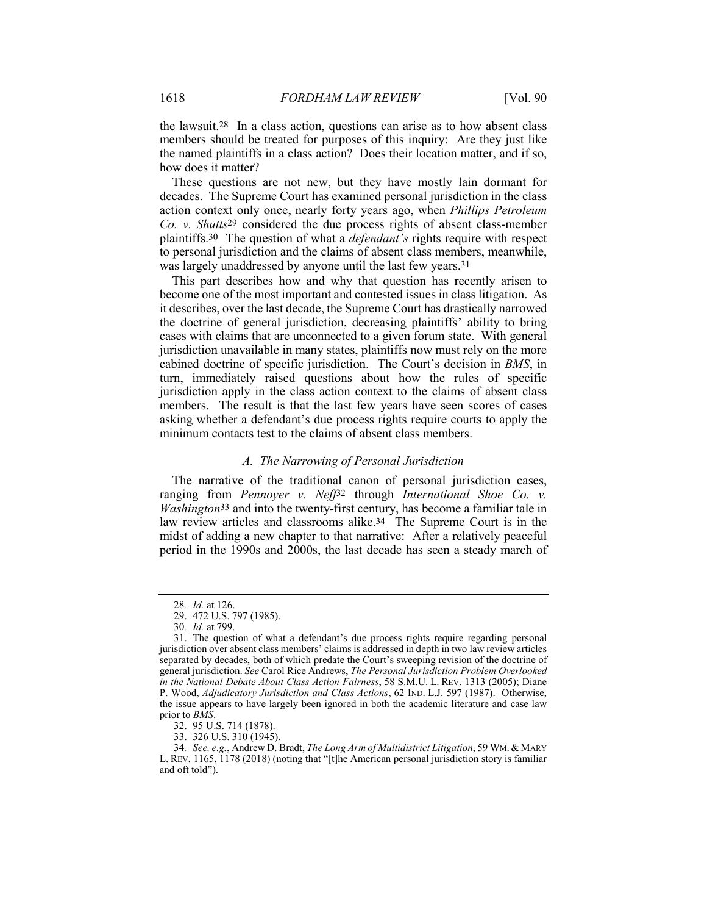the lawsuit.28 In a class action, questions can arise as to how absent class members should be treated for purposes of this inquiry: Are they just like the named plaintiffs in a class action? Does their location matter, and if so, how does it matter?

These questions are not new, but they have mostly lain dormant for decades. The Supreme Court has examined personal jurisdiction in the class action context only once, nearly forty years ago, when *Phillips Petroleum Co. v. Shutts*29 considered the due process rights of absent class-member plaintiffs.30 The question of what a *defendant's* rights require with respect to personal jurisdiction and the claims of absent class members, meanwhile, was largely unaddressed by anyone until the last few years.31

This part describes how and why that question has recently arisen to become one of the most important and contested issues in class litigation. As it describes, over the last decade, the Supreme Court has drastically narrowed the doctrine of general jurisdiction, decreasing plaintiffs' ability to bring cases with claims that are unconnected to a given forum state. With general jurisdiction unavailable in many states, plaintiffs now must rely on the more cabined doctrine of specific jurisdiction. The Court's decision in *BMS*, in turn, immediately raised questions about how the rules of specific jurisdiction apply in the class action context to the claims of absent class members. The result is that the last few years have seen scores of cases asking whether a defendant's due process rights require courts to apply the minimum contacts test to the claims of absent class members.

#### *A. The Narrowing of Personal Jurisdiction*

The narrative of the traditional canon of personal jurisdiction cases, ranging from *Pennoyer v. Neff*32 through *International Shoe Co. v. Washington*33 and into the twenty-first century, has become a familiar tale in law review articles and classrooms alike.34 The Supreme Court is in the midst of adding a new chapter to that narrative: After a relatively peaceful period in the 1990s and 2000s, the last decade has seen a steady march of

32. 95 U.S. 714 (1878).

33. 326 U.S. 310 (1945).

<sup>28</sup>*. Id.* at 126.

<sup>29.</sup> 472 U.S. 797 (1985).

<sup>30</sup>*. Id.* at 799.

<sup>31.</sup> The question of what a defendant's due process rights require regarding personal jurisdiction over absent class members' claims is addressed in depth in two law review articles separated by decades, both of which predate the Court's sweeping revision of the doctrine of general jurisdiction. *See* Carol Rice Andrews, *The Personal Jurisdiction Problem Overlooked in the National Debate About Class Action Fairness*, 58 S.M.U. L. REV. 1313 (2005); Diane P. Wood, *Adjudicatory Jurisdiction and Class Actions*, 62 IND. L.J. 597 (1987). Otherwise, the issue appears to have largely been ignored in both the academic literature and case law prior to *BMS*.

<sup>34</sup>*. See, e.g.*, Andrew D. Bradt, *The Long Arm of Multidistrict Litigation*, 59 WM. & MARY L. REV. 1165, 1178 (2018) (noting that "[t]he American personal jurisdiction story is familiar and oft told").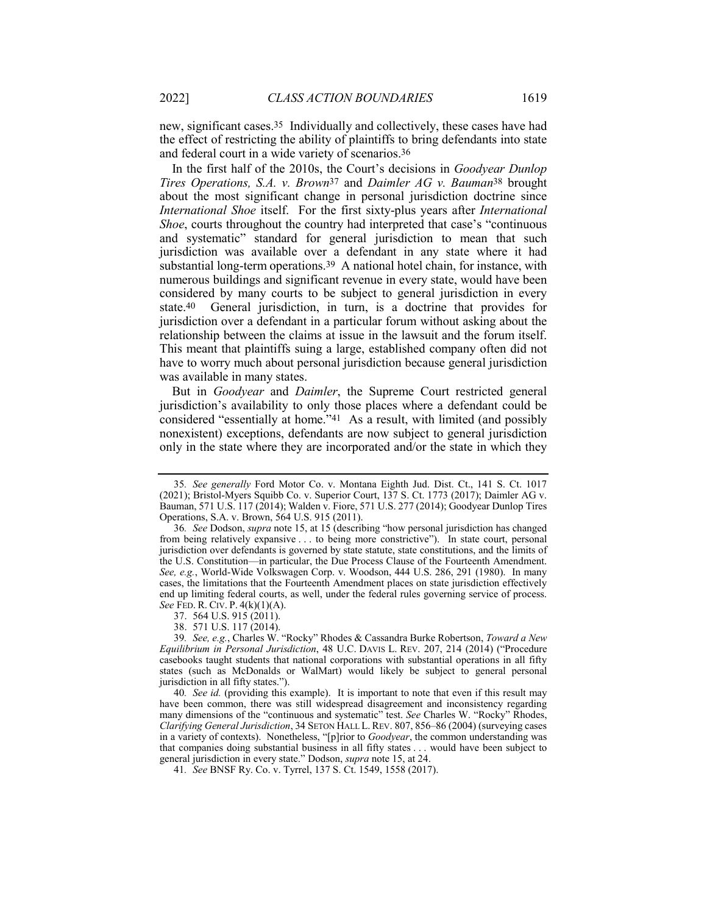new, significant cases.35 Individually and collectively, these cases have had the effect of restricting the ability of plaintiffs to bring defendants into state and federal court in a wide variety of scenarios.36

In the first half of the 2010s, the Court's decisions in *Goodyear Dunlop Tires Operations, S.A. v. Brown*37 and *Daimler AG v. Bauman*38 brought about the most significant change in personal jurisdiction doctrine since *International Shoe* itself. For the first sixty-plus years after *International Shoe*, courts throughout the country had interpreted that case's "continuous and systematic" standard for general jurisdiction to mean that such jurisdiction was available over a defendant in any state where it had substantial long-term operations.39 A national hotel chain, for instance, with numerous buildings and significant revenue in every state, would have been considered by many courts to be subject to general jurisdiction in every state.40 General jurisdiction, in turn, is a doctrine that provides for jurisdiction over a defendant in a particular forum without asking about the relationship between the claims at issue in the lawsuit and the forum itself. This meant that plaintiffs suing a large, established company often did not have to worry much about personal jurisdiction because general jurisdiction was available in many states.

But in *Goodyear* and *Daimler*, the Supreme Court restricted general jurisdiction's availability to only those places where a defendant could be considered "essentially at home."<sup>41</sup> As a result, with limited (and possibly nonexistent) exceptions, defendants are now subject to general jurisdiction only in the state where they are incorporated and/or the state in which they

38. 571 U.S. 117 (2014).

40*. See id.* (providing this example). It is important to note that even if this result may have been common, there was still widespread disagreement and inconsistency regarding many dimensions of the "continuous and systematic" test. *See* Charles W. "Rocky" Rhodes, *Clarifying General Jurisdiction*, 34 SETON HALL L. REV. 807, 856–86 (2004) (surveying cases in a variety of contexts). Nonetheless, "[p]rior to *Goodyear*, the common understanding was that companies doing substantial business in all fifty states . . . would have been subject to general jurisdiction in every state." Dodson, *supra* note 15, at 24.

41*. See* BNSF Ry. Co. v. Tyrrel, 137 S. Ct. 1549, 1558 (2017).

<sup>35</sup>*. See generally* Ford Motor Co. v. Montana Eighth Jud. Dist. Ct., 141 S. Ct. 1017 (2021); Bristol-Myers Squibb Co. v. Superior Court, 137 S. Ct. 1773 (2017); Daimler AG v. Bauman, 571 U.S. 117 (2014); Walden v. Fiore, 571 U.S. 277 (2014); Goodyear Dunlop Tires Operations, S.A. v. Brown, 564 U.S. 915 (2011).

<sup>36</sup>*. See* Dodson, *supra* note 15, at 15 (describing "how personal jurisdiction has changed from being relatively expansive . . . to being more constrictive"). In state court, personal jurisdiction over defendants is governed by state statute, state constitutions, and the limits of the U.S. Constitution—in particular, the Due Process Clause of the Fourteenth Amendment. *See, e.g.*, World-Wide Volkswagen Corp. v. Woodson, 444 U.S. 286, 291 (1980). In many cases, the limitations that the Fourteenth Amendment places on state jurisdiction effectively end up limiting federal courts, as well, under the federal rules governing service of process. *See* FED. R. CIV. P. 4(k)(1)(A).

<sup>37.</sup> 564 U.S. 915 (2011).

<sup>39</sup>*. See, e.g.*, Charles W. "Rocky" Rhodes & Cassandra Burke Robertson, *Toward a New Equilibrium in Personal Jurisdiction*, 48 U.C. DAVIS L. REV. 207, 214 (2014) ("Procedure casebooks taught students that national corporations with substantial operations in all fifty states (such as McDonalds or WalMart) would likely be subject to general personal jurisdiction in all fifty states.").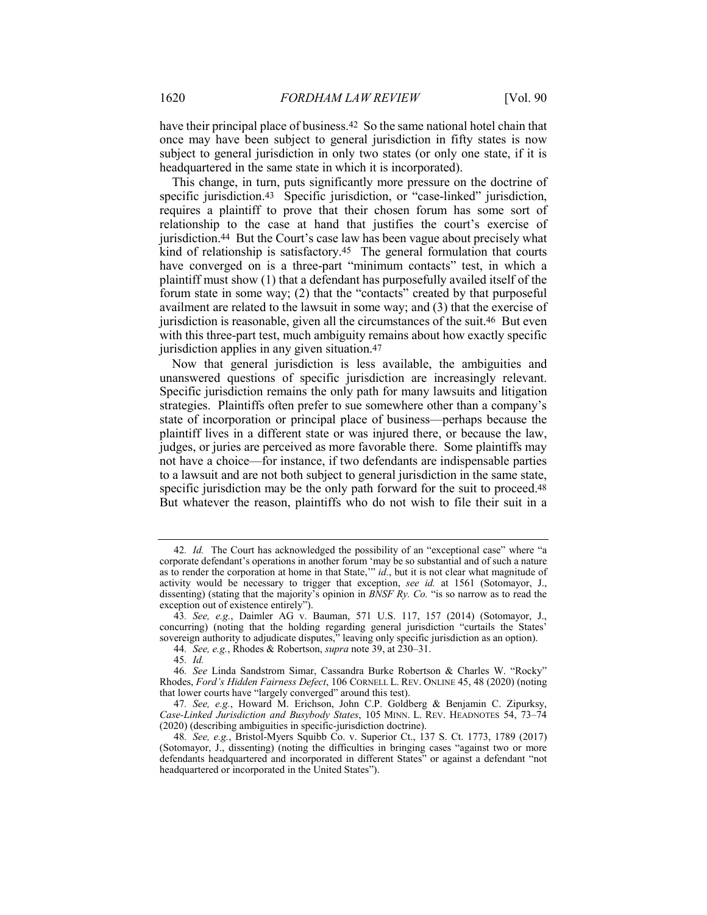have their principal place of business.42 So the same national hotel chain that once may have been subject to general jurisdiction in fifty states is now subject to general jurisdiction in only two states (or only one state, if it is headquartered in the same state in which it is incorporated).

This change, in turn, puts significantly more pressure on the doctrine of specific jurisdiction.<sup>43</sup> Specific jurisdiction, or "case-linked" jurisdiction, requires a plaintiff to prove that their chosen forum has some sort of relationship to the case at hand that justifies the court's exercise of jurisdiction.44 But the Court's case law has been vague about precisely what kind of relationship is satisfactory.45 The general formulation that courts have converged on is a three-part "minimum contacts" test, in which a plaintiff must show (1) that a defendant has purposefully availed itself of the forum state in some way; (2) that the "contacts" created by that purposeful availment are related to the lawsuit in some way; and (3) that the exercise of jurisdiction is reasonable, given all the circumstances of the suit.46 But even with this three-part test, much ambiguity remains about how exactly specific jurisdiction applies in any given situation.47

Now that general jurisdiction is less available, the ambiguities and unanswered questions of specific jurisdiction are increasingly relevant. Specific jurisdiction remains the only path for many lawsuits and litigation strategies. Plaintiffs often prefer to sue somewhere other than a company's state of incorporation or principal place of business—perhaps because the plaintiff lives in a different state or was injured there, or because the law, judges, or juries are perceived as more favorable there. Some plaintiffs may not have a choice—for instance, if two defendants are indispensable parties to a lawsuit and are not both subject to general jurisdiction in the same state, specific jurisdiction may be the only path forward for the suit to proceed.<sup>48</sup> But whatever the reason, plaintiffs who do not wish to file their suit in a

<sup>42</sup>*. Id.* The Court has acknowledged the possibility of an "exceptional case" where "a corporate defendant's operations in another forum 'may be so substantial and of such a nature as to render the corporation at home in that State," *id.*, but it is not clear what magnitude of activity would be necessary to trigger that exception, *see id.* at 1561 (Sotomayor, J., dissenting) (stating that the majority's opinion in *BNSF Ry. Co.* "is so narrow as to read the exception out of existence entirely").

<sup>43</sup>*. See, e.g.*, Daimler AG v. Bauman, 571 U.S. 117, 157 (2014) (Sotomayor, J., concurring) (noting that the holding regarding general jurisdiction "curtails the States' sovereign authority to adjudicate disputes," leaving only specific jurisdiction as an option).

<sup>44</sup>*. See, e.g.*, Rhodes & Robertson, *supra* note 39, at 230–31.

<sup>45</sup>*. Id.*

<sup>46</sup>*. See* Linda Sandstrom Simar, Cassandra Burke Robertson & Charles W. "Rocky" Rhodes, *Ford's Hidden Fairness Defect*, 106 CORNELL L. REV. ONLINE 45, 48 (2020) (noting that lower courts have "largely converged" around this test).

<sup>47</sup>*. See, e.g.*, Howard M. Erichson, John C.P. Goldberg & Benjamin C. Zipurksy, *Case-Linked Jurisdiction and Busybody States*, 105 MINN. L. REV. HEADNOTES 54, 73–74 (2020) (describing ambiguities in specific-jurisdiction doctrine).

<sup>48</sup>*. See, e.g.*, Bristol-Myers Squibb Co. v. Superior Ct., 137 S. Ct. 1773, 1789 (2017) (Sotomayor, J., dissenting) (noting the difficulties in bringing cases "against two or more defendants headquartered and incorporated in different States" or against a defendant "not headquartered or incorporated in the United States").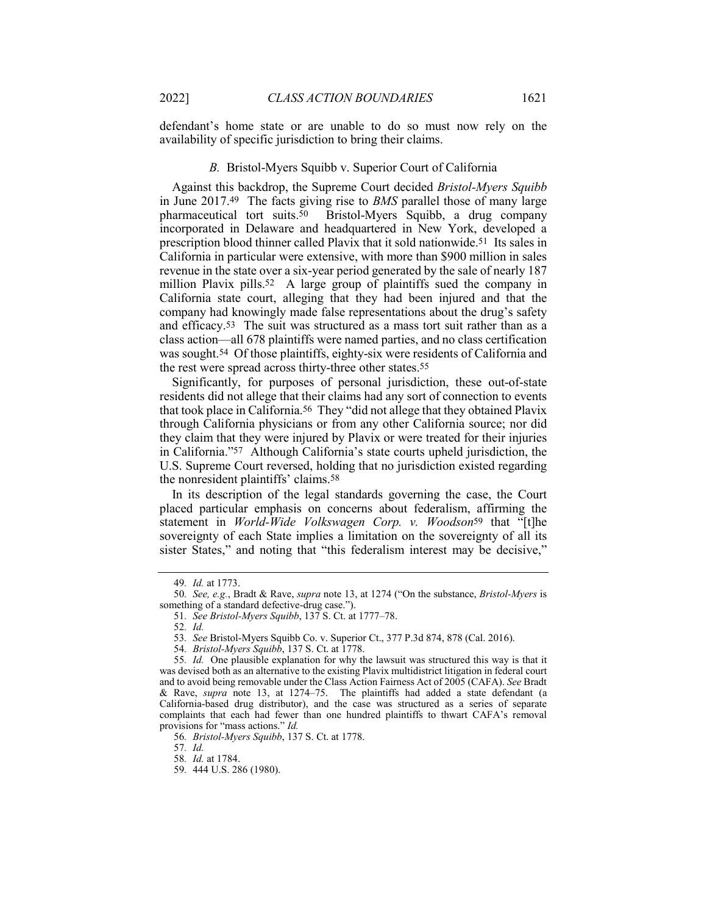defendant's home state or are unable to do so must now rely on the availability of specific jurisdiction to bring their claims.

#### *B.* Bristol-Myers Squibb v. Superior Court of California

Against this backdrop, the Supreme Court decided *Bristol-Myers Squibb* in June 2017.49 The facts giving rise to *BMS* parallel those of many large pharmaceutical tort suits.50 Bristol-Myers Squibb, a drug company incorporated in Delaware and headquartered in New York, developed a prescription blood thinner called Plavix that it sold nationwide.51 Its sales in California in particular were extensive, with more than \$900 million in sales revenue in the state over a six-year period generated by the sale of nearly 187 million Plavix pills.<sup>52</sup> A large group of plaintiffs sued the company in California state court, alleging that they had been injured and that the company had knowingly made false representations about the drug's safety and efficacy.53 The suit was structured as a mass tort suit rather than as a class action—all 678 plaintiffs were named parties, and no class certification was sought.54 Of those plaintiffs, eighty-six were residents of California and the rest were spread across thirty-three other states.55

Significantly, for purposes of personal jurisdiction, these out-of-state residents did not allege that their claims had any sort of connection to events that took place in California.56 They "did not allege that they obtained Plavix through California physicians or from any other California source; nor did they claim that they were injured by Plavix or were treated for their injuries in California."57 Although California's state courts upheld jurisdiction, the U.S. Supreme Court reversed, holding that no jurisdiction existed regarding the nonresident plaintiffs' claims.58

In its description of the legal standards governing the case, the Court placed particular emphasis on concerns about federalism, affirming the statement in *World-Wide Volkswagen Corp. v. Woodson*59 that "[t]he sovereignty of each State implies a limitation on the sovereignty of all its sister States," and noting that "this federalism interest may be decisive,"

57*. Id.*

<sup>49</sup>*. Id.* at 1773.

<sup>50</sup>*. See, e.g.*, Bradt & Rave, *supra* note 13, at 1274 ("On the substance, *Bristol-Myers* is something of a standard defective-drug case.").

<sup>51</sup>*. See Bristol-Myers Squibb*, 137 S. Ct. at 1777–78.

<sup>52</sup>*. Id.*

<sup>53</sup>*. See* Bristol-Myers Squibb Co. v. Superior Ct., 377 P.3d 874, 878 (Cal. 2016).

<sup>54</sup>*. Bristol-Myers Squibb*, 137 S. Ct. at 1778.

<sup>55</sup>*. Id.* One plausible explanation for why the lawsuit was structured this way is that it was devised both as an alternative to the existing Plavix multidistrict litigation in federal court and to avoid being removable under the Class Action Fairness Act of 2005 (CAFA). *See* Bradt & Rave, *supra* note 13, at 1274–75. The plaintiffs had added a state defendant (a California-based drug distributor), and the case was structured as a series of separate complaints that each had fewer than one hundred plaintiffs to thwart CAFA's removal provisions for "mass actions." *Id.*

<sup>56</sup>*. Bristol-Myers Squibb*, 137 S. Ct. at 1778.

<sup>58</sup>*. Id.* at 1784.

<sup>59</sup>*.* 444 U.S. 286 (1980).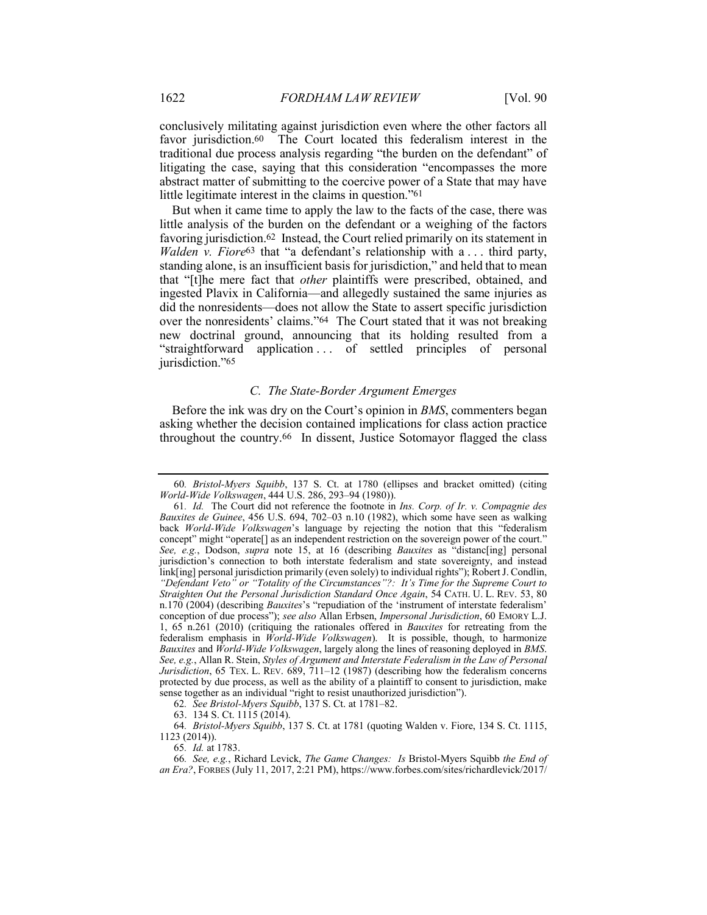conclusively militating against jurisdiction even where the other factors all favor jurisdiction.<sup>60</sup> The Court located this federalism interest in the traditional due process analysis regarding "the burden on the defendant" of litigating the case, saying that this consideration "encompasses the more abstract matter of submitting to the coercive power of a State that may have little legitimate interest in the claims in question."61

But when it came time to apply the law to the facts of the case, there was little analysis of the burden on the defendant or a weighing of the factors favoring jurisdiction.62 Instead, the Court relied primarily on its statement in *Walden v. Fiore*63 that "a defendant's relationship with a . . . third party, standing alone, is an insufficient basis for jurisdiction," and held that to mean that "[t]he mere fact that *other* plaintiffs were prescribed, obtained, and ingested Plavix in California—and allegedly sustained the same injuries as did the nonresidents—does not allow the State to assert specific jurisdiction over the nonresidents' claims."64 The Court stated that it was not breaking new doctrinal ground, announcing that its holding resulted from a "straightforward application . . . of settled principles of personal jurisdiction."65

## *C. The State-Border Argument Emerges*

Before the ink was dry on the Court's opinion in *BMS*, commenters began asking whether the decision contained implications for class action practice throughout the country.66 In dissent, Justice Sotomayor flagged the class

<sup>60</sup>*. Bristol-Myers Squibb*, 137 S. Ct. at 1780 (ellipses and bracket omitted) (citing *World-Wide Volkswagen*, 444 U.S. 286, 293–94 (1980)).

<sup>61</sup>*. Id.* The Court did not reference the footnote in *Ins. Corp. of Ir. v. Compagnie des Bauxites de Guinee*, 456 U.S. 694, 702–03 n.10 (1982), which some have seen as walking back *World-Wide Volkswagen*'s language by rejecting the notion that this "federalism concept" might "operate[] as an independent restriction on the sovereign power of the court." *See, e.g.*, Dodson, *supra* note 15, at 16 (describing *Bauxites* as "distanc[ing] personal jurisdiction's connection to both interstate federalism and state sovereignty, and instead link[ing] personal jurisdiction primarily (even solely) to individual rights"); Robert J. Condlin, *"Defendant Veto" or "Totality of the Circumstances"?: It's Time for the Supreme Court to Straighten Out the Personal Jurisdiction Standard Once Again*, 54 CATH. U. L. REV. 53, 80 n.170 (2004) (describing *Bauxites*'s "repudiation of the 'instrument of interstate federalism' conception of due process"); *see also* Allan Erbsen, *Impersonal Jurisdiction*, 60 EMORY L.J. 1, 65 n.261 (2010) (critiquing the rationales offered in *Bauxites* for retreating from the federalism emphasis in *World-Wide Volkswagen*). It is possible, though, to harmonize *Bauxites* and *World-Wide Volkswagen*, largely along the lines of reasoning deployed in *BMS*. *See, e.g.*, Allan R. Stein, *Styles of Argument and Interstate Federalism in the Law of Personal Jurisdiction*, 65 TEX. L. REV. 689, 711–12 (1987) (describing how the federalism concerns protected by due process, as well as the ability of a plaintiff to consent to jurisdiction, make sense together as an individual "right to resist unauthorized jurisdiction").

<sup>62</sup>*. See Bristol-Myers Squibb*, 137 S. Ct. at 1781–82.

<sup>63.</sup> 134 S. Ct. 1115 (2014).

<sup>64</sup>*. Bristol-Myers Squibb*, 137 S. Ct. at 1781 (quoting Walden v. Fiore, 134 S. Ct. 1115, 1123 (2014)).

<sup>65</sup>*. Id.* at 1783.

<sup>66</sup>*. See, e.g.*, Richard Levick, *The Game Changes: Is* Bristol-Myers Squibb *the End of an Era?*, FORBES (July 11, 2017, 2:21 PM), https://www.forbes.com/sites/richardlevick/2017/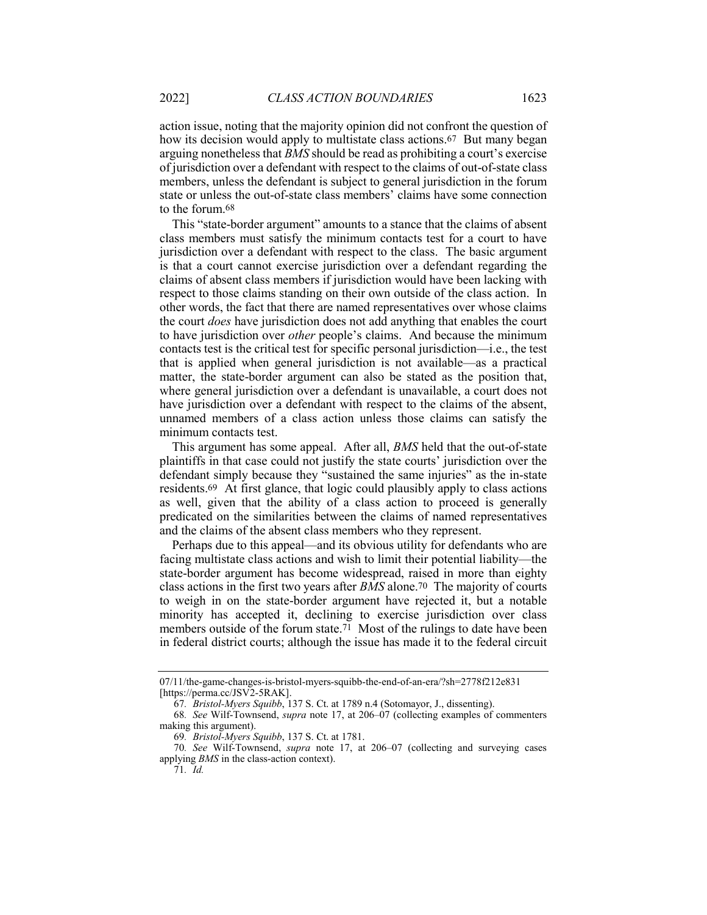action issue, noting that the majority opinion did not confront the question of how its decision would apply to multistate class actions.<sup>67</sup> But many began arguing nonetheless that *BMS* should be read as prohibiting a court's exercise of jurisdiction over a defendant with respect to the claims of out-of-state class members, unless the defendant is subject to general jurisdiction in the forum state or unless the out-of-state class members' claims have some connection to the forum.68

This "state-border argument" amounts to a stance that the claims of absent class members must satisfy the minimum contacts test for a court to have jurisdiction over a defendant with respect to the class. The basic argument is that a court cannot exercise jurisdiction over a defendant regarding the claims of absent class members if jurisdiction would have been lacking with respect to those claims standing on their own outside of the class action. In other words, the fact that there are named representatives over whose claims the court *does* have jurisdiction does not add anything that enables the court to have jurisdiction over *other* people's claims. And because the minimum contacts test is the critical test for specific personal jurisdiction—i.e., the test that is applied when general jurisdiction is not available—as a practical matter, the state-border argument can also be stated as the position that, where general jurisdiction over a defendant is unavailable, a court does not have jurisdiction over a defendant with respect to the claims of the absent, unnamed members of a class action unless those claims can satisfy the minimum contacts test.

This argument has some appeal. After all, *BMS* held that the out-of-state plaintiffs in that case could not justify the state courts' jurisdiction over the defendant simply because they "sustained the same injuries" as the in-state residents.69 At first glance, that logic could plausibly apply to class actions as well, given that the ability of a class action to proceed is generally predicated on the similarities between the claims of named representatives and the claims of the absent class members who they represent.

Perhaps due to this appeal—and its obvious utility for defendants who are facing multistate class actions and wish to limit their potential liability—the state-border argument has become widespread, raised in more than eighty class actions in the first two years after *BMS* alone.70 The majority of courts to weigh in on the state-border argument have rejected it, but a notable minority has accepted it, declining to exercise jurisdiction over class members outside of the forum state.<sup>71</sup> Most of the rulings to date have been in federal district courts; although the issue has made it to the federal circuit

<sup>07/11/</sup>the-game-changes-is-bristol-myers-squibb-the-end-of-an-era/?sh=2778f212e831 [https://perma.cc/JSV2-5RAK].

<sup>67</sup>*. Bristol-Myers Squibb*, 137 S. Ct. at 1789 n.4 (Sotomayor, J., dissenting).

<sup>68</sup>*. See* Wilf-Townsend, *supra* note 17, at 206–07 (collecting examples of commenters making this argument).

<sup>69</sup>*. Bristol-Myers Squibb*, 137 S. Ct. at 1781.

<sup>70</sup>*. See* Wilf-Townsend, *supra* note 17, at 206–07 (collecting and surveying cases applying *BMS* in the class-action context). 71*. Id.*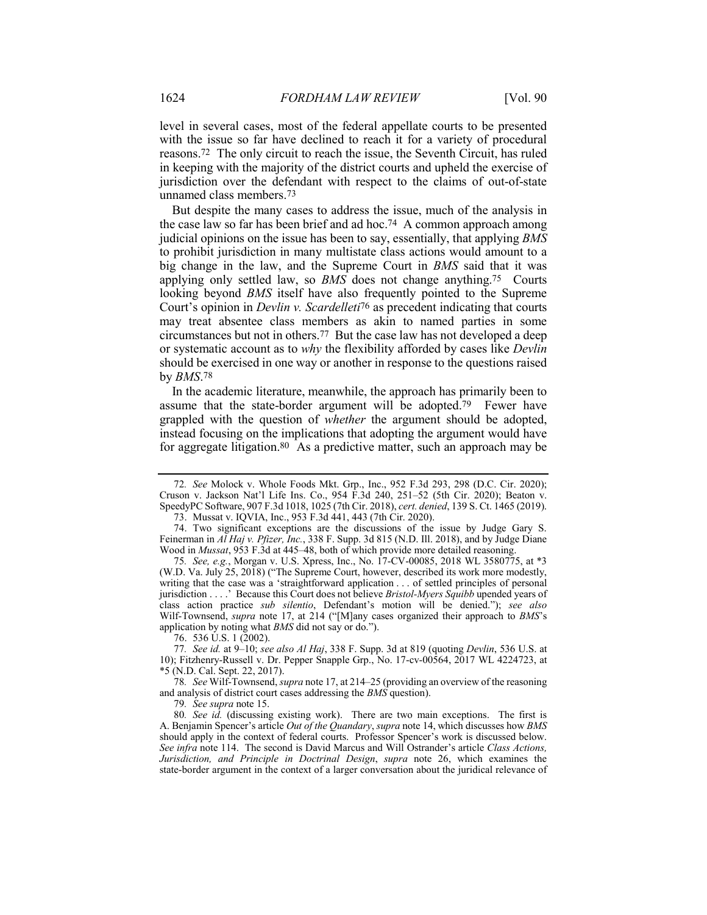level in several cases, most of the federal appellate courts to be presented with the issue so far have declined to reach it for a variety of procedural reasons.72 The only circuit to reach the issue, the Seventh Circuit, has ruled in keeping with the majority of the district courts and upheld the exercise of jurisdiction over the defendant with respect to the claims of out-of-state unnamed class members.73

But despite the many cases to address the issue, much of the analysis in the case law so far has been brief and ad hoc.74 A common approach among judicial opinions on the issue has been to say, essentially, that applying *BMS* to prohibit jurisdiction in many multistate class actions would amount to a big change in the law, and the Supreme Court in *BMS* said that it was applying only settled law, so *BMS* does not change anything.75 Courts looking beyond *BMS* itself have also frequently pointed to the Supreme Court's opinion in *Devlin v. Scardelleti*76 as precedent indicating that courts may treat absentee class members as akin to named parties in some circumstances but not in others.77 But the case law has not developed a deep or systematic account as to *why* the flexibility afforded by cases like *Devlin* should be exercised in one way or another in response to the questions raised by *BMS*.78

In the academic literature, meanwhile, the approach has primarily been to assume that the state-border argument will be adopted.79 Fewer have grappled with the question of *whether* the argument should be adopted, instead focusing on the implications that adopting the argument would have for aggregate litigation.<sup>80</sup> As a predictive matter, such an approach may be

76. 536 U.S. 1 (2002).

77*. See id.* at 9–10; *see also Al Haj*, 338 F. Supp. 3d at 819 (quoting *Devlin*, 536 U.S. at 10); Fitzhenry-Russell v. Dr. Pepper Snapple Grp., No. 17-cv-00564, 2017 WL 4224723, at \*5 (N.D. Cal. Sept. 22, 2017).

78*. See* Wilf-Townsend, *supra* note 17, at 214–25 (providing an overview of the reasoning and analysis of district court cases addressing the *BMS* question).

79*. See supra* note 15.

80*. See id.* (discussing existing work). There are two main exceptions. The first is A. Benjamin Spencer's article *Out of the Quandary*, *supra* note 14, which discusses how *BMS* should apply in the context of federal courts. Professor Spencer's work is discussed below. *See infra* note 114. The second is David Marcus and Will Ostrander's article *Class Actions, Jurisdiction, and Principle in Doctrinal Design*, *supra* note 26, which examines the state-border argument in the context of a larger conversation about the juridical relevance of

<sup>72</sup>*. See* Molock v. Whole Foods Mkt. Grp., Inc., 952 F.3d 293, 298 (D.C. Cir. 2020); Cruson v. Jackson Nat'l Life Ins. Co., 954 F.3d 240, 251–52 (5th Cir. 2020); Beaton v. SpeedyPC Software, 907 F.3d 1018, 1025 (7th Cir. 2018), *cert. denied*, 139 S. Ct. 1465 (2019).

<sup>73.</sup> Mussat v. IQVIA, Inc., 953 F.3d 441, 443 (7th Cir. 2020).

<sup>74.</sup> Two significant exceptions are the discussions of the issue by Judge Gary S. Feinerman in *Al Haj v. Pfizer, Inc.*, 338 F. Supp. 3d 815 (N.D. Ill. 2018), and by Judge Diane Wood in *Mussat*, 953 F.3d at 445–48, both of which provide more detailed reasoning.

<sup>75</sup>*. See, e.g.*, Morgan v. U.S. Xpress, Inc., No. 17-CV-00085, 2018 WL 3580775, at \*3 (W.D. Va. July 25, 2018) ("The Supreme Court, however, described its work more modestly, writing that the case was a 'straightforward application . . . of settled principles of personal jurisdiction . . . .' Because this Court does not believe *Bristol-Myers Squibb* upended years of class action practice *sub silentio*, Defendant's motion will be denied."); *see also* Wilf-Townsend, *supra* note 17, at 214 ("[M]any cases organized their approach to *BMS*'s application by noting what *BMS* did not say or do.").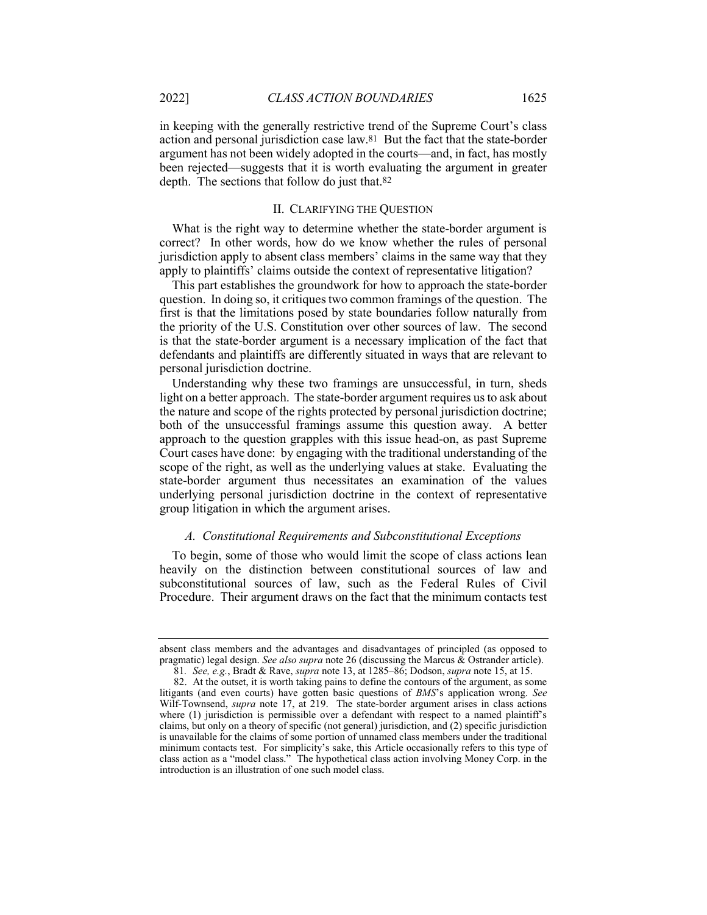in keeping with the generally restrictive trend of the Supreme Court's class action and personal jurisdiction case law.81 But the fact that the state-border argument has not been widely adopted in the courts—and, in fact, has mostly been rejected—suggests that it is worth evaluating the argument in greater depth. The sections that follow do just that.82

## II. CLARIFYING THE QUESTION

What is the right way to determine whether the state-border argument is correct? In other words, how do we know whether the rules of personal jurisdiction apply to absent class members' claims in the same way that they apply to plaintiffs' claims outside the context of representative litigation?

This part establishes the groundwork for how to approach the state-border question. In doing so, it critiques two common framings of the question. The first is that the limitations posed by state boundaries follow naturally from the priority of the U.S. Constitution over other sources of law. The second is that the state-border argument is a necessary implication of the fact that defendants and plaintiffs are differently situated in ways that are relevant to personal jurisdiction doctrine.

Understanding why these two framings are unsuccessful, in turn, sheds light on a better approach. The state-border argument requires us to ask about the nature and scope of the rights protected by personal jurisdiction doctrine; both of the unsuccessful framings assume this question away. A better approach to the question grapples with this issue head-on, as past Supreme Court cases have done: by engaging with the traditional understanding of the scope of the right, as well as the underlying values at stake. Evaluating the state-border argument thus necessitates an examination of the values underlying personal jurisdiction doctrine in the context of representative group litigation in which the argument arises.

#### *A. Constitutional Requirements and Subconstitutional Exceptions*

To begin, some of those who would limit the scope of class actions lean heavily on the distinction between constitutional sources of law and subconstitutional sources of law, such as the Federal Rules of Civil Procedure. Their argument draws on the fact that the minimum contacts test

absent class members and the advantages and disadvantages of principled (as opposed to pragmatic) legal design. *See also supra* note 26 (discussing the Marcus & Ostrander article).

<sup>81</sup>*. See, e.g.*, Bradt & Rave, *supra* note 13, at 1285–86; Dodson, *supra* note 15, at 15.

<sup>82.</sup> At the outset, it is worth taking pains to define the contours of the argument, as some litigants (and even courts) have gotten basic questions of *BMS*'s application wrong. *See*  Wilf-Townsend, *supra* note 17, at 219. The state-border argument arises in class actions where (1) jurisdiction is permissible over a defendant with respect to a named plaintiff's claims, but only on a theory of specific (not general) jurisdiction, and (2) specific jurisdiction is unavailable for the claims of some portion of unnamed class members under the traditional minimum contacts test. For simplicity's sake, this Article occasionally refers to this type of class action as a "model class." The hypothetical class action involving Money Corp. in the introduction is an illustration of one such model class.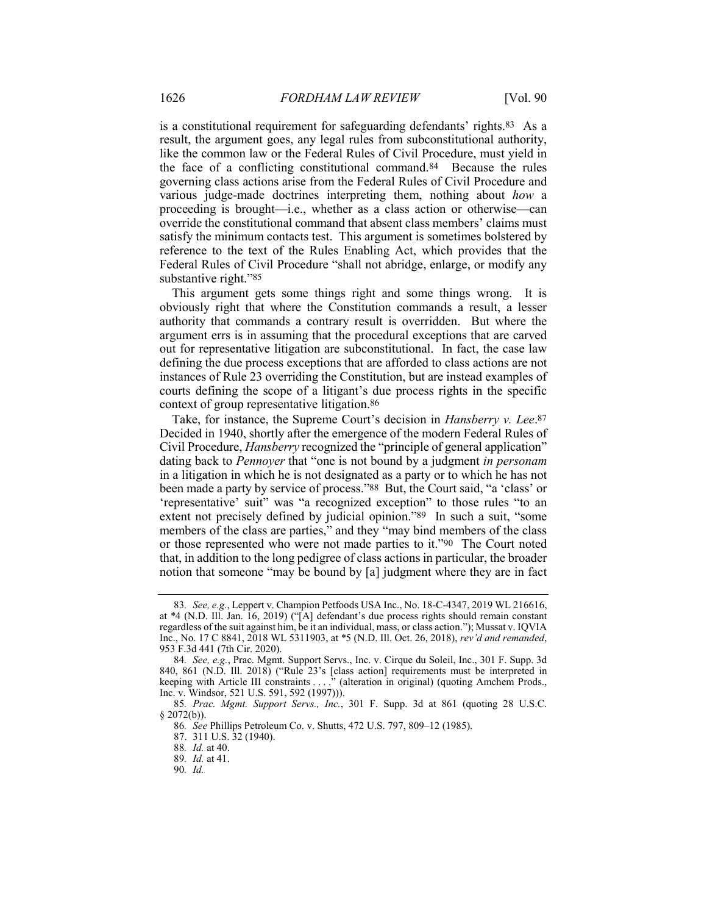is a constitutional requirement for safeguarding defendants' rights.83 As a result, the argument goes, any legal rules from subconstitutional authority, like the common law or the Federal Rules of Civil Procedure, must yield in the face of a conflicting constitutional command.84 Because the rules governing class actions arise from the Federal Rules of Civil Procedure and various judge-made doctrines interpreting them, nothing about *how* a proceeding is brought—i.e., whether as a class action or otherwise—can override the constitutional command that absent class members' claims must satisfy the minimum contacts test. This argument is sometimes bolstered by reference to the text of the Rules Enabling Act, which provides that the Federal Rules of Civil Procedure "shall not abridge, enlarge, or modify any substantive right."85

This argument gets some things right and some things wrong. It is obviously right that where the Constitution commands a result, a lesser authority that commands a contrary result is overridden. But where the argument errs is in assuming that the procedural exceptions that are carved out for representative litigation are subconstitutional. In fact, the case law defining the due process exceptions that are afforded to class actions are not instances of Rule 23 overriding the Constitution, but are instead examples of courts defining the scope of a litigant's due process rights in the specific context of group representative litigation.86

Take, for instance, the Supreme Court's decision in *Hansberry v. Lee*.87 Decided in 1940, shortly after the emergence of the modern Federal Rules of Civil Procedure, *Hansberry* recognized the "principle of general application" dating back to *Pennoyer* that "one is not bound by a judgment *in personam* in a litigation in which he is not designated as a party or to which he has not been made a party by service of process."88 But, the Court said, "a 'class' or 'representative' suit" was "a recognized exception" to those rules "to an extent not precisely defined by judicial opinion."89 In such a suit, "some members of the class are parties," and they "may bind members of the class or those represented who were not made parties to it."90 The Court noted that, in addition to the long pedigree of class actions in particular, the broader notion that someone "may be bound by [a] judgment where they are in fact

<sup>83</sup>*. See, e.g.*, Leppert v. Champion Petfoods USA Inc., No. 18-C-4347, 2019 WL 216616, at \*4 (N.D. Ill. Jan. 16, 2019) ("[A] defendant's due process rights should remain constant regardless of the suit against him, be it an individual, mass, or class action."); Mussat v. IQVIA Inc., No. 17 C 8841, 2018 WL 5311903, at \*5 (N.D. Ill. Oct. 26, 2018), *rev'd and remanded*, 953 F.3d 441 (7th Cir. 2020).

<sup>84</sup>*. See, e.g.*, Prac. Mgmt. Support Servs., Inc. v. Cirque du Soleil, Inc., 301 F. Supp. 3d 840, 861 (N.D. Ill. 2018) ("Rule 23's [class action] requirements must be interpreted in keeping with Article III constraints . . . ." (alteration in original) (quoting Amchem Prods., Inc. v. Windsor, 521 U.S. 591, 592 (1997))).

<sup>85</sup>*. Prac. Mgmt. Support Servs., Inc.*, 301 F. Supp. 3d at 861 (quoting 28 U.S.C.  $§$  2072(b)).

<sup>86</sup>*. See* Phillips Petroleum Co. v. Shutts, 472 U.S. 797, 809–12 (1985).

<sup>87.</sup> 311 U.S. 32 (1940).

<sup>88</sup>*. Id.* at 40.

<sup>89</sup>*. Id.* at 41.

<sup>90</sup>*. Id.*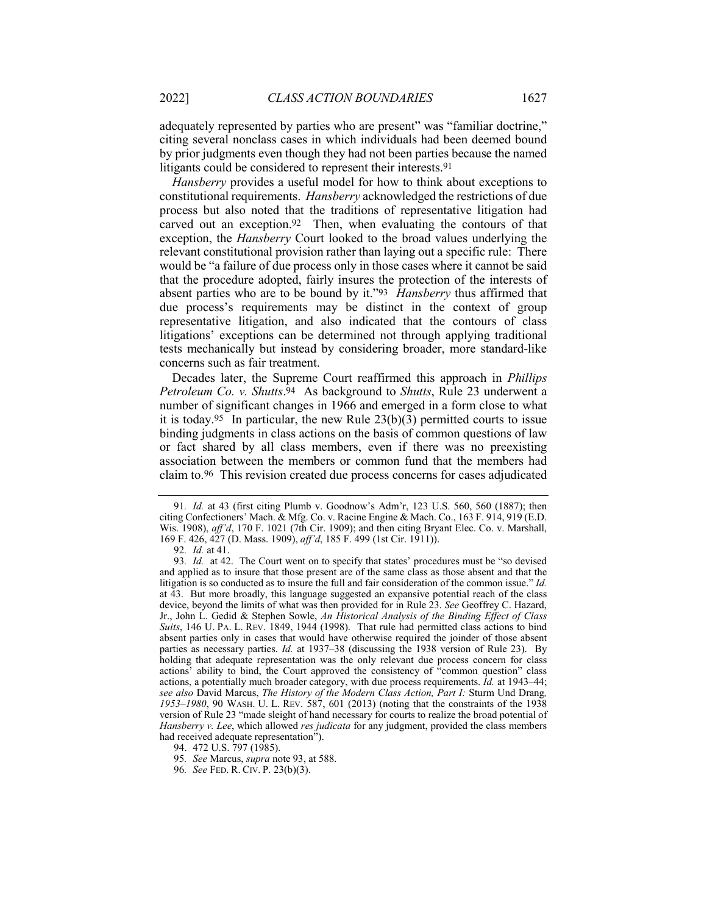adequately represented by parties who are present" was "familiar doctrine," citing several nonclass cases in which individuals had been deemed bound by prior judgments even though they had not been parties because the named litigants could be considered to represent their interests.91

*Hansberry* provides a useful model for how to think about exceptions to constitutional requirements. *Hansberry* acknowledged the restrictions of due process but also noted that the traditions of representative litigation had carved out an exception.92 Then, when evaluating the contours of that exception, the *Hansberry* Court looked to the broad values underlying the relevant constitutional provision rather than laying out a specific rule: There would be "a failure of due process only in those cases where it cannot be said that the procedure adopted, fairly insures the protection of the interests of absent parties who are to be bound by it."93 *Hansberry* thus affirmed that due process's requirements may be distinct in the context of group representative litigation, and also indicated that the contours of class litigations' exceptions can be determined not through applying traditional tests mechanically but instead by considering broader, more standard-like concerns such as fair treatment.

Decades later, the Supreme Court reaffirmed this approach in *Phillips Petroleum Co. v. Shutts*.94 As background to *Shutts*, Rule 23 underwent a number of significant changes in 1966 and emerged in a form close to what it is today.<sup>95</sup> In particular, the new Rule  $23(b)(3)$  permitted courts to issue binding judgments in class actions on the basis of common questions of law or fact shared by all class members, even if there was no preexisting association between the members or common fund that the members had claim to.96 This revision created due process concerns for cases adjudicated

<sup>91</sup>*. Id.* at 43 (first citing Plumb v. Goodnow's Adm'r, 123 U.S. 560, 560 (1887); then citing Confectioners' Mach. & Mfg. Co. v. Racine Engine & Mach. Co., 163 F. 914, 919 (E.D. Wis. 1908), *aff'd*, 170 F. 1021 (7th Cir. 1909); and then citing Bryant Elec. Co. v. Marshall, 169 F. 426, 427 (D. Mass. 1909), *aff'd*, 185 F. 499 (1st Cir. 1911)).

<sup>92</sup>*. Id.* at 41.

<sup>93</sup>*. Id.* at 42. The Court went on to specify that states' procedures must be "so devised and applied as to insure that those present are of the same class as those absent and that the litigation is so conducted as to insure the full and fair consideration of the common issue." *Id.* at 43. But more broadly, this language suggested an expansive potential reach of the class device, beyond the limits of what was then provided for in Rule 23. *See* Geoffrey C. Hazard, Jr., John L. Gedid & Stephen Sowle, *An Historical Analysis of the Binding Effect of Class Suits*, 146 U. PA. L. REV. 1849, 1944 (1998). That rule had permitted class actions to bind absent parties only in cases that would have otherwise required the joinder of those absent parties as necessary parties. *Id.* at 1937–38 (discussing the 1938 version of Rule 23). By holding that adequate representation was the only relevant due process concern for class actions' ability to bind, the Court approved the consistency of "common question" class actions, a potentially much broader category, with due process requirements. *Id.* at 1943–44; *see also* David Marcus, *The History of the Modern Class Action, Part I:* Sturm Und Drang*, 1953–1980*, 90 WASH. U. L. REV. 587, 601 (2013) (noting that the constraints of the 1938 version of Rule 23 "made sleight of hand necessary for courts to realize the broad potential of *Hansberry v. Lee*, which allowed *res judicata* for any judgment, provided the class members had received adequate representation").

<sup>94.</sup> 472 U.S. 797 (1985).

<sup>95</sup>*. See* Marcus, *supra* note 93, at 588.

<sup>96</sup>*. See* FED. R. CIV. P. 23(b)(3).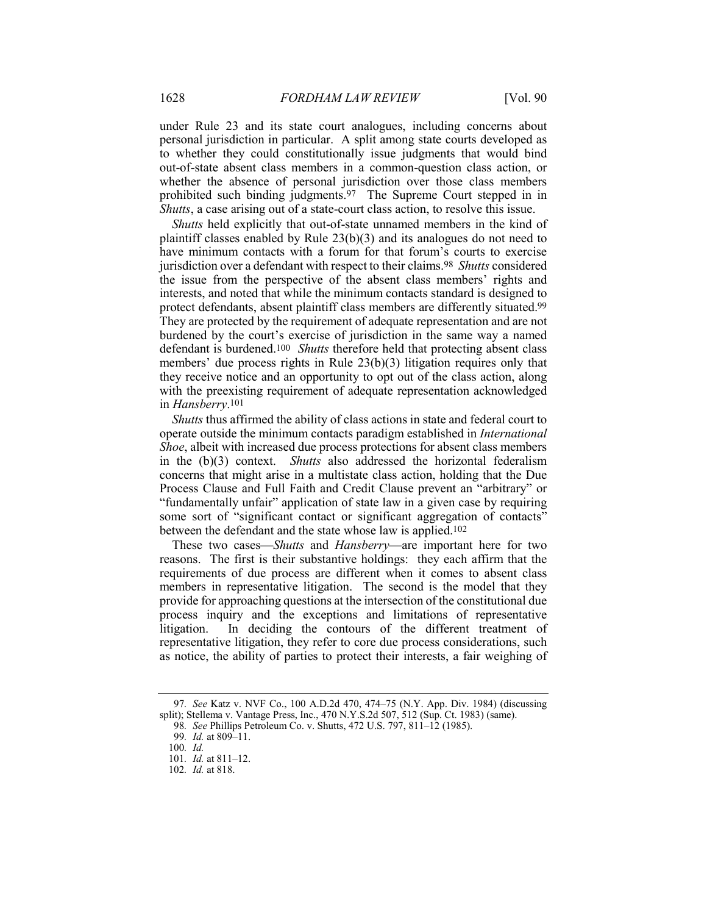under Rule 23 and its state court analogues, including concerns about personal jurisdiction in particular. A split among state courts developed as to whether they could constitutionally issue judgments that would bind out-of-state absent class members in a common-question class action, or whether the absence of personal jurisdiction over those class members prohibited such binding judgments.97 The Supreme Court stepped in in *Shutts*, a case arising out of a state-court class action, to resolve this issue.

*Shutts* held explicitly that out-of-state unnamed members in the kind of plaintiff classes enabled by Rule 23(b)(3) and its analogues do not need to have minimum contacts with a forum for that forum's courts to exercise jurisdiction over a defendant with respect to their claims.98 *Shutts* considered the issue from the perspective of the absent class members' rights and interests, and noted that while the minimum contacts standard is designed to protect defendants, absent plaintiff class members are differently situated.99 They are protected by the requirement of adequate representation and are not burdened by the court's exercise of jurisdiction in the same way a named defendant is burdened.100 *Shutts* therefore held that protecting absent class members' due process rights in Rule 23(b)(3) litigation requires only that they receive notice and an opportunity to opt out of the class action, along with the preexisting requirement of adequate representation acknowledged in *Hansberry*.101

*Shutts* thus affirmed the ability of class actions in state and federal court to operate outside the minimum contacts paradigm established in *International Shoe*, albeit with increased due process protections for absent class members in the (b)(3) context. *Shutts* also addressed the horizontal federalism concerns that might arise in a multistate class action, holding that the Due Process Clause and Full Faith and Credit Clause prevent an "arbitrary" or "fundamentally unfair" application of state law in a given case by requiring some sort of "significant contact or significant aggregation of contacts" between the defendant and the state whose law is applied.102

These two cases—*Shutts* and *Hansberry*—are important here for two reasons. The first is their substantive holdings: they each affirm that the requirements of due process are different when it comes to absent class members in representative litigation. The second is the model that they provide for approaching questions at the intersection of the constitutional due process inquiry and the exceptions and limitations of representative litigation. In deciding the contours of the different treatment of representative litigation, they refer to core due process considerations, such as notice, the ability of parties to protect their interests, a fair weighing of

<sup>97</sup>*. See* Katz v. NVF Co., 100 A.D.2d 470, 474–75 (N.Y. App. Div. 1984) (discussing split); Stellema v. Vantage Press, Inc., 470 N.Y.S.2d 507, 512 (Sup. Ct. 1983) (same).

<sup>98</sup>*. See* Phillips Petroleum Co. v. Shutts, 472 U.S. 797, 811–12 (1985).

<sup>99</sup>*. Id.* at 809–11.

<sup>100</sup>*. Id.*

<sup>101</sup>*. Id.* at 811–12.

<sup>102</sup>*. Id.* at 818.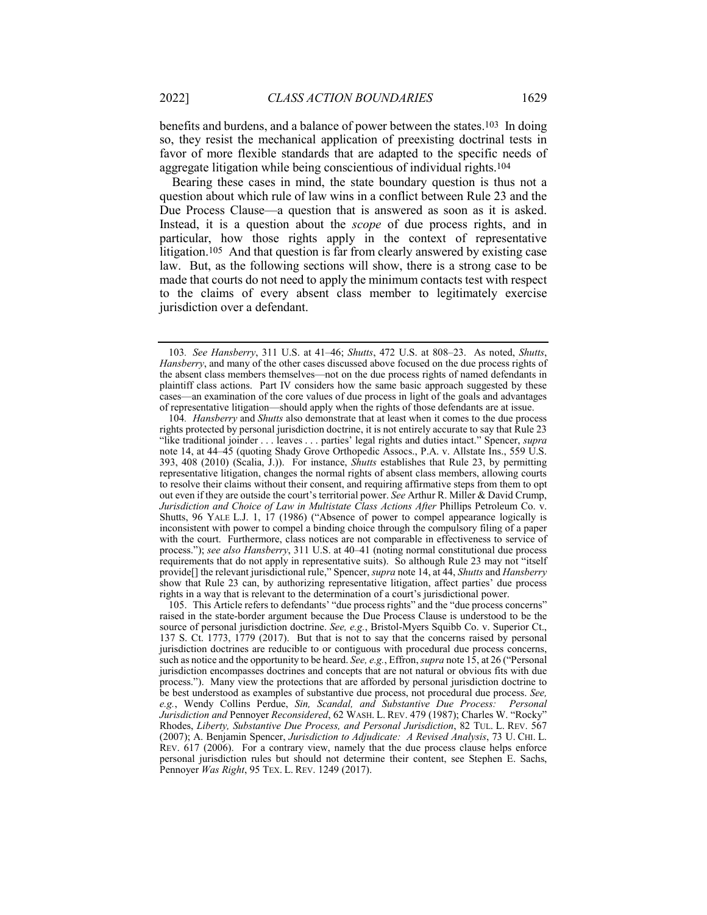benefits and burdens, and a balance of power between the states.103 In doing so, they resist the mechanical application of preexisting doctrinal tests in favor of more flexible standards that are adapted to the specific needs of aggregate litigation while being conscientious of individual rights.104

Bearing these cases in mind, the state boundary question is thus not a question about which rule of law wins in a conflict between Rule 23 and the Due Process Clause—a question that is answered as soon as it is asked. Instead, it is a question about the *scope* of due process rights, and in particular, how those rights apply in the context of representative litigation.105 And that question is far from clearly answered by existing case law. But, as the following sections will show, there is a strong case to be made that courts do not need to apply the minimum contacts test with respect to the claims of every absent class member to legitimately exercise jurisdiction over a defendant.

104*. Hansberry* and *Shutts* also demonstrate that at least when it comes to the due process rights protected by personal jurisdiction doctrine, it is not entirely accurate to say that Rule 23 "like traditional joinder . . . leaves . . . parties' legal rights and duties intact." Spencer, *supra* note 14, at 44–45 (quoting Shady Grove Orthopedic Assocs., P.A. v. Allstate Ins., 559 U.S. 393, 408 (2010) (Scalia, J.)). For instance, *Shutts* establishes that Rule 23, by permitting representative litigation, changes the normal rights of absent class members, allowing courts to resolve their claims without their consent, and requiring affirmative steps from them to opt out even if they are outside the court's territorial power. *See* Arthur R. Miller & David Crump, *Jurisdiction and Choice of Law in Multistate Class Actions After* Phillips Petroleum Co. v. Shutts, 96 YALE L.J. 1, 17 (1986) ("Absence of power to compel appearance logically is inconsistent with power to compel a binding choice through the compulsory filing of a paper with the court. Furthermore, class notices are not comparable in effectiveness to service of process."); *see also Hansberry*, 311 U.S. at 40–41 (noting normal constitutional due process requirements that do not apply in representative suits). So although Rule 23 may not "itself provide[] the relevant jurisdictional rule," Spencer, *supra* note 14, at 44, *Shutts* and *Hansberry* show that Rule 23 can, by authorizing representative litigation, affect parties' due process rights in a way that is relevant to the determination of a court's jurisdictional power.

105. This Article refers to defendants' "due process rights" and the "due process concerns" raised in the state-border argument because the Due Process Clause is understood to be the source of personal jurisdiction doctrine. *See, e.g.*, Bristol-Myers Squibb Co. v. Superior Ct., 137 S. Ct. 1773, 1779 (2017). But that is not to say that the concerns raised by personal jurisdiction doctrines are reducible to or contiguous with procedural due process concerns, such as notice and the opportunity to be heard. *See, e.g.*, Effron, *supra* note 15, at 26 ("Personal jurisdiction encompasses doctrines and concepts that are not natural or obvious fits with due process."). Many view the protections that are afforded by personal jurisdiction doctrine to be best understood as examples of substantive due process, not procedural due process. *See, e.g.*, Wendy Collins Perdue, *Sin, Scandal, and Substantive Due Process: Personal Jurisdiction and* Pennoyer *Reconsidered*, 62 WASH. L. REV. 479 (1987); Charles W. "Rocky" Rhodes, *Liberty, Substantive Due Process, and Personal Jurisdiction*, 82 TUL. L. REV. 567 (2007); A. Benjamin Spencer, *Jurisdiction to Adjudicate: A Revised Analysis*, 73 U. CHI. L. REV. 617 (2006). For a contrary view, namely that the due process clause helps enforce personal jurisdiction rules but should not determine their content, see Stephen E. Sachs, Pennoyer *Was Right*, 95 TEX. L. REV. 1249 (2017).

<sup>103</sup>*. See Hansberry*, 311 U.S. at 41–46; *Shutts*, 472 U.S. at 808–23. As noted, *Shutts*, *Hansberry*, and many of the other cases discussed above focused on the due process rights of the absent class members themselves—not on the due process rights of named defendants in plaintiff class actions. Part IV considers how the same basic approach suggested by these cases—an examination of the core values of due process in light of the goals and advantages of representative litigation—should apply when the rights of those defendants are at issue.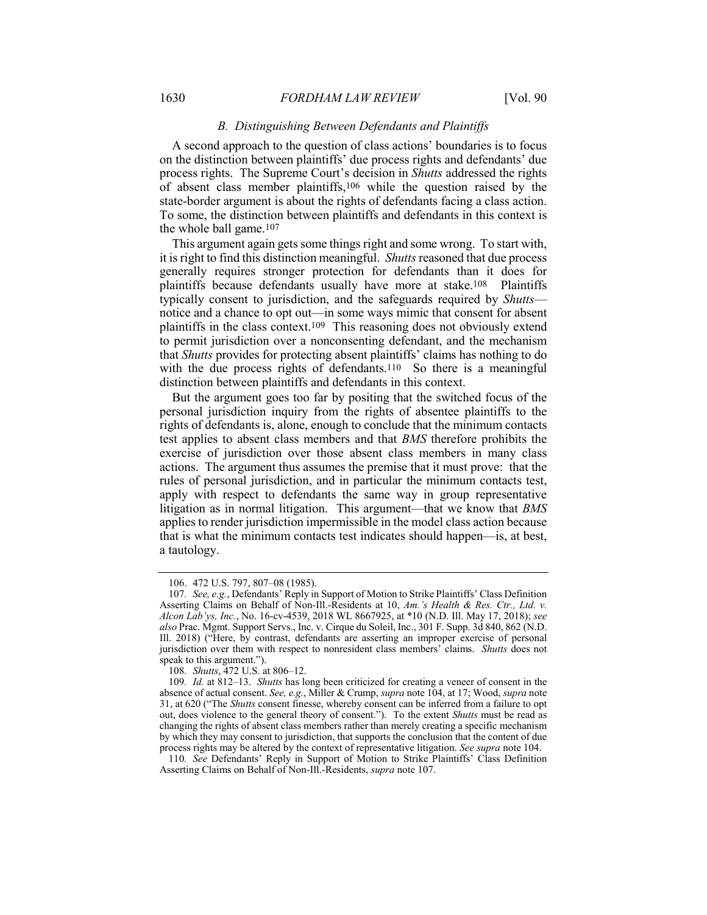## *B. Distinguishing Between Defendants and Plaintiffs*

A second approach to the question of class actions' boundaries is to focus on the distinction between plaintiffs' due process rights and defendants' due process rights. The Supreme Court's decision in *Shutts* addressed the rights of absent class member plaintiffs,106 while the question raised by the state-border argument is about the rights of defendants facing a class action. To some, the distinction between plaintiffs and defendants in this context is the whole ball game.107

This argument again gets some things right and some wrong. To start with, it is right to find this distinction meaningful. *Shutts*reasoned that due process generally requires stronger protection for defendants than it does for plaintiffs because defendants usually have more at stake.108 Plaintiffs typically consent to jurisdiction, and the safeguards required by *Shutts* notice and a chance to opt out—in some ways mimic that consent for absent plaintiffs in the class context.109 This reasoning does not obviously extend to permit jurisdiction over a nonconsenting defendant, and the mechanism that *Shutts* provides for protecting absent plaintiffs' claims has nothing to do with the due process rights of defendants.<sup>110</sup> So there is a meaningful distinction between plaintiffs and defendants in this context.

But the argument goes too far by positing that the switched focus of the personal jurisdiction inquiry from the rights of absentee plaintiffs to the rights of defendants is, alone, enough to conclude that the minimum contacts test applies to absent class members and that *BMS* therefore prohibits the exercise of jurisdiction over those absent class members in many class actions. The argument thus assumes the premise that it must prove: that the rules of personal jurisdiction, and in particular the minimum contacts test, apply with respect to defendants the same way in group representative litigation as in normal litigation. This argument—that we know that *BMS* applies to render jurisdiction impermissible in the model class action because that is what the minimum contacts test indicates should happen—is, at best, a tautology.

<sup>106.</sup> 472 U.S. 797, 807–08 (1985).

<sup>107</sup>*. See, e.g.*, Defendants' Reply in Support of Motion to Strike Plaintiffs' Class Definition Asserting Claims on Behalf of Non-Ill.-Residents at 10, *Am.'s Health & Res. Ctr., Ltd. v. Alcon Lab'ys, Inc.*, No. 16-cv-4539, 2018 WL 8667925, at \*10 (N.D. Ill. May 17, 2018); *see also* Prac. Mgmt. Support Servs., Inc. v. Cirque du Soleil, Inc., 301 F. Supp. 3d 840, 862 (N.D. Ill. 2018) ("Here, by contrast, defendants are asserting an improper exercise of personal jurisdiction over them with respect to nonresident class members' claims. *Shutts* does not speak to this argument.").

<sup>108</sup>*. Shutts*, 472 U.S. at 806–12.

<sup>109</sup>*. Id.* at 812–13. *Shutts* has long been criticized for creating a veneer of consent in the absence of actual consent. *See, e.g.*, Miller & Crump, *supra* note 104, at 17; Wood, *supra* note 31, at 620 ("The *Shutts* consent finesse, whereby consent can be inferred from a failure to opt out, does violence to the general theory of consent."). To the extent *Shutts* must be read as changing the rights of absent class members rather than merely creating a specific mechanism by which they may consent to jurisdiction, that supports the conclusion that the content of due process rights may be altered by the context of representative litigation. *See supra* note 104.

<sup>110</sup>*. See* Defendants' Reply in Support of Motion to Strike Plaintiffs' Class Definition Asserting Claims on Behalf of Non-Ill.-Residents, *supra* note 107.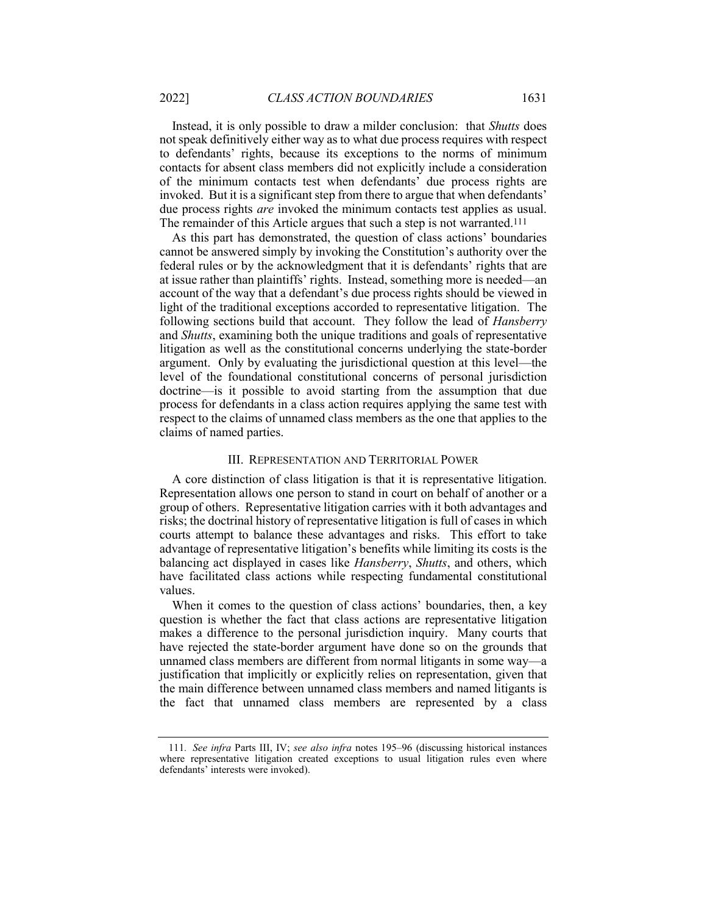Instead, it is only possible to draw a milder conclusion: that *Shutts* does not speak definitively either way as to what due process requires with respect to defendants' rights, because its exceptions to the norms of minimum contacts for absent class members did not explicitly include a consideration of the minimum contacts test when defendants' due process rights are invoked. But it is a significant step from there to argue that when defendants' due process rights *are* invoked the minimum contacts test applies as usual. The remainder of this Article argues that such a step is not warranted.<sup>111</sup>

As this part has demonstrated, the question of class actions' boundaries cannot be answered simply by invoking the Constitution's authority over the federal rules or by the acknowledgment that it is defendants' rights that are at issue rather than plaintiffs' rights. Instead, something more is needed—an account of the way that a defendant's due process rights should be viewed in light of the traditional exceptions accorded to representative litigation. The following sections build that account. They follow the lead of *Hansberry* and *Shutts*, examining both the unique traditions and goals of representative litigation as well as the constitutional concerns underlying the state-border argument. Only by evaluating the jurisdictional question at this level—the level of the foundational constitutional concerns of personal jurisdiction doctrine—is it possible to avoid starting from the assumption that due process for defendants in a class action requires applying the same test with respect to the claims of unnamed class members as the one that applies to the claims of named parties.

#### III. REPRESENTATION AND TERRITORIAL POWER

A core distinction of class litigation is that it is representative litigation. Representation allows one person to stand in court on behalf of another or a group of others. Representative litigation carries with it both advantages and risks; the doctrinal history of representative litigation is full of cases in which courts attempt to balance these advantages and risks. This effort to take advantage of representative litigation's benefits while limiting its costs is the balancing act displayed in cases like *Hansberry*, *Shutts*, and others, which have facilitated class actions while respecting fundamental constitutional values.

When it comes to the question of class actions' boundaries, then, a key question is whether the fact that class actions are representative litigation makes a difference to the personal jurisdiction inquiry. Many courts that have rejected the state-border argument have done so on the grounds that unnamed class members are different from normal litigants in some way—a justification that implicitly or explicitly relies on representation, given that the main difference between unnamed class members and named litigants is the fact that unnamed class members are represented by a class

<sup>111</sup>*. See infra* Parts III, IV; *see also infra* notes 195–96 (discussing historical instances where representative litigation created exceptions to usual litigation rules even where defendants' interests were invoked).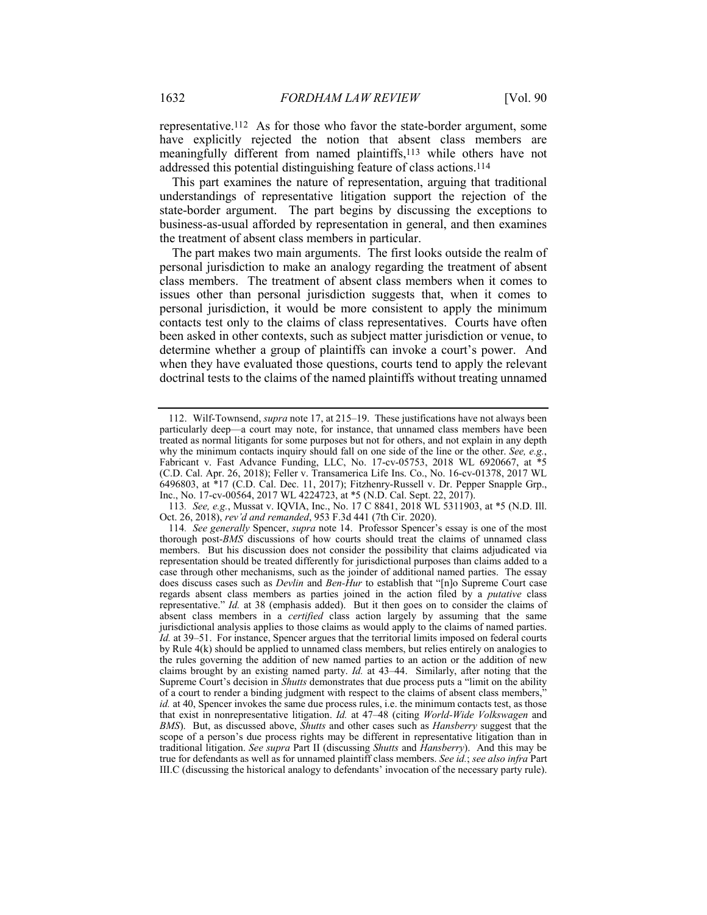representative.112 As for those who favor the state-border argument, some have explicitly rejected the notion that absent class members are meaningfully different from named plaintiffs,113 while others have not addressed this potential distinguishing feature of class actions.114

This part examines the nature of representation, arguing that traditional understandings of representative litigation support the rejection of the state-border argument. The part begins by discussing the exceptions to business-as-usual afforded by representation in general, and then examines the treatment of absent class members in particular.

The part makes two main arguments. The first looks outside the realm of personal jurisdiction to make an analogy regarding the treatment of absent class members. The treatment of absent class members when it comes to issues other than personal jurisdiction suggests that, when it comes to personal jurisdiction, it would be more consistent to apply the minimum contacts test only to the claims of class representatives. Courts have often been asked in other contexts, such as subject matter jurisdiction or venue, to determine whether a group of plaintiffs can invoke a court's power. And when they have evaluated those questions, courts tend to apply the relevant doctrinal tests to the claims of the named plaintiffs without treating unnamed

<sup>112.</sup> Wilf-Townsend, *supra* note 17, at 215–19. These justifications have not always been particularly deep—a court may note, for instance, that unnamed class members have been treated as normal litigants for some purposes but not for others, and not explain in any depth why the minimum contacts inquiry should fall on one side of the line or the other. *See, e.g.*, why the minimum contacts inquiry should fall on one side of the line or the *concern* Fabricant v. Fast Advance Funding, LLC, No. 17-cv-05753, 2018 WL 6920667, at (C.D. Cal. Apr. 26, 2018); Feller v. Transamerica Life Ins. Co., No. 16-cv-01378, 2017 WL 6496803, at \*17 (C.D. Cal. Dec. 11, 2017); Fitzhenry-Russell v. Dr. Pepper Snapple Grp., Inc., No. 17-cv-00564, 2017 WL 4224723, at \*5 (N.D. Cal. Sept. 22, 2017).

<sup>113</sup>*. See, e.g.*, Mussat v. IQVIA, Inc., No. 17 C 8841, 2018 WL 5311903, at \*5 (N.D. Ill. Oct. 26, 2018), *rev'd and remanded*, 953 F.3d 441 (7th Cir. 2020).

<sup>114</sup>*. See generally* Spencer, *supra* note 14. Professor Spencer's essay is one of the most thorough post-*BMS* discussions of how courts should treat the claims of unnamed class members. But his discussion does not consider the possibility that claims adjudicated via representation should be treated differently for jurisdictional purposes than claims added to a case through other mechanisms, such as the joinder of additional named parties. The essay does discuss cases such as *Devlin* and *Ben-Hur* to establish that "[n]o Supreme Court case regards absent class members as parties joined in the action filed by a *putative* class representative." *Id.* at 38 (emphasis added). But it then goes on to consider the claims of absent class members in a *certified* class action largely by assuming that the same jurisdictional analysis applies to those claims as would apply to the claims of named parties. *Id.* at 39–51. For instance, Spencer argues that the territorial limits imposed on federal courts by Rule 4(k) should be applied to unnamed class members, but relies entirely on analogies to the rules governing the addition of new named parties to an action or the addition of new claims brought by an existing named party. *Id.* at 43–44. Similarly, after noting that the Supreme Court's decision in *Shutts* demonstrates that due process puts a "limit on the ability of a court to render a binding judgment with respect to the claims of absent class members," *id.* at 40, Spencer invokes the same due process rules, i.e. the minimum contacts test, as those that exist in nonrepresentative litigation. *Id.* at 47–48 (citing *World-Wide Volkswagen* and *BMS*). But, as discussed above, *Shutts* and other cases such as *Hansberry* suggest that the scope of a person's due process rights may be different in representative litigation than in traditional litigation. *See supra* Part II (discussing *Shutts* and *Hansberry*). And this may be true for defendants as well as for unnamed plaintiff class members. *See id.*; *see also infra* Part III.C (discussing the historical analogy to defendants' invocation of the necessary party rule).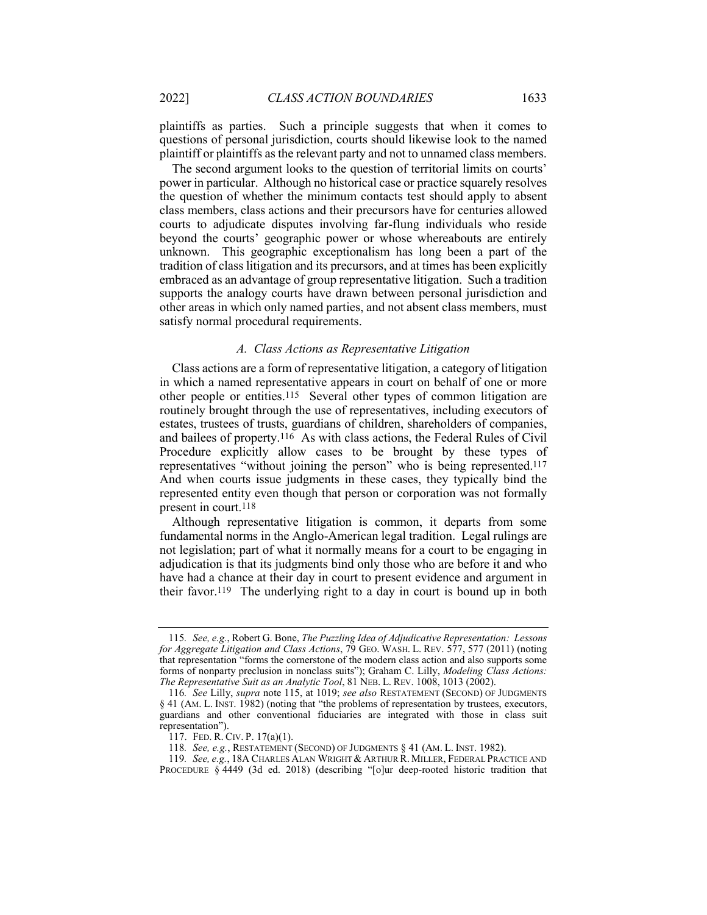plaintiffs as parties. Such a principle suggests that when it comes to questions of personal jurisdiction, courts should likewise look to the named plaintiff or plaintiffs as the relevant party and not to unnamed class members.

The second argument looks to the question of territorial limits on courts' power in particular. Although no historical case or practice squarely resolves the question of whether the minimum contacts test should apply to absent class members, class actions and their precursors have for centuries allowed courts to adjudicate disputes involving far-flung individuals who reside beyond the courts' geographic power or whose whereabouts are entirely unknown. This geographic exceptionalism has long been a part of the tradition of class litigation and its precursors, and at times has been explicitly embraced as an advantage of group representative litigation. Such a tradition supports the analogy courts have drawn between personal jurisdiction and other areas in which only named parties, and not absent class members, must satisfy normal procedural requirements.

## *A. Class Actions as Representative Litigation*

Class actions are a form of representative litigation, a category of litigation in which a named representative appears in court on behalf of one or more other people or entities.115 Several other types of common litigation are routinely brought through the use of representatives, including executors of estates, trustees of trusts, guardians of children, shareholders of companies, and bailees of property.116 As with class actions, the Federal Rules of Civil Procedure explicitly allow cases to be brought by these types of representatives "without joining the person" who is being represented.117 And when courts issue judgments in these cases, they typically bind the represented entity even though that person or corporation was not formally present in court.118

Although representative litigation is common, it departs from some fundamental norms in the Anglo-American legal tradition. Legal rulings are not legislation; part of what it normally means for a court to be engaging in adjudication is that its judgments bind only those who are before it and who have had a chance at their day in court to present evidence and argument in their favor.119 The underlying right to a day in court is bound up in both

<sup>115</sup>*. See, e.g.*, Robert G. Bone, *The Puzzling Idea of Adjudicative Representation: Lessons for Aggregate Litigation and Class Actions*, 79 GEO. WASH. L. REV. 577, 577 (2011) (noting that representation "forms the cornerstone of the modern class action and also supports some forms of nonparty preclusion in nonclass suits"); Graham C. Lilly, *Modeling Class Actions: The Representative Suit as an Analytic Tool*, 81 NEB. L. REV. 1008, 1013 (2002).

<sup>116</sup>*. See* Lilly, *supra* note 115, at 1019; *see also* RESTATEMENT (SECOND) OF JUDGMENTS § 41 (AM. L. INST. 1982) (noting that "the problems of representation by trustees, executors, guardians and other conventional fiduciaries are integrated with those in class suit representation").

<sup>117.</sup> FED. R. CIV. P.  $17(a)(1)$ .

<sup>118</sup>*. See, e.g.*, RESTATEMENT (SECOND) OF JUDGMENTS § 41 (AM. L. INST. 1982).

<sup>119</sup>*. See, e.g.*, 18A CHARLES ALAN WRIGHT & ARTHUR R. MILLER, FEDERAL PRACTICE AND PROCEDURE § 4449 (3d ed. 2018) (describing "[o]ur deep-rooted historic tradition that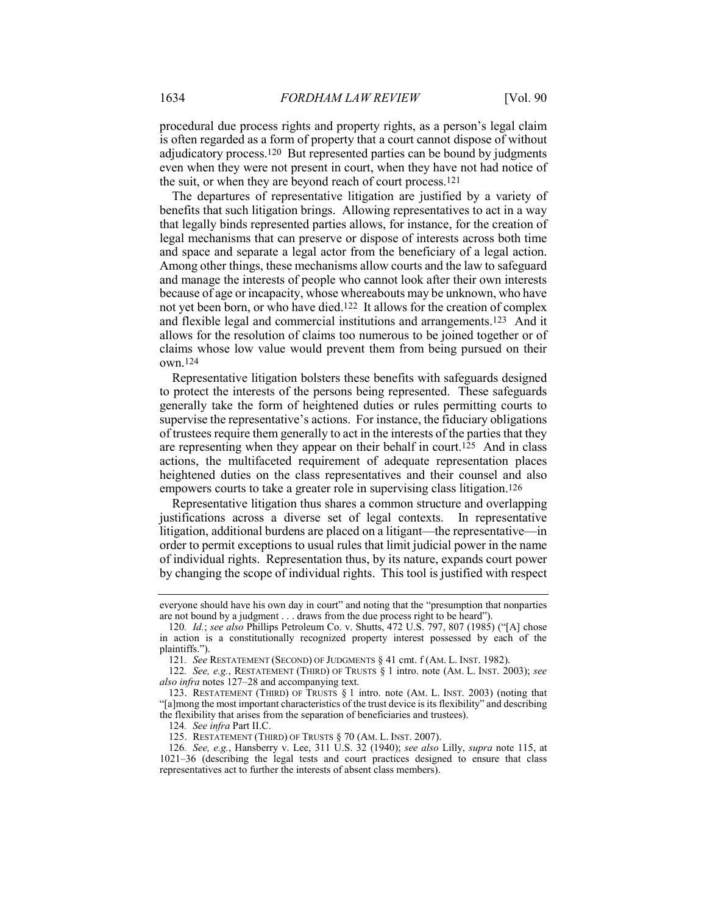procedural due process rights and property rights, as a person's legal claim is often regarded as a form of property that a court cannot dispose of without adjudicatory process.120 But represented parties can be bound by judgments even when they were not present in court, when they have not had notice of the suit, or when they are beyond reach of court process.121

The departures of representative litigation are justified by a variety of benefits that such litigation brings. Allowing representatives to act in a way that legally binds represented parties allows, for instance, for the creation of legal mechanisms that can preserve or dispose of interests across both time and space and separate a legal actor from the beneficiary of a legal action. Among other things, these mechanisms allow courts and the law to safeguard and manage the interests of people who cannot look after their own interests because of age or incapacity, whose whereabouts may be unknown, who have not yet been born, or who have died.122 It allows for the creation of complex and flexible legal and commercial institutions and arrangements.123 And it allows for the resolution of claims too numerous to be joined together or of claims whose low value would prevent them from being pursued on their own.124

Representative litigation bolsters these benefits with safeguards designed to protect the interests of the persons being represented. These safeguards generally take the form of heightened duties or rules permitting courts to supervise the representative's actions. For instance, the fiduciary obligations of trustees require them generally to act in the interests of the parties that they are representing when they appear on their behalf in court.<sup>125</sup> And in class actions, the multifaceted requirement of adequate representation places heightened duties on the class representatives and their counsel and also empowers courts to take a greater role in supervising class litigation.126

Representative litigation thus shares a common structure and overlapping justifications across a diverse set of legal contexts. In representative litigation, additional burdens are placed on a litigant—the representative—in order to permit exceptions to usual rules that limit judicial power in the name of individual rights. Representation thus, by its nature, expands court power by changing the scope of individual rights. This tool is justified with respect

everyone should have his own day in court" and noting that the "presumption that nonparties are not bound by a judgment . . . draws from the due process right to be heard").

<sup>120</sup>*. Id.*; *see also* Phillips Petroleum Co. v. Shutts, 472 U.S. 797, 807 (1985) ("[A] chose in action is a constitutionally recognized property interest possessed by each of the plaintiffs.").

<sup>121</sup>*. See* RESTATEMENT (SECOND) OF JUDGMENTS § 41 cmt. f (AM. L. INST. 1982).

<sup>122</sup>*. See, e.g.*, RESTATEMENT (THIRD) OF TRUSTS § 1 intro. note (AM. L. INST. 2003); *see also infra* notes 127–28 and accompanying text.

<sup>123.</sup> RESTATEMENT (THIRD) OF TRUSTS § 1 intro. note (AM. L. INST. 2003) (noting that "[a]mong the most important characteristics of the trust device is its flexibility" and describing the flexibility that arises from the separation of beneficiaries and trustees).

<sup>124</sup>*. See infra* Part II.C.

<sup>125.</sup> RESTATEMENT (THIRD) OF TRUSTS § 70 (AM. L. INST. 2007).

<sup>126</sup>*. See, e.g.*, Hansberry v. Lee, 311 U.S. 32 (1940); *see also* Lilly, *supra* note 115, at 1021–36 (describing the legal tests and court practices designed to ensure that class representatives act to further the interests of absent class members).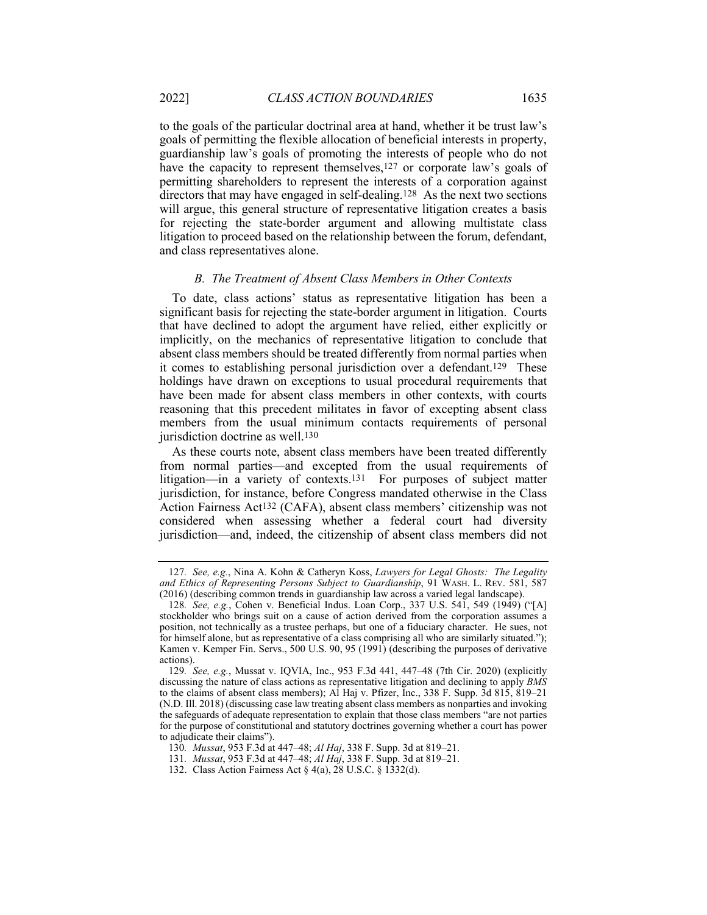to the goals of the particular doctrinal area at hand, whether it be trust law's goals of permitting the flexible allocation of beneficial interests in property, guardianship law's goals of promoting the interests of people who do not have the capacity to represent themselves,<sup>127</sup> or corporate law's goals of permitting shareholders to represent the interests of a corporation against directors that may have engaged in self-dealing.128 As the next two sections will argue, this general structure of representative litigation creates a basis for rejecting the state-border argument and allowing multistate class litigation to proceed based on the relationship between the forum, defendant, and class representatives alone.

#### *B. The Treatment of Absent Class Members in Other Contexts*

To date, class actions' status as representative litigation has been a significant basis for rejecting the state-border argument in litigation. Courts that have declined to adopt the argument have relied, either explicitly or implicitly, on the mechanics of representative litigation to conclude that absent class members should be treated differently from normal parties when it comes to establishing personal jurisdiction over a defendant.129 These holdings have drawn on exceptions to usual procedural requirements that have been made for absent class members in other contexts, with courts reasoning that this precedent militates in favor of excepting absent class members from the usual minimum contacts requirements of personal jurisdiction doctrine as well.<sup>130</sup>

As these courts note, absent class members have been treated differently from normal parties—and excepted from the usual requirements of litigation—in a variety of contexts.131 For purposes of subject matter jurisdiction, for instance, before Congress mandated otherwise in the Class Action Fairness Act132 (CAFA), absent class members' citizenship was not considered when assessing whether a federal court had diversity jurisdiction—and, indeed, the citizenship of absent class members did not

<sup>127</sup>*. See, e.g.*, Nina A. Kohn & Catheryn Koss, *Lawyers for Legal Ghosts: The Legality and Ethics of Representing Persons Subject to Guardianship*, 91 WASH. L. REV. 581, 587 (2016) (describing common trends in guardianship law across a varied legal landscape).

<sup>128</sup>*. See, e.g.*, Cohen v. Beneficial Indus. Loan Corp., 337 U.S. 541, 549 (1949) ("[A] stockholder who brings suit on a cause of action derived from the corporation assumes a position, not technically as a trustee perhaps, but one of a fiduciary character. He sues, not for himself alone, but as representative of a class comprising all who are similarly situated."); Kamen v. Kemper Fin. Servs., 500 U.S. 90, 95 (1991) (describing the purposes of derivative actions).

<sup>129</sup>*. See, e.g.*, Mussat v. IQVIA, Inc., 953 F.3d 441, 447–48 (7th Cir. 2020) (explicitly discussing the nature of class actions as representative litigation and declining to apply *BMS* to the claims of absent class members); Al Haj v. Pfizer, Inc., 338 F. Supp. 3d 815, 819–21 (N.D. Ill. 2018) (discussing case law treating absent class members as nonparties and invoking the safeguards of adequate representation to explain that those class members "are not parties for the purpose of constitutional and statutory doctrines governing whether a court has power to adjudicate their claims").

<sup>130</sup>*. Mussat*, 953 F.3d at 447–48; *Al Haj*, 338 F. Supp. 3d at 819–21.

<sup>131</sup>*. Mussat*, 953 F.3d at 447–48; *Al Haj*, 338 F. Supp. 3d at 819–21.

<sup>132.</sup> Class Action Fairness Act § 4(a), 28 U.S.C. § 1332(d).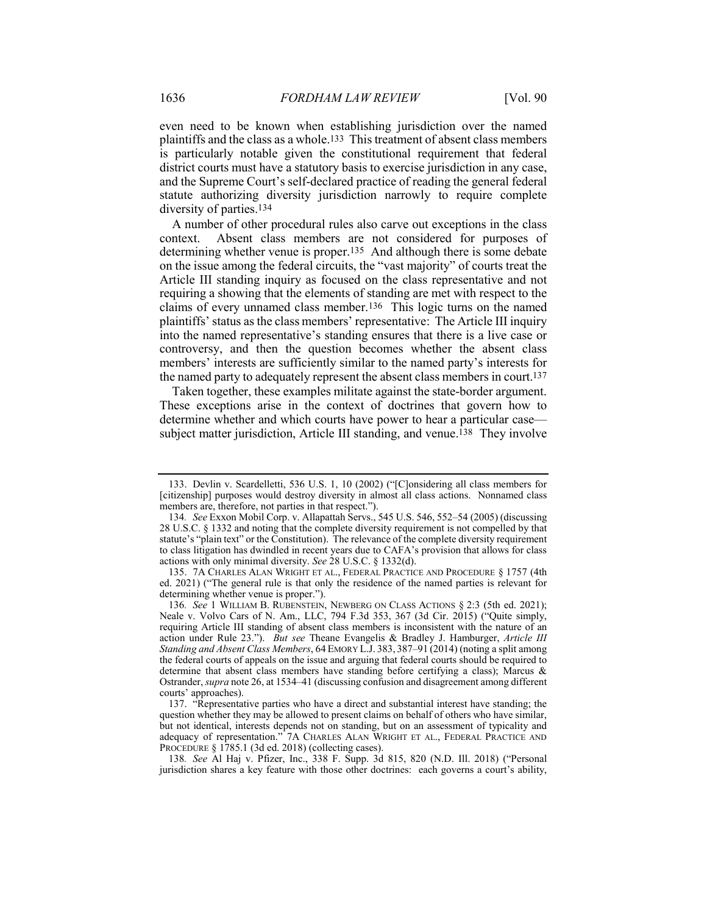even need to be known when establishing jurisdiction over the named plaintiffs and the class as a whole.133 This treatment of absent class members is particularly notable given the constitutional requirement that federal district courts must have a statutory basis to exercise jurisdiction in any case, and the Supreme Court's self-declared practice of reading the general federal statute authorizing diversity jurisdiction narrowly to require complete diversity of parties.134

A number of other procedural rules also carve out exceptions in the class context. Absent class members are not considered for purposes of determining whether venue is proper.135 And although there is some debate on the issue among the federal circuits, the "vast majority" of courts treat the Article III standing inquiry as focused on the class representative and not requiring a showing that the elements of standing are met with respect to the claims of every unnamed class member.136 This logic turns on the named plaintiffs' status as the class members' representative: The Article III inquiry into the named representative's standing ensures that there is a live case or controversy, and then the question becomes whether the absent class members' interests are sufficiently similar to the named party's interests for the named party to adequately represent the absent class members in court.137

Taken together, these examples militate against the state-border argument. These exceptions arise in the context of doctrines that govern how to determine whether and which courts have power to hear a particular case subject matter jurisdiction, Article III standing, and venue.138 They involve

<sup>133.</sup> Devlin v. Scardelletti, 536 U.S. 1, 10 (2002) ("[C]onsidering all class members for [citizenship] purposes would destroy diversity in almost all class actions. Nonnamed class members are, therefore, not parties in that respect.").

<sup>134</sup>*. See* Exxon Mobil Corp. v. Allapattah Servs., 545 U.S. 546, 552–54 (2005) (discussing 28 U.S.C. § 1332 and noting that the complete diversity requirement is not compelled by that statute's "plain text" or the Constitution). The relevance of the complete diversity requirement to class litigation has dwindled in recent years due to CAFA's provision that allows for class actions with only minimal diversity. *See* 28 U.S.C. § 1332(d).

<sup>135.</sup> 7A CHARLES ALAN WRIGHT ET AL., FEDERAL PRACTICE AND PROCEDURE § 1757 (4th ed. 2021) ("The general rule is that only the residence of the named parties is relevant for determining whether venue is proper.").

<sup>136</sup>*. See* 1 WILLIAM B. RUBENSTEIN, NEWBERG ON CLASS ACTIONS § 2:3 (5th ed. 2021); Neale v. Volvo Cars of N. Am., LLC, 794 F.3d 353, 367 (3d Cir. 2015) ("Quite simply, requiring Article III standing of absent class members is inconsistent with the nature of an action under Rule 23."). *But see* Theane Evangelis & Bradley J. Hamburger, *Article III Standing and Absent Class Members*, 64 EMORY L.J. 383, 387–91 (2014) (noting a split among the federal courts of appeals on the issue and arguing that federal courts should be required to determine that absent class members have standing before certifying a class); Marcus & Ostrander, *supra* note 26, at 1534–41 (discussing confusion and disagreement among different courts' approaches).

<sup>137.</sup> "Representative parties who have a direct and substantial interest have standing; the question whether they may be allowed to present claims on behalf of others who have similar, but not identical, interests depends not on standing, but on an assessment of typicality and adequacy of representation." 7A CHARLES ALAN WRIGHT ET AL., FEDERAL PRACTICE AND PROCEDURE § 1785.1 (3d ed. 2018) (collecting cases).

<sup>138</sup>*. See* Al Haj v. Pfizer, Inc., 338 F. Supp. 3d 815, 820 (N.D. Ill. 2018) ("Personal jurisdiction shares a key feature with those other doctrines: each governs a court's ability,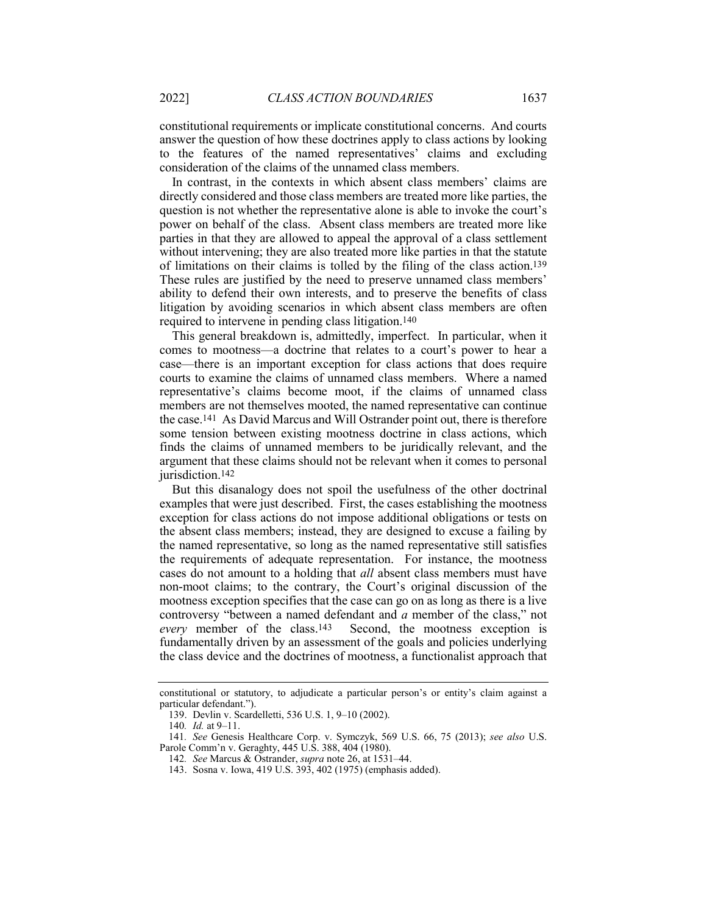constitutional requirements or implicate constitutional concerns. And courts answer the question of how these doctrines apply to class actions by looking to the features of the named representatives' claims and excluding consideration of the claims of the unnamed class members.

In contrast, in the contexts in which absent class members' claims are directly considered and those class members are treated more like parties, the question is not whether the representative alone is able to invoke the court's power on behalf of the class. Absent class members are treated more like parties in that they are allowed to appeal the approval of a class settlement without intervening; they are also treated more like parties in that the statute of limitations on their claims is tolled by the filing of the class action.139 These rules are justified by the need to preserve unnamed class members' ability to defend their own interests, and to preserve the benefits of class litigation by avoiding scenarios in which absent class members are often required to intervene in pending class litigation.140

This general breakdown is, admittedly, imperfect. In particular, when it comes to mootness—a doctrine that relates to a court's power to hear a case—there is an important exception for class actions that does require courts to examine the claims of unnamed class members. Where a named representative's claims become moot, if the claims of unnamed class members are not themselves mooted, the named representative can continue the case.141 As David Marcus and Will Ostrander point out, there is therefore some tension between existing mootness doctrine in class actions, which finds the claims of unnamed members to be juridically relevant, and the argument that these claims should not be relevant when it comes to personal jurisdiction.<sup>142</sup>

But this disanalogy does not spoil the usefulness of the other doctrinal examples that were just described. First, the cases establishing the mootness exception for class actions do not impose additional obligations or tests on the absent class members; instead, they are designed to excuse a failing by the named representative, so long as the named representative still satisfies the requirements of adequate representation. For instance, the mootness cases do not amount to a holding that *all* absent class members must have non-moot claims; to the contrary, the Court's original discussion of the mootness exception specifies that the case can go on as long as there is a live controversy "between a named defendant and *a* member of the class," not *every* member of the class.143 Second, the mootness exception is fundamentally driven by an assessment of the goals and policies underlying the class device and the doctrines of mootness, a functionalist approach that

constitutional or statutory, to adjudicate a particular person's or entity's claim against a particular defendant.").

<sup>139.</sup> Devlin v. Scardelletti, 536 U.S. 1, 9–10 (2002).

<sup>140</sup>*. Id.* at 9–11.

<sup>141</sup>*. See* Genesis Healthcare Corp. v. Symczyk, 569 U.S. 66, 75 (2013); *see also* U.S. Parole Comm'n v. Geraghty, 445 U.S. 388, 404 (1980).

<sup>142</sup>*. See* Marcus & Ostrander, *supra* note 26, at 1531–44.

<sup>143.</sup> Sosna v. Iowa, 419 U.S. 393, 402 (1975) (emphasis added).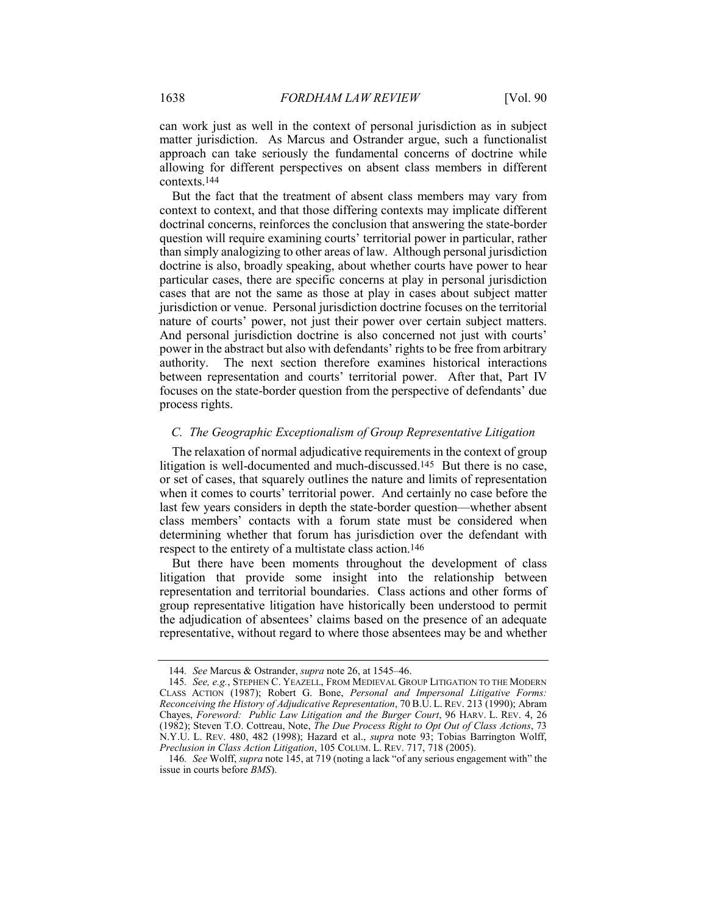can work just as well in the context of personal jurisdiction as in subject matter jurisdiction. As Marcus and Ostrander argue, such a functionalist approach can take seriously the fundamental concerns of doctrine while allowing for different perspectives on absent class members in different contexts.144

But the fact that the treatment of absent class members may vary from context to context, and that those differing contexts may implicate different doctrinal concerns, reinforces the conclusion that answering the state-border question will require examining courts' territorial power in particular, rather than simply analogizing to other areas of law. Although personal jurisdiction doctrine is also, broadly speaking, about whether courts have power to hear particular cases, there are specific concerns at play in personal jurisdiction cases that are not the same as those at play in cases about subject matter jurisdiction or venue. Personal jurisdiction doctrine focuses on the territorial nature of courts' power, not just their power over certain subject matters. And personal jurisdiction doctrine is also concerned not just with courts' power in the abstract but also with defendants' rights to be free from arbitrary authority. The next section therefore examines historical interactions between representation and courts' territorial power. After that, Part IV focuses on the state-border question from the perspective of defendants' due process rights.

## *C. The Geographic Exceptionalism of Group Representative Litigation*

The relaxation of normal adjudicative requirements in the context of group litigation is well-documented and much-discussed.145 But there is no case, or set of cases, that squarely outlines the nature and limits of representation when it comes to courts' territorial power. And certainly no case before the last few years considers in depth the state-border question—whether absent class members' contacts with a forum state must be considered when determining whether that forum has jurisdiction over the defendant with respect to the entirety of a multistate class action.146

But there have been moments throughout the development of class litigation that provide some insight into the relationship between representation and territorial boundaries. Class actions and other forms of group representative litigation have historically been understood to permit the adjudication of absentees' claims based on the presence of an adequate representative, without regard to where those absentees may be and whether

<sup>144</sup>*. See* Marcus & Ostrander, *supra* note 26, at 1545–46.

<sup>145</sup>*. See, e.g.*, STEPHEN C. YEAZELL, FROM MEDIEVAL GROUP LITIGATION TO THE MODERN CLASS ACTION (1987); Robert G. Bone, *Personal and Impersonal Litigative Forms: Reconceiving the History of Adjudicative Representation*, 70 B.U. L. REV. 213 (1990); Abram Chayes, *Foreword: Public Law Litigation and the Burger Court*, 96 HARV. L. REV. 4, 26 (1982); Steven T.O. Cottreau, Note, *The Due Process Right to Opt Out of Class Actions*, 73 N.Y.U. L. REV. 480, 482 (1998); Hazard et al., *supra* note 93; Tobias Barrington Wolff, *Preclusion in Class Action Litigation*, 105 COLUM. L. REV. 717, 718 (2005).

<sup>146</sup>*. See* Wolff, *supra* note 145, at 719 (noting a lack "of any serious engagement with" the issue in courts before *BMS*).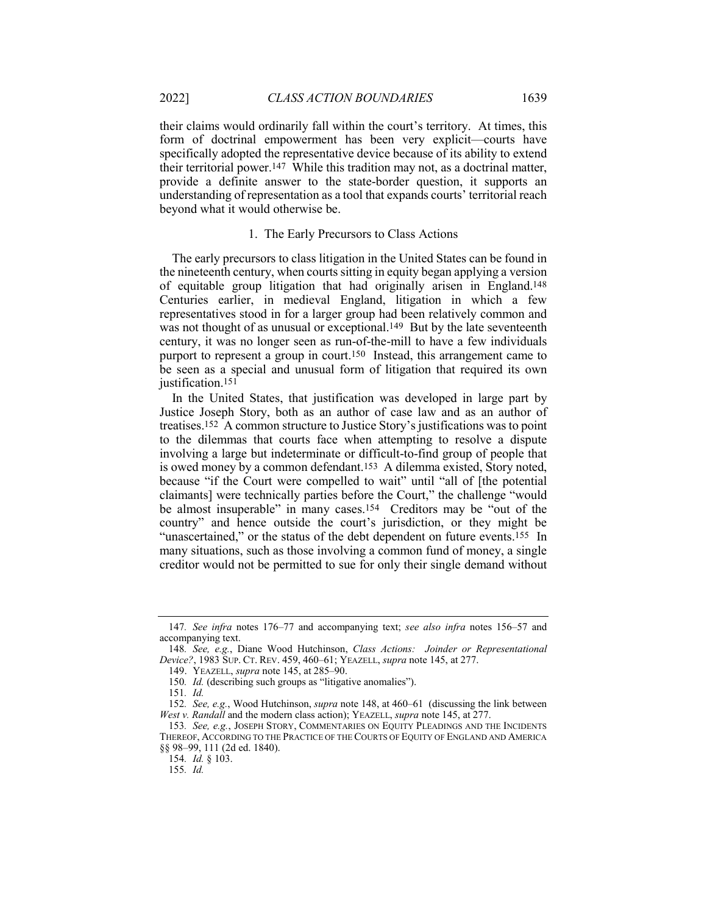their claims would ordinarily fall within the court's territory. At times, this form of doctrinal empowerment has been very explicit—courts have specifically adopted the representative device because of its ability to extend their territorial power.147 While this tradition may not, as a doctrinal matter, provide a definite answer to the state-border question, it supports an understanding of representation as a tool that expands courts' territorial reach beyond what it would otherwise be.

## 1. The Early Precursors to Class Actions

The early precursors to class litigation in the United States can be found in the nineteenth century, when courts sitting in equity began applying a version of equitable group litigation that had originally arisen in England.148 Centuries earlier, in medieval England, litigation in which a few representatives stood in for a larger group had been relatively common and was not thought of as unusual or exceptional.<sup>149</sup> But by the late seventeenth century, it was no longer seen as run-of-the-mill to have a few individuals purport to represent a group in court.150 Instead, this arrangement came to be seen as a special and unusual form of litigation that required its own justification.<sup>151</sup>

In the United States, that justification was developed in large part by Justice Joseph Story, both as an author of case law and as an author of treatises.152 A common structure to Justice Story's justifications was to point to the dilemmas that courts face when attempting to resolve a dispute involving a large but indeterminate or difficult-to-find group of people that is owed money by a common defendant.153 A dilemma existed, Story noted, because "if the Court were compelled to wait" until "all of [the potential claimants] were technically parties before the Court," the challenge "would be almost insuperable" in many cases.154 Creditors may be "out of the country" and hence outside the court's jurisdiction, or they might be "unascertained," or the status of the debt dependent on future events.155 In many situations, such as those involving a common fund of money, a single creditor would not be permitted to sue for only their single demand without

<sup>147</sup>*. See infra* notes 176–77 and accompanying text; *see also infra* notes 156–57 and accompanying text.

<sup>148</sup>*. See, e.g.*, Diane Wood Hutchinson, *Class Actions: Joinder or Representational Device?*, 1983 SUP. CT. REV. 459, 460–61; YEAZELL, *supra* note 145, at 277.

<sup>149.</sup> YEAZELL, *supra* note 145, at 285–90.

<sup>150</sup>*. Id.* (describing such groups as "litigative anomalies").

<sup>151</sup>*. Id.*

<sup>152</sup>*. See, e.g.*, Wood Hutchinson, *supra* note 148, at 460–61 (discussing the link between *West v. Randall* and the modern class action); YEAZELL, *supra* note 145, at 277.

<sup>153</sup>*. See, e.g.*, JOSEPH STORY, COMMENTARIES ON EQUITY PLEADINGS AND THE INCIDENTS THEREOF, ACCORDING TO THE PRACTICE OF THE COURTS OF EQUITY OF ENGLAND AND AMERICA §§ 98–99, 111 (2d ed. 1840).

<sup>154</sup>*. Id.* § 103.

<sup>155</sup>*. Id.*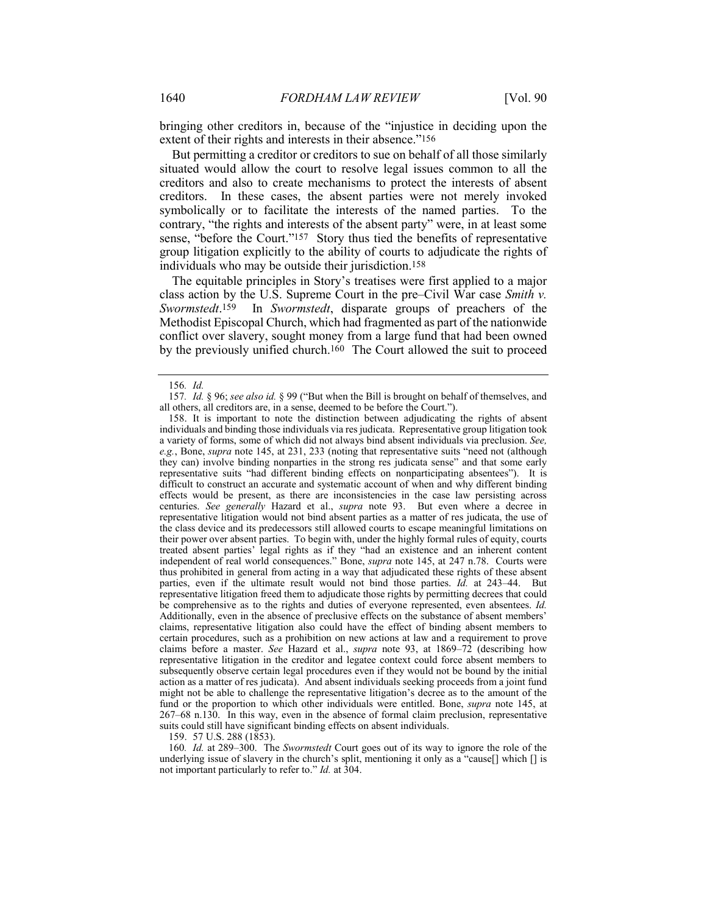bringing other creditors in, because of the "injustice in deciding upon the extent of their rights and interests in their absence."156

But permitting a creditor or creditors to sue on behalf of all those similarly situated would allow the court to resolve legal issues common to all the creditors and also to create mechanisms to protect the interests of absent creditors. In these cases, the absent parties were not merely invoked symbolically or to facilitate the interests of the named parties. To the contrary, "the rights and interests of the absent party" were, in at least some sense, "before the Court."157 Story thus tied the benefits of representative group litigation explicitly to the ability of courts to adjudicate the rights of individuals who may be outside their jurisdiction.158

The equitable principles in Story's treatises were first applied to a major class action by the U.S. Supreme Court in the pre–Civil War case *Smith v. Swormstedt*.159 In *Swormstedt*, disparate groups of preachers of the Methodist Episcopal Church, which had fragmented as part of the nationwide conflict over slavery, sought money from a large fund that had been owned by the previously unified church.160 The Court allowed the suit to proceed

159. 57 U.S. 288 (1853).

160*. Id.* at 289–300. The *Swormstedt* Court goes out of its way to ignore the role of the underlying issue of slavery in the church's split, mentioning it only as a "cause[] which [] is not important particularly to refer to." *Id.* at 304.

<sup>156</sup>*. Id.*

<sup>157</sup>*. Id.* § 96; *see also id.* § 99 ("But when the Bill is brought on behalf of themselves, and all others, all creditors are, in a sense, deemed to be before the Court.").

<sup>158.</sup> It is important to note the distinction between adjudicating the rights of absent individuals and binding those individuals via res judicata. Representative group litigation took a variety of forms, some of which did not always bind absent individuals via preclusion. *See, e.g.*, Bone, *supra* note 145, at 231, 233 (noting that representative suits "need not (although they can) involve binding nonparties in the strong res judicata sense" and that some early representative suits "had different binding effects on nonparticipating absentees"). It is difficult to construct an accurate and systematic account of when and why different binding effects would be present, as there are inconsistencies in the case law persisting across centuries. *See generally* Hazard et al., *supra* note 93. But even where a decree in representative litigation would not bind absent parties as a matter of res judicata, the use of the class device and its predecessors still allowed courts to escape meaningful limitations on their power over absent parties. To begin with, under the highly formal rules of equity, courts treated absent parties' legal rights as if they "had an existence and an inherent content independent of real world consequences." Bone, *supra* note 145, at 247 n.78. Courts were thus prohibited in general from acting in a way that adjudicated these rights of these absent parties, even if the ultimate result would not bind those parties. *Id.* at 243–44. But representative litigation freed them to adjudicate those rights by permitting decrees that could be comprehensive as to the rights and duties of everyone represented, even absentees. *Id.* Additionally, even in the absence of preclusive effects on the substance of absent members' claims, representative litigation also could have the effect of binding absent members to certain procedures, such as a prohibition on new actions at law and a requirement to prove claims before a master. *See* Hazard et al., *supra* note 93, at 1869–72 (describing how representative litigation in the creditor and legatee context could force absent members to subsequently observe certain legal procedures even if they would not be bound by the initial action as a matter of res judicata). And absent individuals seeking proceeds from a joint fund might not be able to challenge the representative litigation's decree as to the amount of the fund or the proportion to which other individuals were entitled. Bone, *supra* note 145, at 267–68 n.130. In this way, even in the absence of formal claim preclusion, representative suits could still have significant binding effects on absent individuals.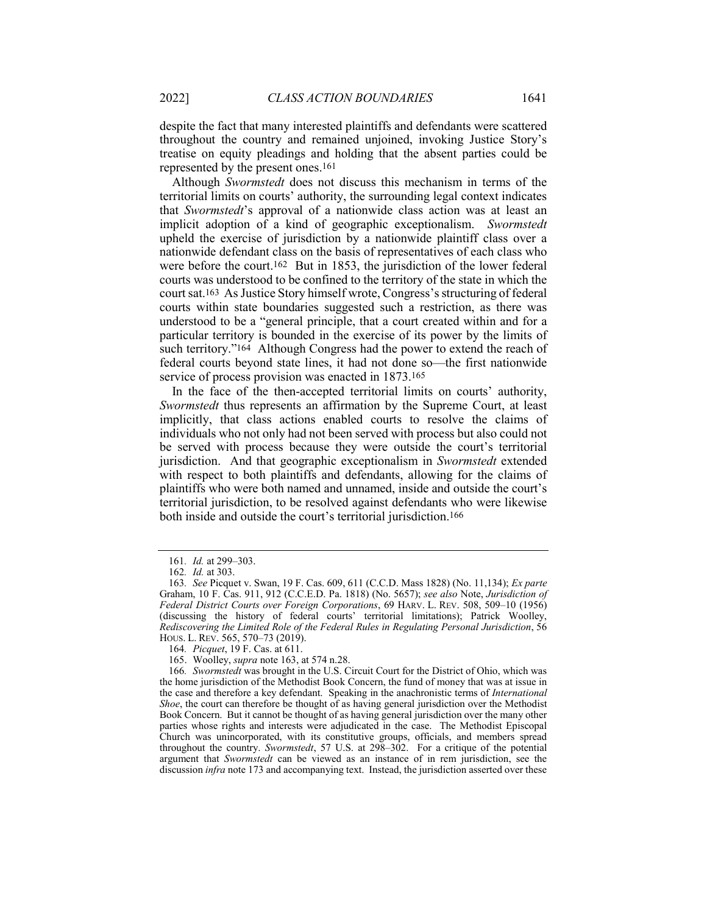despite the fact that many interested plaintiffs and defendants were scattered throughout the country and remained unjoined, invoking Justice Story's treatise on equity pleadings and holding that the absent parties could be represented by the present ones.161

Although *Swormstedt* does not discuss this mechanism in terms of the territorial limits on courts' authority, the surrounding legal context indicates that *Swormstedt*'s approval of a nationwide class action was at least an implicit adoption of a kind of geographic exceptionalism. *Swormstedt* upheld the exercise of jurisdiction by a nationwide plaintiff class over a nationwide defendant class on the basis of representatives of each class who were before the court.162 But in 1853, the jurisdiction of the lower federal courts was understood to be confined to the territory of the state in which the court sat.163 As Justice Story himself wrote, Congress's structuring of federal courts within state boundaries suggested such a restriction, as there was understood to be a "general principle, that a court created within and for a particular territory is bounded in the exercise of its power by the limits of such territory."164 Although Congress had the power to extend the reach of federal courts beyond state lines, it had not done so—the first nationwide service of process provision was enacted in 1873.<sup>165</sup>

In the face of the then-accepted territorial limits on courts' authority, *Swormstedt* thus represents an affirmation by the Supreme Court, at least implicitly, that class actions enabled courts to resolve the claims of individuals who not only had not been served with process but also could not be served with process because they were outside the court's territorial jurisdiction. And that geographic exceptionalism in *Swormstedt* extended with respect to both plaintiffs and defendants, allowing for the claims of plaintiffs who were both named and unnamed, inside and outside the court's territorial jurisdiction, to be resolved against defendants who were likewise both inside and outside the court's territorial jurisdiction.166

<sup>161</sup>*. Id.* at 299–303.

<sup>162</sup>*. Id.* at 303.

<sup>163</sup>*. See* Picquet v. Swan, 19 F. Cas. 609, 611 (C.C.D. Mass 1828) (No. 11,134); *Ex parte* Graham, 10 F. Cas. 911, 912 (C.C.E.D. Pa. 1818) (No. 5657); *see also* Note, *Jurisdiction of Federal District Courts over Foreign Corporations*, 69 HARV. L. REV. 508, 509–10 (1956) (discussing the history of federal courts' territorial limitations); Patrick Woolley, *Rediscovering the Limited Role of the Federal Rules in Regulating Personal Jurisdiction*, 56 HOUS. L. REV. 565, 570–73 (2019).

<sup>164</sup>*. Picquet*, 19 F. Cas. at 611.

<sup>165.</sup> Woolley, *supra* note 163, at 574 n.28.

<sup>166</sup>*. Swormstedt* was brought in the U.S. Circuit Court for the District of Ohio, which was the home jurisdiction of the Methodist Book Concern, the fund of money that was at issue in the case and therefore a key defendant. Speaking in the anachronistic terms of *International Shoe*, the court can therefore be thought of as having general jurisdiction over the Methodist Book Concern. But it cannot be thought of as having general jurisdiction over the many other parties whose rights and interests were adjudicated in the case. The Methodist Episcopal Church was unincorporated, with its constitutive groups, officials, and members spread throughout the country. *Swormstedt*, 57 U.S. at 298–302. For a critique of the potential argument that *Swormstedt* can be viewed as an instance of in rem jurisdiction, see the discussion *infra* note 173 and accompanying text. Instead, the jurisdiction asserted over these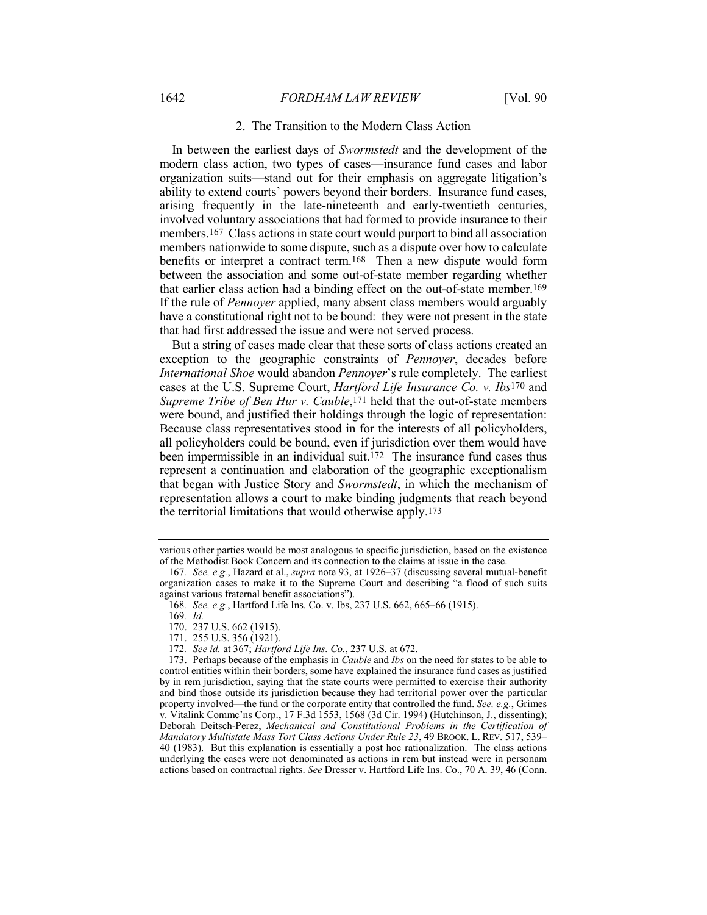#### 2. The Transition to the Modern Class Action

In between the earliest days of *Swormstedt* and the development of the modern class action, two types of cases—insurance fund cases and labor organization suits—stand out for their emphasis on aggregate litigation's ability to extend courts' powers beyond their borders. Insurance fund cases, arising frequently in the late-nineteenth and early-twentieth centuries, involved voluntary associations that had formed to provide insurance to their members.167 Class actions in state court would purport to bind all association members nationwide to some dispute, such as a dispute over how to calculate benefits or interpret a contract term.168 Then a new dispute would form between the association and some out-of-state member regarding whether that earlier class action had a binding effect on the out-of-state member.169 If the rule of *Pennoyer* applied, many absent class members would arguably have a constitutional right not to be bound: they were not present in the state that had first addressed the issue and were not served process.

But a string of cases made clear that these sorts of class actions created an exception to the geographic constraints of *Pennoyer*, decades before *International Shoe* would abandon *Pennoyer*'s rule completely. The earliest cases at the U.S. Supreme Court, *Hartford Life Insurance Co. v. Ibs*170 and *Supreme Tribe of Ben Hur v. Cauble*,171 held that the out-of-state members were bound, and justified their holdings through the logic of representation: Because class representatives stood in for the interests of all policyholders, all policyholders could be bound, even if jurisdiction over them would have been impermissible in an individual suit.172 The insurance fund cases thus represent a continuation and elaboration of the geographic exceptionalism that began with Justice Story and *Swormstedt*, in which the mechanism of representation allows a court to make binding judgments that reach beyond the territorial limitations that would otherwise apply.173

various other parties would be most analogous to specific jurisdiction, based on the existence of the Methodist Book Concern and its connection to the claims at issue in the case.

<sup>167</sup>*. See, e.g.*, Hazard et al., *supra* note 93, at 1926–37 (discussing several mutual-benefit organization cases to make it to the Supreme Court and describing "a flood of such suits against various fraternal benefit associations").

<sup>168</sup>*. See, e.g.*, Hartford Life Ins. Co. v. Ibs, 237 U.S. 662, 665–66 (1915).

<sup>169</sup>*. Id.*

<sup>170.</sup> 237 U.S. 662 (1915).

<sup>171.</sup> 255 U.S. 356 (1921).

<sup>172</sup>*. See id.* at 367; *Hartford Life Ins. Co.*, 237 U.S. at 672.

<sup>173.</sup> Perhaps because of the emphasis in *Cauble* and *Ibs* on the need for states to be able to control entities within their borders, some have explained the insurance fund cases as justified by in rem jurisdiction, saying that the state courts were permitted to exercise their authority and bind those outside its jurisdiction because they had territorial power over the particular property involved—the fund or the corporate entity that controlled the fund. *See, e.g.*, Grimes v. Vitalink Commc'ns Corp., 17 F.3d 1553, 1568 (3d Cir. 1994) (Hutchinson, J., dissenting); Deborah Deitsch-Perez, *Mechanical and Constitutional Problems in the Certification of Mandatory Multistate Mass Tort Class Actions Under Rule 23*, 49 BROOK. L. REV. 517, 539– 40 (1983). But this explanation is essentially a post hoc rationalization. The class actions underlying the cases were not denominated as actions in rem but instead were in personam actions based on contractual rights. *See* Dresser v. Hartford Life Ins. Co., 70 A. 39, 46 (Conn.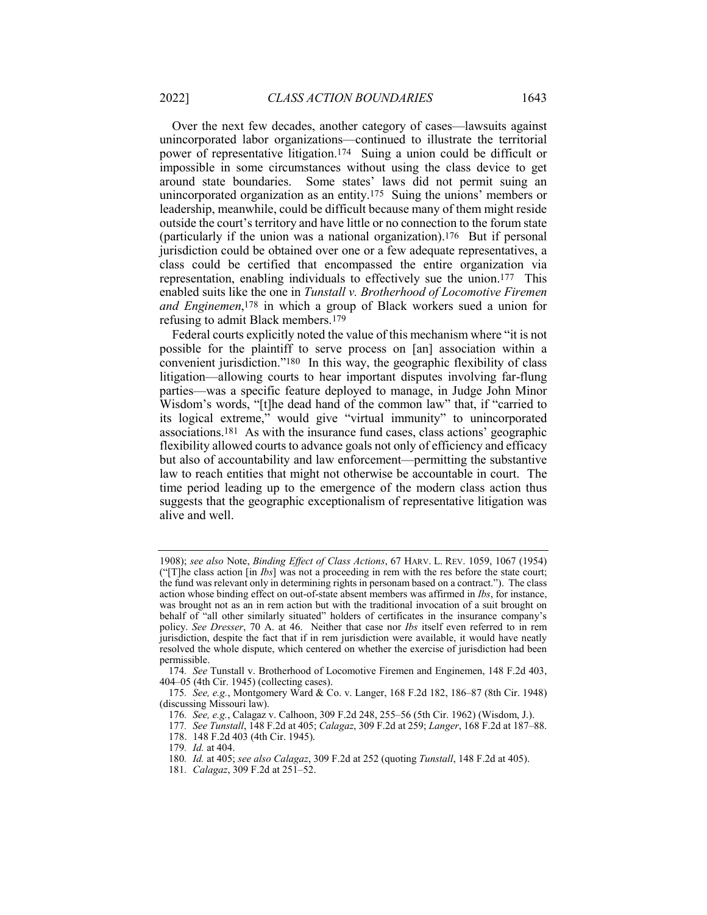Over the next few decades, another category of cases—lawsuits against unincorporated labor organizations—continued to illustrate the territorial power of representative litigation.174 Suing a union could be difficult or impossible in some circumstances without using the class device to get around state boundaries. Some states' laws did not permit suing an unincorporated organization as an entity.175 Suing the unions' members or leadership, meanwhile, could be difficult because many of them might reside outside the court's territory and have little or no connection to the forum state (particularly if the union was a national organization).176 But if personal jurisdiction could be obtained over one or a few adequate representatives, a class could be certified that encompassed the entire organization via representation, enabling individuals to effectively sue the union.177 This enabled suits like the one in *Tunstall v. Brotherhood of Locomotive Firemen and Enginemen*,178 in which a group of Black workers sued a union for refusing to admit Black members.179

Federal courts explicitly noted the value of this mechanism where "it is not possible for the plaintiff to serve process on [an] association within a convenient jurisdiction."180 In this way, the geographic flexibility of class litigation—allowing courts to hear important disputes involving far-flung parties—was a specific feature deployed to manage, in Judge John Minor Wisdom's words, "[t]he dead hand of the common law" that, if "carried to its logical extreme," would give "virtual immunity" to unincorporated associations.181 As with the insurance fund cases, class actions' geographic flexibility allowed courts to advance goals not only of efficiency and efficacy but also of accountability and law enforcement—permitting the substantive law to reach entities that might not otherwise be accountable in court. The time period leading up to the emergence of the modern class action thus suggests that the geographic exceptionalism of representative litigation was alive and well.

<sup>1908);</sup> *see also* Note, *Binding Effect of Class Actions*, 67 HARV. L. REV. 1059, 1067 (1954) ("[T]he class action [in *Ibs*] was not a proceeding in rem with the res before the state court; the fund was relevant only in determining rights in personam based on a contract."). The class action whose binding effect on out-of-state absent members was affirmed in *Ibs*, for instance, was brought not as an in rem action but with the traditional invocation of a suit brought on behalf of "all other similarly situated" holders of certificates in the insurance company's policy. *See Dresser*, 70 A. at 46. Neither that case nor *Ibs* itself even referred to in rem jurisdiction, despite the fact that if in rem jurisdiction were available, it would have neatly resolved the whole dispute, which centered on whether the exercise of jurisdiction had been permissible.

<sup>174</sup>*. See* Tunstall v. Brotherhood of Locomotive Firemen and Enginemen, 148 F.2d 403, 404–05 (4th Cir. 1945) (collecting cases).

<sup>175</sup>*. See, e.g.*, Montgomery Ward & Co. v. Langer, 168 F.2d 182, 186–87 (8th Cir. 1948) (discussing Missouri law).

<sup>176</sup>*. See, e.g.*, Calagaz v. Calhoon, 309 F.2d 248, 255–56 (5th Cir. 1962) (Wisdom, J.).

<sup>177</sup>*. See Tunstall*, 148 F.2d at 405; *Calagaz*, 309 F.2d at 259; *Langer*, 168 F.2d at 187–88.

<sup>178.</sup> 148 F.2d 403 (4th Cir. 1945).

<sup>179</sup>*. Id.* at 404.

<sup>180</sup>*. Id.* at 405; *see also Calagaz*, 309 F.2d at 252 (quoting *Tunstall*, 148 F.2d at 405).

<sup>181</sup>*. Calagaz*, 309 F.2d at 251–52.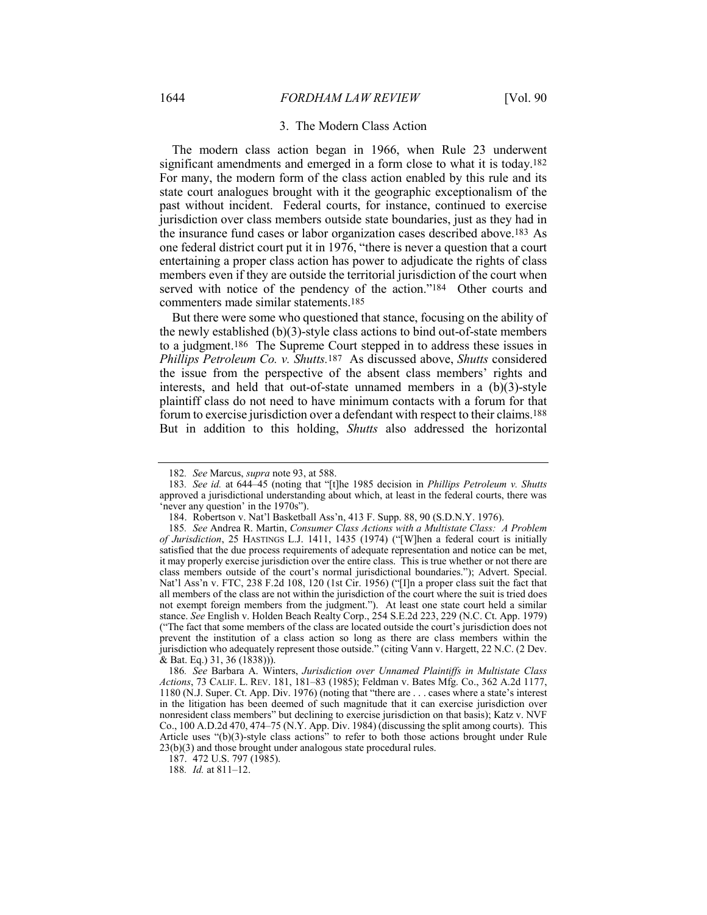#### 3. The Modern Class Action

The modern class action began in 1966, when Rule 23 underwent significant amendments and emerged in a form close to what it is today.182 For many, the modern form of the class action enabled by this rule and its state court analogues brought with it the geographic exceptionalism of the past without incident. Federal courts, for instance, continued to exercise jurisdiction over class members outside state boundaries, just as they had in the insurance fund cases or labor organization cases described above.183 As one federal district court put it in 1976, "there is never a question that a court entertaining a proper class action has power to adjudicate the rights of class members even if they are outside the territorial jurisdiction of the court when served with notice of the pendency of the action."184 Other courts and commenters made similar statements.185

But there were some who questioned that stance, focusing on the ability of the newly established (b)(3)-style class actions to bind out-of-state members to a judgment.186 The Supreme Court stepped in to address these issues in *Phillips Petroleum Co. v. Shutts.*187 As discussed above, *Shutts* considered the issue from the perspective of the absent class members' rights and interests, and held that out-of-state unnamed members in a (b)(3)-style plaintiff class do not need to have minimum contacts with a forum for that forum to exercise jurisdiction over a defendant with respect to their claims.188 But in addition to this holding, *Shutts* also addressed the horizontal

<sup>182</sup>*. See* Marcus, *supra* note 93, at 588.

<sup>183</sup>*. See id.* at 644–45 (noting that "[t]he 1985 decision in *Phillips Petroleum v. Shutts*  approved a jurisdictional understanding about which, at least in the federal courts, there was 'never any question' in the 1970s").

<sup>184.</sup> Robertson v. Nat'l Basketball Ass'n, 413 F. Supp. 88, 90 (S.D.N.Y. 1976).

<sup>185</sup>*. See* Andrea R. Martin, *Consumer Class Actions with a Multistate Class: A Problem of Jurisdiction*, 25 HASTINGS L.J. 1411, 1435 (1974) ("[W]hen a federal court is initially satisfied that the due process requirements of adequate representation and notice can be met, it may properly exercise jurisdiction over the entire class. This is true whether or not there are class members outside of the court's normal jurisdictional boundaries."); Advert. Special. Nat'l Ass'n v. FTC, 238 F.2d 108, 120 (1st Cir. 1956) ("[I]n a proper class suit the fact that all members of the class are not within the jurisdiction of the court where the suit is tried does not exempt foreign members from the judgment."). At least one state court held a similar stance. *See* English v. Holden Beach Realty Corp., 254 S.E.2d 223, 229 (N.C. Ct. App. 1979) ("The fact that some members of the class are located outside the court's jurisdiction does not prevent the institution of a class action so long as there are class members within the jurisdiction who adequately represent those outside." (citing Vann v. Hargett, 22 N.C. (2 Dev. & Bat. Eq.) 31, 36 (1838))).

<sup>186</sup>*. See* Barbara A. Winters, *Jurisdiction over Unnamed Plaintiffs in Multistate Class Actions*, 73 CALIF. L. REV. 181, 181–83 (1985); Feldman v. Bates Mfg. Co., 362 A.2d 1177, 1180 (N.J. Super. Ct. App. Div. 1976) (noting that "there are . . . cases where a state's interest in the litigation has been deemed of such magnitude that it can exercise jurisdiction over nonresident class members" but declining to exercise jurisdiction on that basis); Katz v. NVF Co., 100 A.D.2d 470, 474–75 (N.Y. App. Div. 1984) (discussing the split among courts). This Article uses "(b)(3)-style class actions" to refer to both those actions brought under Rule 23(b)(3) and those brought under analogous state procedural rules.

<sup>187.</sup> 472 U.S. 797 (1985).

<sup>188</sup>*. Id.* at 811–12.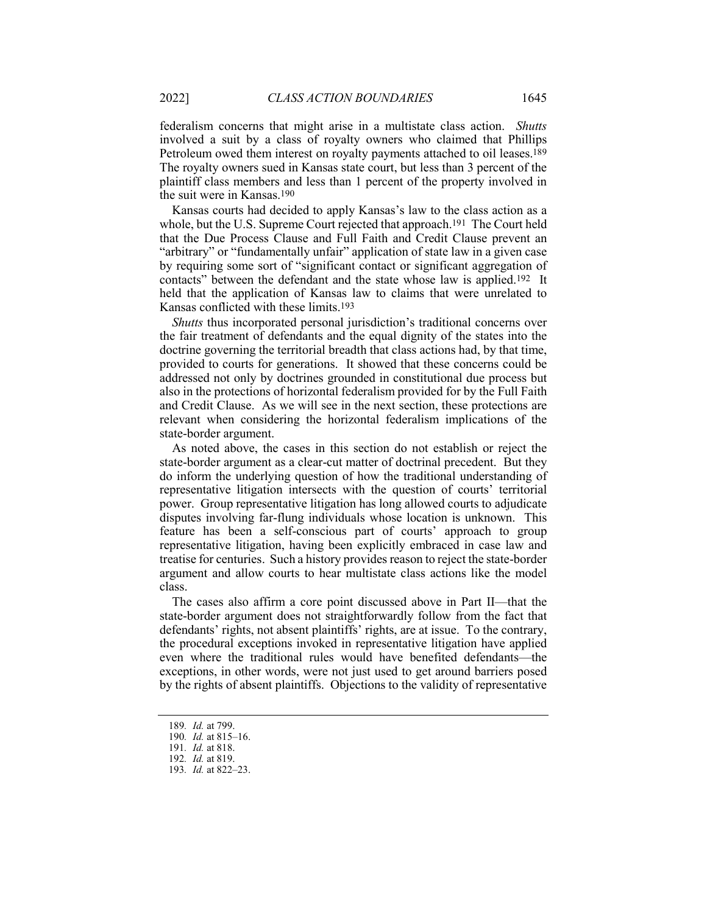federalism concerns that might arise in a multistate class action. *Shutts* involved a suit by a class of royalty owners who claimed that Phillips Petroleum owed them interest on royalty payments attached to oil leases.189 The royalty owners sued in Kansas state court, but less than 3 percent of the plaintiff class members and less than 1 percent of the property involved in the suit were in Kansas.190

Kansas courts had decided to apply Kansas's law to the class action as a whole, but the U.S. Supreme Court rejected that approach.191 The Court held that the Due Process Clause and Full Faith and Credit Clause prevent an "arbitrary" or "fundamentally unfair" application of state law in a given case by requiring some sort of "significant contact or significant aggregation of contacts" between the defendant and the state whose law is applied.192 It held that the application of Kansas law to claims that were unrelated to Kansas conflicted with these limits.193

*Shutts* thus incorporated personal jurisdiction's traditional concerns over the fair treatment of defendants and the equal dignity of the states into the doctrine governing the territorial breadth that class actions had, by that time, provided to courts for generations. It showed that these concerns could be addressed not only by doctrines grounded in constitutional due process but also in the protections of horizontal federalism provided for by the Full Faith and Credit Clause. As we will see in the next section, these protections are relevant when considering the horizontal federalism implications of the state-border argument.

As noted above, the cases in this section do not establish or reject the state-border argument as a clear-cut matter of doctrinal precedent. But they do inform the underlying question of how the traditional understanding of representative litigation intersects with the question of courts' territorial power. Group representative litigation has long allowed courts to adjudicate disputes involving far-flung individuals whose location is unknown. This feature has been a self-conscious part of courts' approach to group representative litigation, having been explicitly embraced in case law and treatise for centuries. Such a history provides reason to reject the state-border argument and allow courts to hear multistate class actions like the model class.

The cases also affirm a core point discussed above in Part II—that the state-border argument does not straightforwardly follow from the fact that defendants' rights, not absent plaintiffs' rights, are at issue. To the contrary, the procedural exceptions invoked in representative litigation have applied even where the traditional rules would have benefited defendants—the exceptions, in other words, were not just used to get around barriers posed by the rights of absent plaintiffs. Objections to the validity of representative

<sup>189</sup>*. Id.* at 799.

<sup>190</sup>*. Id.* at 815–16.

<sup>191</sup>*. Id.* at 818.

<sup>192</sup>*. Id.* at 819.

<sup>193</sup>*. Id.* at 822–23.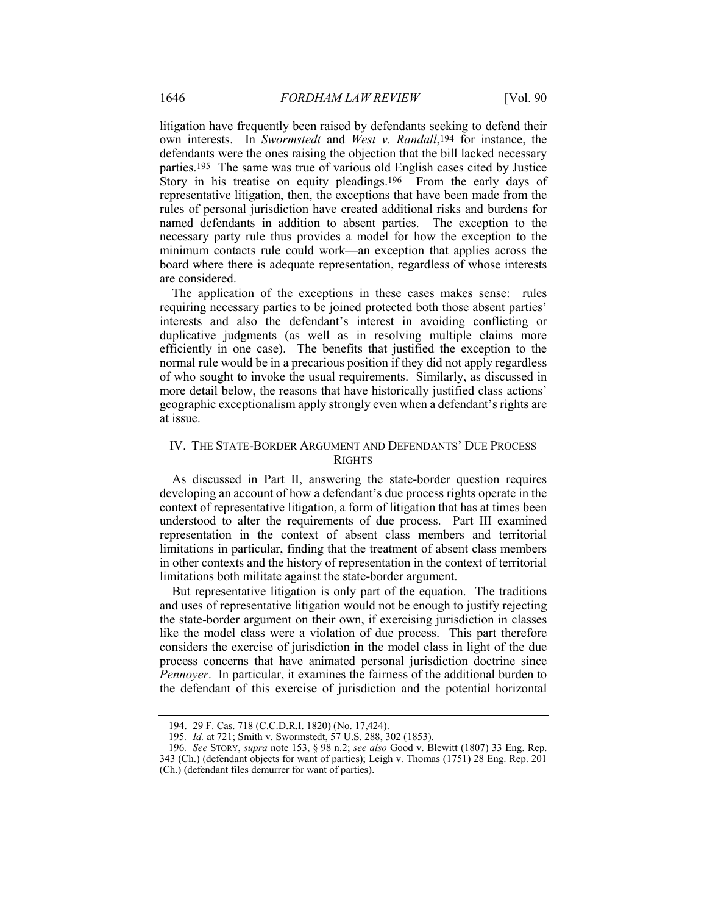litigation have frequently been raised by defendants seeking to defend their own interests. In *Swormstedt* and *West v. Randall*,194 for instance, the defendants were the ones raising the objection that the bill lacked necessary parties.195 The same was true of various old English cases cited by Justice Story in his treatise on equity pleadings.<sup>196</sup> From the early days of representative litigation, then, the exceptions that have been made from the rules of personal jurisdiction have created additional risks and burdens for named defendants in addition to absent parties. The exception to the necessary party rule thus provides a model for how the exception to the minimum contacts rule could work—an exception that applies across the board where there is adequate representation, regardless of whose interests are considered.

The application of the exceptions in these cases makes sense: rules requiring necessary parties to be joined protected both those absent parties' interests and also the defendant's interest in avoiding conflicting or duplicative judgments (as well as in resolving multiple claims more efficiently in one case). The benefits that justified the exception to the normal rule would be in a precarious position if they did not apply regardless of who sought to invoke the usual requirements. Similarly, as discussed in more detail below, the reasons that have historically justified class actions' geographic exceptionalism apply strongly even when a defendant's rights are at issue.

## IV. THE STATE-BORDER ARGUMENT AND DEFENDANTS' DUE PROCESS RIGHTS

As discussed in Part II, answering the state-border question requires developing an account of how a defendant's due process rights operate in the context of representative litigation, a form of litigation that has at times been understood to alter the requirements of due process. Part III examined representation in the context of absent class members and territorial limitations in particular, finding that the treatment of absent class members in other contexts and the history of representation in the context of territorial limitations both militate against the state-border argument.

But representative litigation is only part of the equation. The traditions and uses of representative litigation would not be enough to justify rejecting the state-border argument on their own, if exercising jurisdiction in classes like the model class were a violation of due process. This part therefore considers the exercise of jurisdiction in the model class in light of the due process concerns that have animated personal jurisdiction doctrine since *Pennoyer*. In particular, it examines the fairness of the additional burden to the defendant of this exercise of jurisdiction and the potential horizontal

<sup>194.</sup> 29 F. Cas. 718 (C.C.D.R.I. 1820) (No. 17,424).

<sup>195</sup>*. Id.* at 721; Smith v. Swormstedt, 57 U.S. 288, 302 (1853).

<sup>196</sup>*. See* STORY, *supra* note 153, § 98 n.2; *see also* Good v. Blewitt (1807) 33 Eng. Rep. 343 (Ch.) (defendant objects for want of parties); Leigh v. Thomas (1751) 28 Eng. Rep. 201 (Ch.) (defendant files demurrer for want of parties).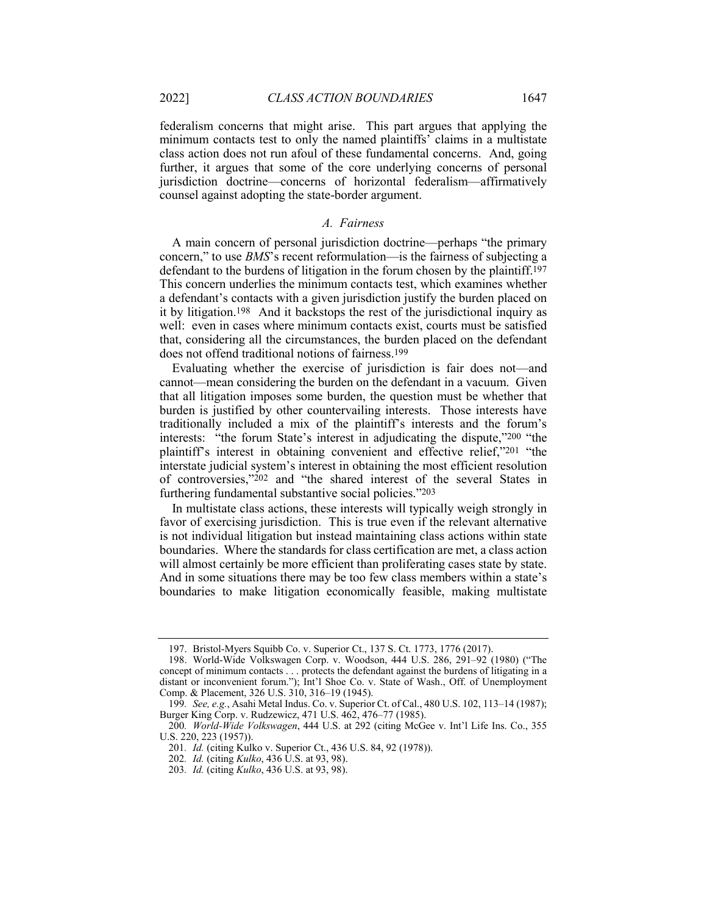federalism concerns that might arise. This part argues that applying the minimum contacts test to only the named plaintiffs' claims in a multistate class action does not run afoul of these fundamental concerns. And, going further, it argues that some of the core underlying concerns of personal jurisdiction doctrine—concerns of horizontal federalism—affirmatively counsel against adopting the state-border argument.

## *A. Fairness*

A main concern of personal jurisdiction doctrine—perhaps "the primary concern," to use *BMS*'s recent reformulation—is the fairness of subjecting a defendant to the burdens of litigation in the forum chosen by the plaintiff.197 This concern underlies the minimum contacts test, which examines whether a defendant's contacts with a given jurisdiction justify the burden placed on it by litigation.198 And it backstops the rest of the jurisdictional inquiry as well: even in cases where minimum contacts exist, courts must be satisfied that, considering all the circumstances, the burden placed on the defendant does not offend traditional notions of fairness.199

Evaluating whether the exercise of jurisdiction is fair does not—and cannot—mean considering the burden on the defendant in a vacuum. Given that all litigation imposes some burden, the question must be whether that burden is justified by other countervailing interests. Those interests have traditionally included a mix of the plaintiff's interests and the forum's interests: "the forum State's interest in adjudicating the dispute,"200 "the plaintiff's interest in obtaining convenient and effective relief,"201 "the interstate judicial system's interest in obtaining the most efficient resolution of controversies,"202 and "the shared interest of the several States in furthering fundamental substantive social policies."203

In multistate class actions, these interests will typically weigh strongly in favor of exercising jurisdiction. This is true even if the relevant alternative is not individual litigation but instead maintaining class actions within state boundaries. Where the standards for class certification are met, a class action will almost certainly be more efficient than proliferating cases state by state. And in some situations there may be too few class members within a state's boundaries to make litigation economically feasible, making multistate

<sup>197.</sup> Bristol-Myers Squibb Co. v. Superior Ct., 137 S. Ct. 1773, 1776 (2017).

<sup>198.</sup> World-Wide Volkswagen Corp. v. Woodson, 444 U.S. 286, 291–92 (1980) ("The concept of minimum contacts . . . protects the defendant against the burdens of litigating in a distant or inconvenient forum."); Int'l Shoe Co. v. State of Wash., Off. of Unemployment Comp. & Placement, 326 U.S. 310, 316–19 (1945).

<sup>199</sup>*. See, e.g.*, Asahi Metal Indus. Co. v. Superior Ct. of Cal., 480 U.S. 102, 113–14 (1987); Burger King Corp. v. Rudzewicz, 471 U.S. 462, 476–77 (1985).

<sup>200</sup>*. World-Wide Volkswagen*, 444 U.S. at 292 (citing McGee v. Int'l Life Ins. Co., 355 U.S. 220, 223 (1957)).

<sup>201</sup>*. Id.* (citing Kulko v. Superior Ct., 436 U.S. 84, 92 (1978)).

<sup>202</sup>*. Id.* (citing *Kulko*, 436 U.S. at 93, 98).

<sup>203</sup>*. Id.* (citing *Kulko*, 436 U.S. at 93, 98).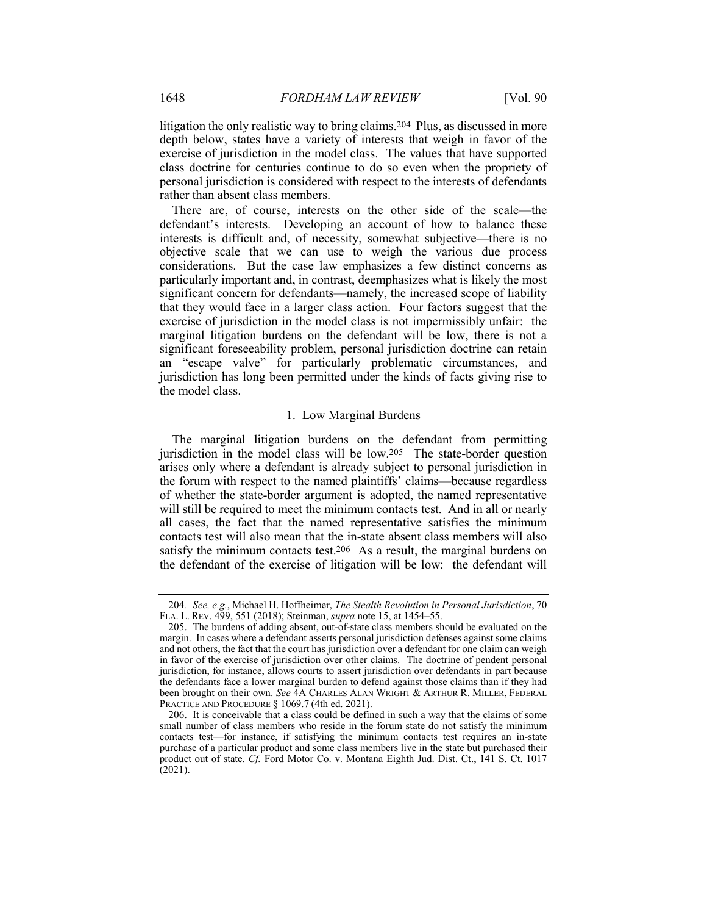litigation the only realistic way to bring claims.204 Plus, as discussed in more depth below, states have a variety of interests that weigh in favor of the exercise of jurisdiction in the model class. The values that have supported class doctrine for centuries continue to do so even when the propriety of personal jurisdiction is considered with respect to the interests of defendants rather than absent class members.

There are, of course, interests on the other side of the scale—the defendant's interests. Developing an account of how to balance these interests is difficult and, of necessity, somewhat subjective—there is no objective scale that we can use to weigh the various due process considerations. But the case law emphasizes a few distinct concerns as particularly important and, in contrast, deemphasizes what is likely the most significant concern for defendants—namely, the increased scope of liability that they would face in a larger class action. Four factors suggest that the exercise of jurisdiction in the model class is not impermissibly unfair: the marginal litigation burdens on the defendant will be low, there is not a significant foreseeability problem, personal jurisdiction doctrine can retain an "escape valve" for particularly problematic circumstances, and jurisdiction has long been permitted under the kinds of facts giving rise to the model class.

#### 1. Low Marginal Burdens

The marginal litigation burdens on the defendant from permitting jurisdiction in the model class will be low.205 The state-border question arises only where a defendant is already subject to personal jurisdiction in the forum with respect to the named plaintiffs' claims—because regardless of whether the state-border argument is adopted, the named representative will still be required to meet the minimum contacts test. And in all or nearly all cases, the fact that the named representative satisfies the minimum contacts test will also mean that the in-state absent class members will also satisfy the minimum contacts test.<sup>206</sup> As a result, the marginal burdens on the defendant of the exercise of litigation will be low: the defendant will

<sup>204</sup>*. See, e.g.*, Michael H. Hoffheimer, *The Stealth Revolution in Personal Jurisdiction*, 70 FLA. L. REV. 499, 551 (2018); Steinman, *supra* note 15, at 1454–55.

<sup>205.</sup> The burdens of adding absent, out-of-state class members should be evaluated on the margin. In cases where a defendant asserts personal jurisdiction defenses against some claims and not others, the fact that the court has jurisdiction over a defendant for one claim can weigh in favor of the exercise of jurisdiction over other claims. The doctrine of pendent personal jurisdiction, for instance, allows courts to assert jurisdiction over defendants in part because the defendants face a lower marginal burden to defend against those claims than if they had been brought on their own. *See* 4A CHARLES ALAN WRIGHT & ARTHUR R. MILLER, FEDERAL PRACTICE AND PROCEDURE § 1069.7 (4th ed. 2021).

<sup>206.</sup> It is conceivable that a class could be defined in such a way that the claims of some small number of class members who reside in the forum state do not satisfy the minimum contacts test—for instance, if satisfying the minimum contacts test requires an in-state purchase of a particular product and some class members live in the state but purchased their product out of state. *Cf.* Ford Motor Co. v. Montana Eighth Jud. Dist. Ct., 141 S. Ct. 1017 (2021).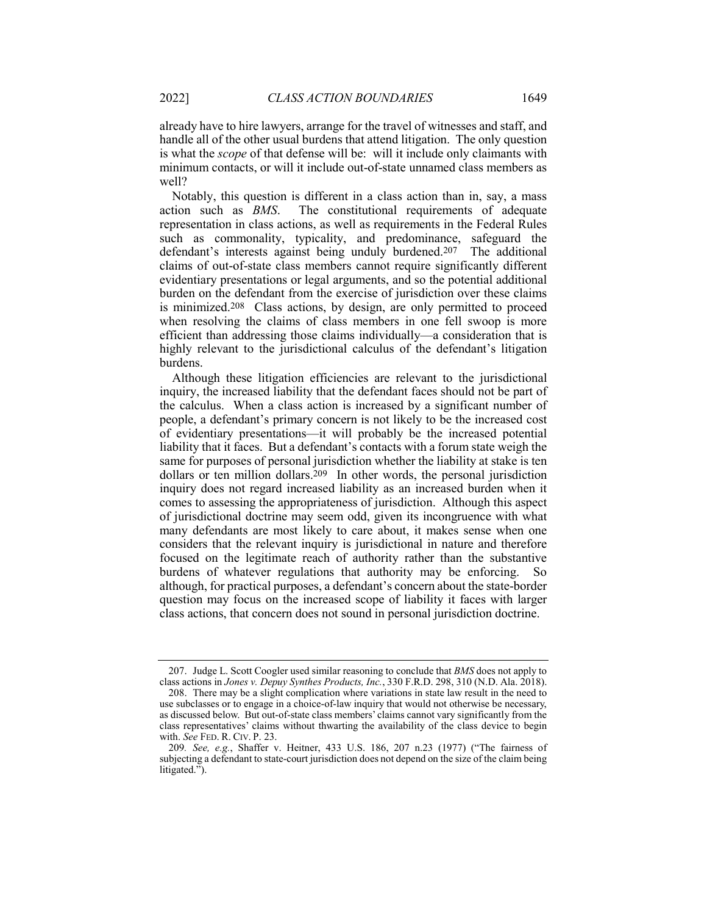already have to hire lawyers, arrange for the travel of witnesses and staff, and handle all of the other usual burdens that attend litigation. The only question is what the *scope* of that defense will be: will it include only claimants with minimum contacts, or will it include out-of-state unnamed class members as well?

Notably, this question is different in a class action than in, say, a mass action such as *BMS*. The constitutional requirements of adequate representation in class actions, as well as requirements in the Federal Rules such as commonality, typicality, and predominance, safeguard the defendant's interests against being unduly burdened.207 The additional claims of out-of-state class members cannot require significantly different evidentiary presentations or legal arguments, and so the potential additional burden on the defendant from the exercise of jurisdiction over these claims is minimized.208 Class actions, by design, are only permitted to proceed when resolving the claims of class members in one fell swoop is more efficient than addressing those claims individually—a consideration that is highly relevant to the jurisdictional calculus of the defendant's litigation burdens.

Although these litigation efficiencies are relevant to the jurisdictional inquiry, the increased liability that the defendant faces should not be part of the calculus. When a class action is increased by a significant number of people, a defendant's primary concern is not likely to be the increased cost of evidentiary presentations—it will probably be the increased potential liability that it faces. But a defendant's contacts with a forum state weigh the same for purposes of personal jurisdiction whether the liability at stake is ten dollars or ten million dollars.209 In other words, the personal jurisdiction inquiry does not regard increased liability as an increased burden when it comes to assessing the appropriateness of jurisdiction. Although this aspect of jurisdictional doctrine may seem odd, given its incongruence with what many defendants are most likely to care about, it makes sense when one considers that the relevant inquiry is jurisdictional in nature and therefore focused on the legitimate reach of authority rather than the substantive burdens of whatever regulations that authority may be enforcing. So although, for practical purposes, a defendant's concern about the state-border question may focus on the increased scope of liability it faces with larger class actions, that concern does not sound in personal jurisdiction doctrine.

<sup>207.</sup> Judge L. Scott Coogler used similar reasoning to conclude that *BMS* does not apply to class actions in *Jones v. Depuy Synthes Products, Inc.*, 330 F.R.D. 298, 310 (N.D. Ala. 2018).

<sup>208.</sup> There may be a slight complication where variations in state law result in the need to use subclasses or to engage in a choice-of-law inquiry that would not otherwise be necessary, as discussed below. But out-of-state class members' claims cannot vary significantly from the class representatives' claims without thwarting the availability of the class device to begin with. *See* FED. R. CIV. P. 23.

<sup>209</sup>*. See, e.g.*, Shaffer v. Heitner, 433 U.S. 186, 207 n.23 (1977) ("The fairness of subjecting a defendant to state-court jurisdiction does not depend on the size of the claim being litigated.").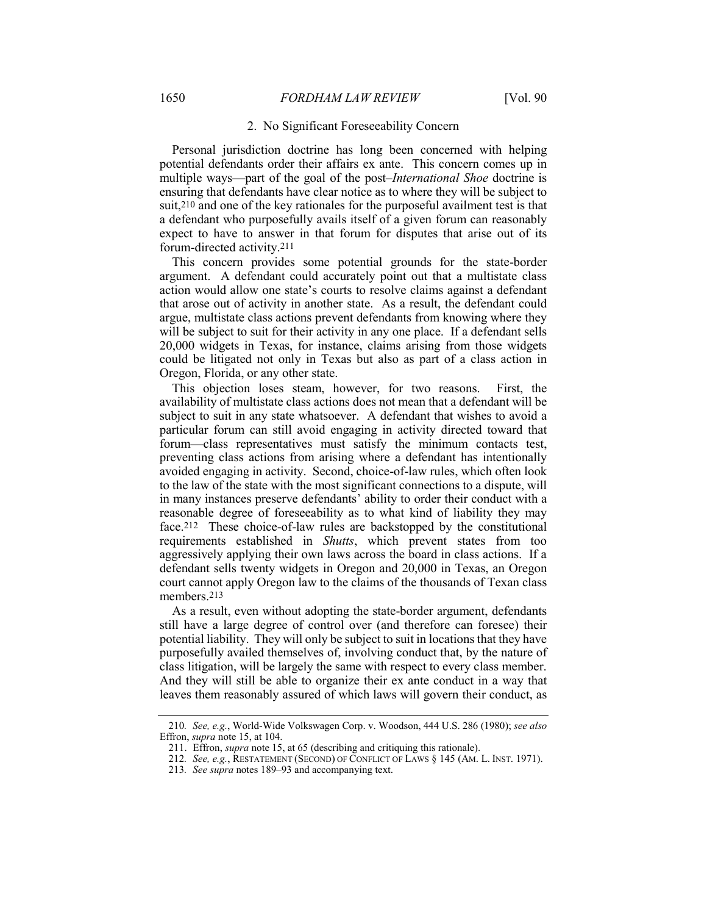#### 2. No Significant Foreseeability Concern

Personal jurisdiction doctrine has long been concerned with helping potential defendants order their affairs ex ante. This concern comes up in multiple ways—part of the goal of the post–*International Shoe* doctrine is ensuring that defendants have clear notice as to where they will be subject to suit,210 and one of the key rationales for the purposeful availment test is that a defendant who purposefully avails itself of a given forum can reasonably expect to have to answer in that forum for disputes that arise out of its forum-directed activity.211

This concern provides some potential grounds for the state-border argument. A defendant could accurately point out that a multistate class action would allow one state's courts to resolve claims against a defendant that arose out of activity in another state. As a result, the defendant could argue, multistate class actions prevent defendants from knowing where they will be subject to suit for their activity in any one place. If a defendant sells 20,000 widgets in Texas, for instance, claims arising from those widgets could be litigated not only in Texas but also as part of a class action in Oregon, Florida, or any other state.

This objection loses steam, however, for two reasons. First, the availability of multistate class actions does not mean that a defendant will be subject to suit in any state whatsoever. A defendant that wishes to avoid a particular forum can still avoid engaging in activity directed toward that forum—class representatives must satisfy the minimum contacts test, preventing class actions from arising where a defendant has intentionally avoided engaging in activity. Second, choice-of-law rules, which often look to the law of the state with the most significant connections to a dispute, will in many instances preserve defendants' ability to order their conduct with a reasonable degree of foreseeability as to what kind of liability they may face.212 These choice-of-law rules are backstopped by the constitutional requirements established in *Shutts*, which prevent states from too aggressively applying their own laws across the board in class actions. If a defendant sells twenty widgets in Oregon and 20,000 in Texas, an Oregon court cannot apply Oregon law to the claims of the thousands of Texan class members.213

As a result, even without adopting the state-border argument, defendants still have a large degree of control over (and therefore can foresee) their potential liability. They will only be subject to suit in locations that they have purposefully availed themselves of, involving conduct that, by the nature of class litigation, will be largely the same with respect to every class member. And they will still be able to organize their ex ante conduct in a way that leaves them reasonably assured of which laws will govern their conduct, as

<sup>210</sup>*. See, e.g.*, World-Wide Volkswagen Corp. v. Woodson, 444 U.S. 286 (1980); *see also* Effron, *supra* note 15, at 104.

<sup>211.</sup> Effron, *supra* note 15, at 65 (describing and critiquing this rationale).

<sup>212</sup>*. See, e.g.*, RESTATEMENT (SECOND) OF CONFLICT OF LAWS § 145 (AM. L. INST. 1971).

<sup>213</sup>*. See supra* notes 189–93 and accompanying text.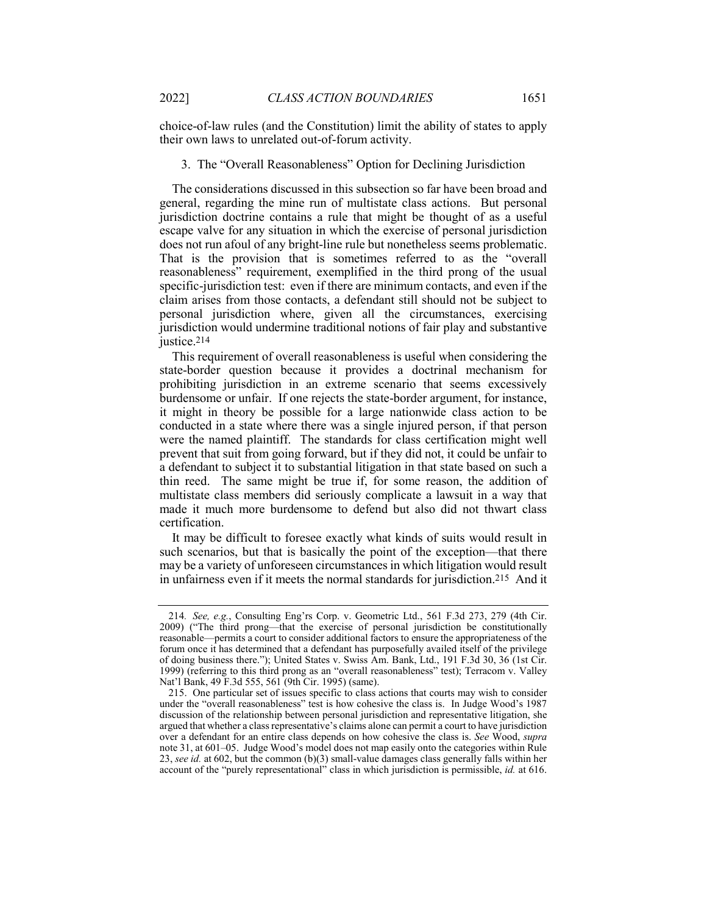choice-of-law rules (and the Constitution) limit the ability of states to apply their own laws to unrelated out-of-forum activity.

## 3. The "Overall Reasonableness" Option for Declining Jurisdiction

The considerations discussed in this subsection so far have been broad and general, regarding the mine run of multistate class actions. But personal jurisdiction doctrine contains a rule that might be thought of as a useful escape valve for any situation in which the exercise of personal jurisdiction does not run afoul of any bright-line rule but nonetheless seems problematic. That is the provision that is sometimes referred to as the "overall reasonableness" requirement, exemplified in the third prong of the usual specific-jurisdiction test: even if there are minimum contacts, and even if the claim arises from those contacts, a defendant still should not be subject to personal jurisdiction where, given all the circumstances, exercising jurisdiction would undermine traditional notions of fair play and substantive justice.214

This requirement of overall reasonableness is useful when considering the state-border question because it provides a doctrinal mechanism for prohibiting jurisdiction in an extreme scenario that seems excessively burdensome or unfair. If one rejects the state-border argument, for instance, it might in theory be possible for a large nationwide class action to be conducted in a state where there was a single injured person, if that person were the named plaintiff. The standards for class certification might well prevent that suit from going forward, but if they did not, it could be unfair to a defendant to subject it to substantial litigation in that state based on such a thin reed. The same might be true if, for some reason, the addition of multistate class members did seriously complicate a lawsuit in a way that made it much more burdensome to defend but also did not thwart class certification.

It may be difficult to foresee exactly what kinds of suits would result in such scenarios, but that is basically the point of the exception—that there may be a variety of unforeseen circumstances in which litigation would result in unfairness even if it meets the normal standards for jurisdiction.215 And it

<sup>214</sup>*. See, e.g.*, Consulting Eng'rs Corp. v. Geometric Ltd., 561 F.3d 273, 279 (4th Cir. 2009) ("The third prong—that the exercise of personal jurisdiction be constitutionally reasonable—permits a court to consider additional factors to ensure the appropriateness of the forum once it has determined that a defendant has purposefully availed itself of the privilege of doing business there."); United States v. Swiss Am. Bank, Ltd., 191 F.3d 30, 36 (1st Cir. 1999) (referring to this third prong as an "overall reasonableness" test); Terracom v. Valley Nat'l Bank, 49 F.3d 555, 561 (9th Cir. 1995) (same).

<sup>215.</sup> One particular set of issues specific to class actions that courts may wish to consider under the "overall reasonableness" test is how cohesive the class is. In Judge Wood's 1987 discussion of the relationship between personal jurisdiction and representative litigation, she argued that whether a class representative's claims alone can permit a court to have jurisdiction over a defendant for an entire class depends on how cohesive the class is. *See* Wood, *supra*  note 31, at 601–05. Judge Wood's model does not map easily onto the categories within Rule 23, *see id.* at 602, but the common (b)(3) small-value damages class generally falls within her account of the "purely representational" class in which jurisdiction is permissible, *id.* at 616.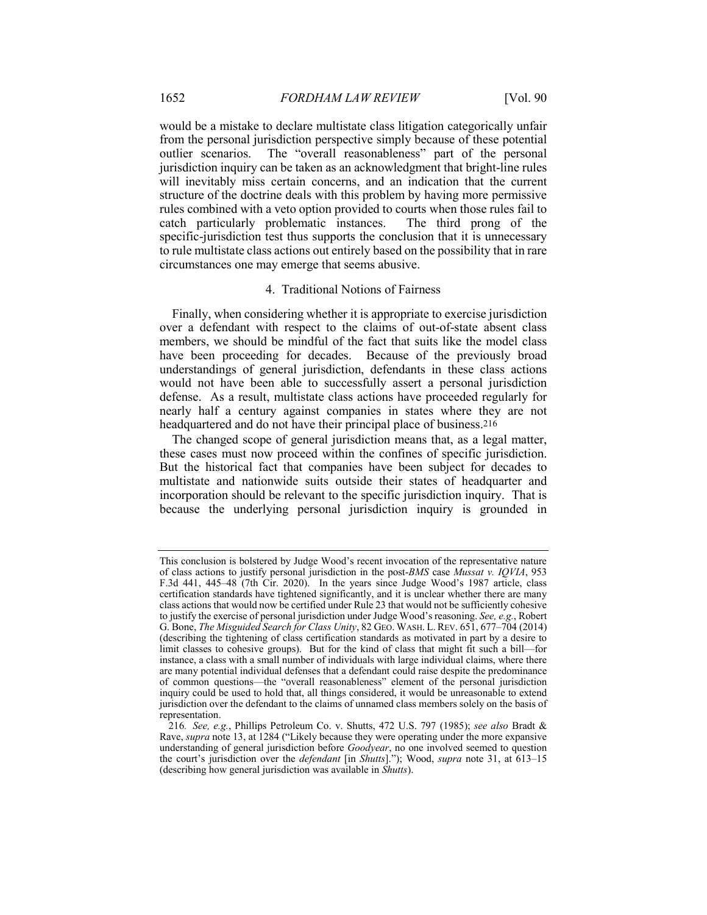would be a mistake to declare multistate class litigation categorically unfair from the personal jurisdiction perspective simply because of these potential outlier scenarios. The "overall reasonableness" part of the personal jurisdiction inquiry can be taken as an acknowledgment that bright-line rules will inevitably miss certain concerns, and an indication that the current structure of the doctrine deals with this problem by having more permissive rules combined with a veto option provided to courts when those rules fail to catch particularly problematic instances. The third prong of the specific-jurisdiction test thus supports the conclusion that it is unnecessary to rule multistate class actions out entirely based on the possibility that in rare circumstances one may emerge that seems abusive.

## 4. Traditional Notions of Fairness

Finally, when considering whether it is appropriate to exercise jurisdiction over a defendant with respect to the claims of out-of-state absent class members, we should be mindful of the fact that suits like the model class have been proceeding for decades. Because of the previously broad understandings of general jurisdiction, defendants in these class actions would not have been able to successfully assert a personal jurisdiction defense. As a result, multistate class actions have proceeded regularly for nearly half a century against companies in states where they are not headquartered and do not have their principal place of business.216

The changed scope of general jurisdiction means that, as a legal matter, these cases must now proceed within the confines of specific jurisdiction. But the historical fact that companies have been subject for decades to multistate and nationwide suits outside their states of headquarter and incorporation should be relevant to the specific jurisdiction inquiry. That is because the underlying personal jurisdiction inquiry is grounded in

This conclusion is bolstered by Judge Wood's recent invocation of the representative nature of class actions to justify personal jurisdiction in the post-*BMS* case *Mussat v. IQVIA*, 953 F.3d 441, 445–48 (7th Cir. 2020). In the years since Judge Wood's 1987 article, class certification standards have tightened significantly, and it is unclear whether there are many class actions that would now be certified under Rule 23 that would not be sufficiently cohesive to justify the exercise of personal jurisdiction under Judge Wood's reasoning. *See, e.g.*, Robert G. Bone, *The Misguided Search for Class Unity*, 82 GEO. WASH. L. REV. 651, 677–704 (2014) (describing the tightening of class certification standards as motivated in part by a desire to limit classes to cohesive groups). But for the kind of class that might fit such a bill—for instance, a class with a small number of individuals with large individual claims, where there are many potential individual defenses that a defendant could raise despite the predominance of common questions—the "overall reasonableness" element of the personal jurisdiction inquiry could be used to hold that, all things considered, it would be unreasonable to extend jurisdiction over the defendant to the claims of unnamed class members solely on the basis of representation.

<sup>216</sup>*. See, e.g.*, Phillips Petroleum Co. v. Shutts, 472 U.S. 797 (1985); *see also* Bradt & Rave, *supra* note 13, at 1284 ("Likely because they were operating under the more expansive understanding of general jurisdiction before *Goodyear*, no one involved seemed to question the court's jurisdiction over the *defendant* [in *Shutts*]."); Wood, *supra* note 31, at 613–15 (describing how general jurisdiction was available in *Shutts*).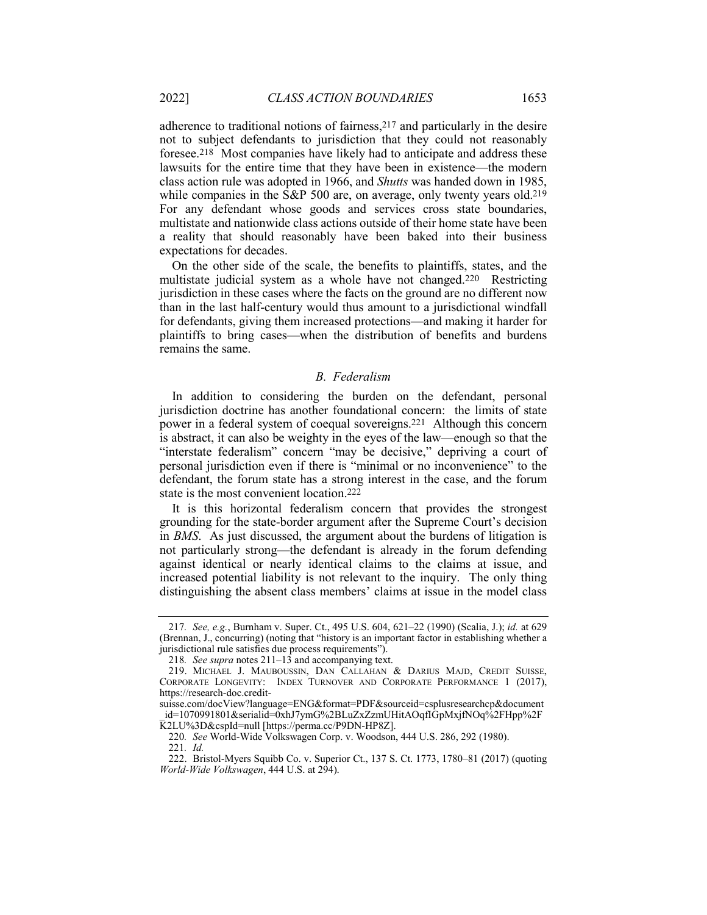adherence to traditional notions of fairness,217 and particularly in the desire not to subject defendants to jurisdiction that they could not reasonably foresee.218 Most companies have likely had to anticipate and address these lawsuits for the entire time that they have been in existence—the modern class action rule was adopted in 1966, and *Shutts* was handed down in 1985, while companies in the S&P 500 are, on average, only twenty years old.<sup>219</sup> For any defendant whose goods and services cross state boundaries, multistate and nationwide class actions outside of their home state have been a reality that should reasonably have been baked into their business expectations for decades.

On the other side of the scale, the benefits to plaintiffs, states, and the multistate judicial system as a whole have not changed.220 Restricting jurisdiction in these cases where the facts on the ground are no different now than in the last half-century would thus amount to a jurisdictional windfall for defendants, giving them increased protections—and making it harder for plaintiffs to bring cases—when the distribution of benefits and burdens remains the same.

## *B. Federalism*

In addition to considering the burden on the defendant, personal jurisdiction doctrine has another foundational concern: the limits of state power in a federal system of coequal sovereigns.221 Although this concern is abstract, it can also be weighty in the eyes of the law—enough so that the "interstate federalism" concern "may be decisive," depriving a court of personal jurisdiction even if there is "minimal or no inconvenience" to the defendant, the forum state has a strong interest in the case, and the forum state is the most convenient location.222

It is this horizontal federalism concern that provides the strongest grounding for the state-border argument after the Supreme Court's decision in *BMS*. As just discussed, the argument about the burdens of litigation is not particularly strong—the defendant is already in the forum defending against identical or nearly identical claims to the claims at issue, and increased potential liability is not relevant to the inquiry. The only thing distinguishing the absent class members' claims at issue in the model class

<sup>217</sup>*. See, e.g.*, Burnham v. Super. Ct., 495 U.S. 604, 621–22 (1990) (Scalia, J.); *id.* at 629 (Brennan, J., concurring) (noting that "history is an important factor in establishing whether a jurisdictional rule satisfies due process requirements").

<sup>218</sup>*. See supra* notes 211–13 and accompanying text.

<sup>219.</sup> MICHAEL J. MAUBOUSSIN, DAN CALLAHAN & DARIUS MAJD, CREDIT SUISSE, CORPORATE LONGEVITY: INDEX TURNOVER AND CORPORATE PERFORMANCE 1 (2017), https://research-doc.credit-

suisse.com/docView?language=ENG&format=PDF&sourceid=csplusresearchcp&document id=1070991801&serialid=0xhJ7ymG%2BLuZxZzmUHitAOqfIGpMxjfNOq%2FHpp%2F K2LU%3D&cspId=null [https://perma.cc/P9DN-HP8Z].

<sup>220</sup>*. See* World-Wide Volkswagen Corp. v. Woodson, 444 U.S. 286, 292 (1980). 221*. Id.*

<sup>222.</sup> Bristol-Myers Squibb Co. v. Superior Ct., 137 S. Ct. 1773, 1780–81 (2017) (quoting *World-Wide Volkswagen*, 444 U.S. at 294).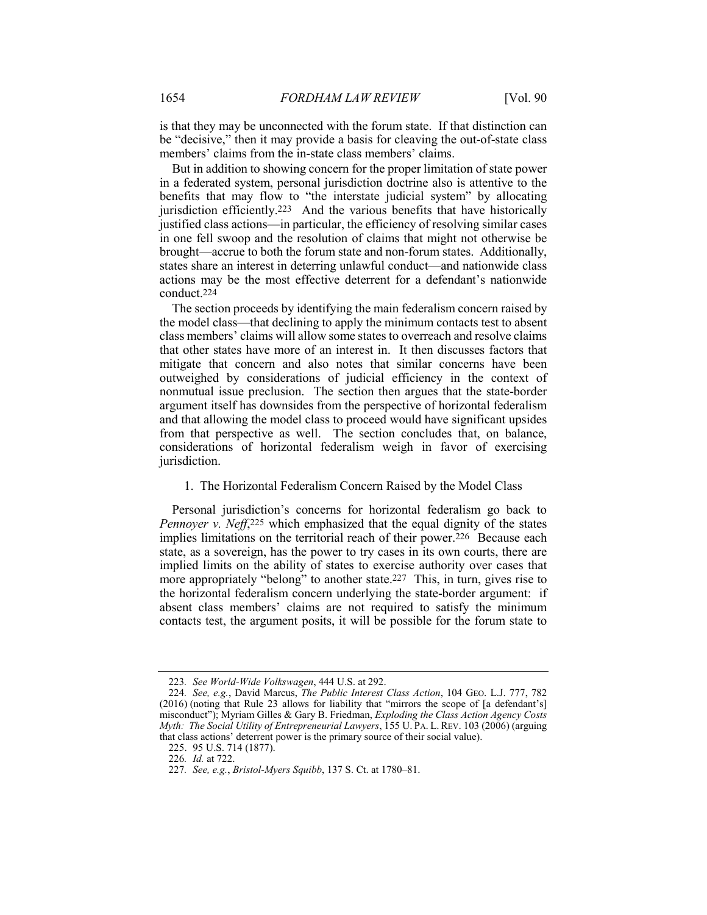is that they may be unconnected with the forum state. If that distinction can be "decisive," then it may provide a basis for cleaving the out-of-state class members' claims from the in-state class members' claims.

But in addition to showing concern for the proper limitation of state power in a federated system, personal jurisdiction doctrine also is attentive to the benefits that may flow to "the interstate judicial system" by allocating jurisdiction efficiently.223 And the various benefits that have historically justified class actions—in particular, the efficiency of resolving similar cases in one fell swoop and the resolution of claims that might not otherwise be brought—accrue to both the forum state and non-forum states. Additionally, states share an interest in deterring unlawful conduct—and nationwide class actions may be the most effective deterrent for a defendant's nationwide conduct.224

The section proceeds by identifying the main federalism concern raised by the model class—that declining to apply the minimum contacts test to absent class members' claims will allow some states to overreach and resolve claims that other states have more of an interest in. It then discusses factors that mitigate that concern and also notes that similar concerns have been outweighed by considerations of judicial efficiency in the context of nonmutual issue preclusion. The section then argues that the state-border argument itself has downsides from the perspective of horizontal federalism and that allowing the model class to proceed would have significant upsides from that perspective as well. The section concludes that, on balance, considerations of horizontal federalism weigh in favor of exercising jurisdiction.

1. The Horizontal Federalism Concern Raised by the Model Class

Personal jurisdiction's concerns for horizontal federalism go back to *Pennoyer v. Neff*,<sup>225</sup> which emphasized that the equal dignity of the states implies limitations on the territorial reach of their power.<sup>226</sup> Because each state, as a sovereign, has the power to try cases in its own courts, there are implied limits on the ability of states to exercise authority over cases that more appropriately "belong" to another state.<sup>227</sup> This, in turn, gives rise to the horizontal federalism concern underlying the state-border argument: if absent class members' claims are not required to satisfy the minimum contacts test, the argument posits, it will be possible for the forum state to

<sup>223</sup>*. See World-Wide Volkswagen*, 444 U.S. at 292.

<sup>224</sup>*. See, e.g.*, David Marcus, *The Public Interest Class Action*, 104 GEO. L.J. 777, 782 (2016) (noting that Rule 23 allows for liability that "mirrors the scope of [a defendant's] misconduct"); Myriam Gilles & Gary B. Friedman, *Exploding the Class Action Agency Costs Myth: The Social Utility of Entrepreneurial Lawyers*, 155 U. PA. L. REV. 103 (2006) (arguing that class actions' deterrent power is the primary source of their social value).

<sup>225.</sup> 95 U.S. 714 (1877).

<sup>226</sup>*. Id.* at 722.

<sup>227</sup>*. See, e.g.*, *Bristol-Myers Squibb*, 137 S. Ct. at 1780–81.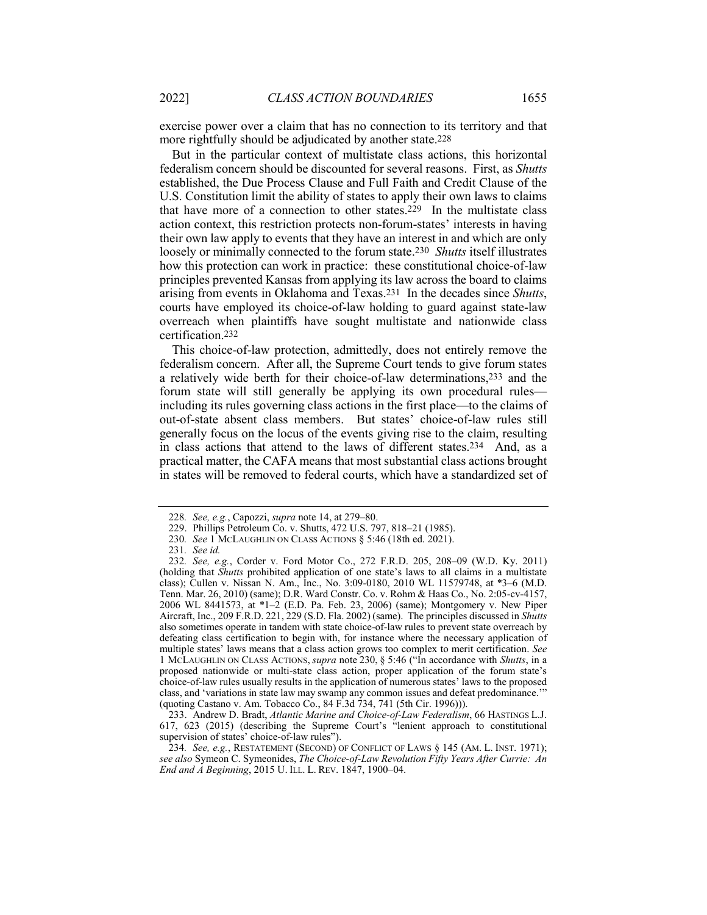exercise power over a claim that has no connection to its territory and that more rightfully should be adjudicated by another state.228

But in the particular context of multistate class actions, this horizontal federalism concern should be discounted for several reasons. First, as *Shutts* established, the Due Process Clause and Full Faith and Credit Clause of the U.S. Constitution limit the ability of states to apply their own laws to claims that have more of a connection to other states.229 In the multistate class action context, this restriction protects non-forum-states' interests in having their own law apply to events that they have an interest in and which are only loosely or minimally connected to the forum state.230 *Shutts* itself illustrates how this protection can work in practice: these constitutional choice-of-law principles prevented Kansas from applying its law across the board to claims arising from events in Oklahoma and Texas.231 In the decades since *Shutts*, courts have employed its choice-of-law holding to guard against state-law overreach when plaintiffs have sought multistate and nationwide class certification.232

This choice-of-law protection, admittedly, does not entirely remove the federalism concern. After all, the Supreme Court tends to give forum states a relatively wide berth for their choice-of-law determinations,233 and the forum state will still generally be applying its own procedural rules including its rules governing class actions in the first place—to the claims of out-of-state absent class members. But states' choice-of-law rules still generally focus on the locus of the events giving rise to the claim, resulting in class actions that attend to the laws of different states.234 And, as a practical matter, the CAFA means that most substantial class actions brought in states will be removed to federal courts, which have a standardized set of

<sup>228</sup>*. See, e.g.*, Capozzi, *supra* note 14, at 279–80.

<sup>229.</sup> Phillips Petroleum Co. v. Shutts, 472 U.S. 797, 818–21 (1985).

<sup>230</sup>*. See* 1 MCLAUGHLIN ON CLASS ACTIONS § 5:46 (18th ed. 2021).

<sup>231</sup>*. See id.*

<sup>232</sup>*. See, e.g.*, Corder v. Ford Motor Co., 272 F.R.D. 205, 208–09 (W.D. Ky. 2011) (holding that *Shutts* prohibited application of one state's laws to all claims in a multistate class); Cullen v. Nissan N. Am., Inc., No. 3:09-0180, 2010 WL 11579748, at \*3–6 (M.D. Tenn. Mar. 26, 2010) (same); D.R. Ward Constr. Co. v. Rohm & Haas Co., No. 2:05-cv-4157, 2006 WL 8441573, at \*1–2 (E.D. Pa. Feb. 23, 2006) (same); Montgomery v. New Piper Aircraft, Inc., 209 F.R.D. 221, 229 (S.D. Fla. 2002) (same). The principles discussed in *Shutts*  also sometimes operate in tandem with state choice-of-law rules to prevent state overreach by defeating class certification to begin with, for instance where the necessary application of multiple states' laws means that a class action grows too complex to merit certification. *See*  1 MCLAUGHLIN ON CLASS ACTIONS, *supra* note 230, § 5:46 ("In accordance with *Shutts*, in a proposed nationwide or multi-state class action, proper application of the forum state's choice-of-law rules usually results in the application of numerous states' laws to the proposed class, and 'variations in state law may swamp any common issues and defeat predominance.'" (quoting Castano v. Am. Tobacco Co., 84 F.3d 734, 741 (5th Cir. 1996))).

<sup>233.</sup> Andrew D. Bradt, *Atlantic Marine and Choice-of-Law Federalism*, 66 HASTINGS L.J. 617, 623 (2015) (describing the Supreme Court's "lenient approach to constitutional supervision of states' choice-of-law rules").

<sup>234</sup>*. See, e.g.*, RESTATEMENT (SECOND) OF CONFLICT OF LAWS § 145 (AM. L. INST. 1971); *see also* Symeon C. Symeonides, *The Choice-of-Law Revolution Fifty Years After Currie: An End and A Beginning*, 2015 U. ILL. L. REV. 1847, 1900–04.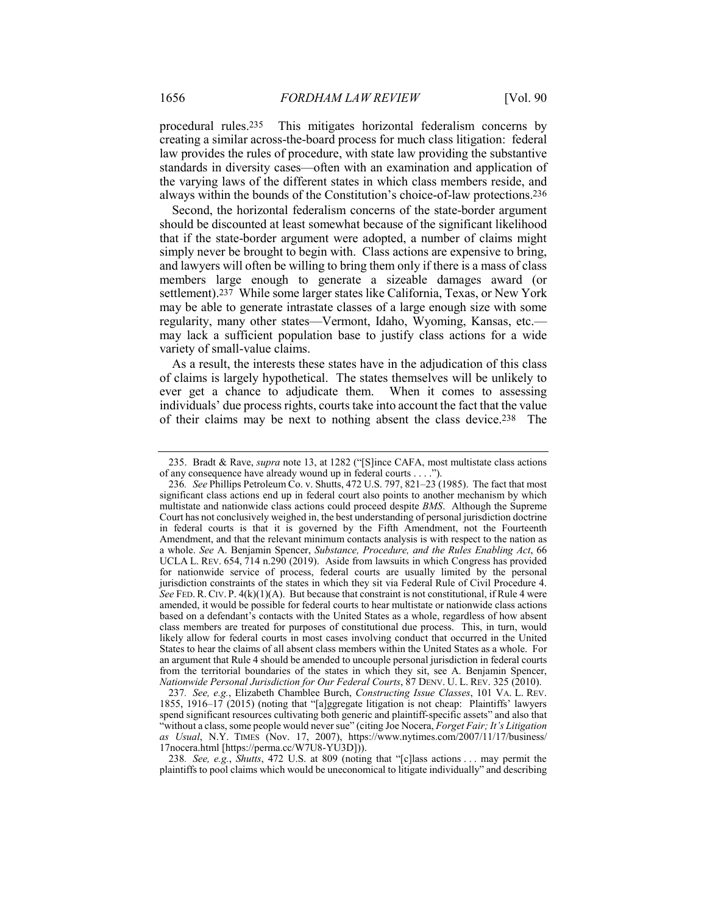procedural rules.235 This mitigates horizontal federalism concerns by creating a similar across-the-board process for much class litigation: federal law provides the rules of procedure, with state law providing the substantive standards in diversity cases—often with an examination and application of the varying laws of the different states in which class members reside, and always within the bounds of the Constitution's choice-of-law protections.236

Second, the horizontal federalism concerns of the state-border argument should be discounted at least somewhat because of the significant likelihood that if the state-border argument were adopted, a number of claims might simply never be brought to begin with. Class actions are expensive to bring, and lawyers will often be willing to bring them only if there is a mass of class members large enough to generate a sizeable damages award (or settlement).237 While some larger states like California, Texas, or New York may be able to generate intrastate classes of a large enough size with some regularity, many other states—Vermont, Idaho, Wyoming, Kansas, etc. may lack a sufficient population base to justify class actions for a wide variety of small-value claims.

As a result, the interests these states have in the adjudication of this class of claims is largely hypothetical. The states themselves will be unlikely to ever get a chance to adjudicate them. When it comes to assessing individuals' due process rights, courts take into account the fact that the value of their claims may be next to nothing absent the class device.238 The

237*. See, e.g.*, Elizabeth Chamblee Burch, *Constructing Issue Classes*, 101 VA. L. REV. 1855, 1916–17 (2015) (noting that "[a]ggregate litigation is not cheap: Plaintiffs' lawyers spend significant resources cultivating both generic and plaintiff-specific assets" and also that "without a class, some people would never sue" (citing Joe Nocera, *Forget Fair; It's Litigation as Usual*, N.Y. TIMES (Nov. 17, 2007), https://www.nytimes.com/2007/11/17/business/ 17nocera.html [https://perma.cc/W7U8-YU3D])).

238*. See, e.g.*, *Shutts*, 472 U.S. at 809 (noting that "[c]lass actions . . . may permit the plaintiffs to pool claims which would be uneconomical to litigate individually" and describing

<sup>235.</sup> Bradt & Rave, *supra* note 13, at 1282 ("[S]ince CAFA, most multistate class actions of any consequence have already wound up in federal courts . . . .").

<sup>236</sup>*. See* Phillips Petroleum Co. v. Shutts, 472 U.S. 797, 821–23 (1985). The fact that most significant class actions end up in federal court also points to another mechanism by which multistate and nationwide class actions could proceed despite *BMS*. Although the Supreme Court has not conclusively weighed in, the best understanding of personal jurisdiction doctrine in federal courts is that it is governed by the Fifth Amendment, not the Fourteenth Amendment, and that the relevant minimum contacts analysis is with respect to the nation as a whole. *See* A. Benjamin Spencer, *Substance, Procedure, and the Rules Enabling Act*, 66 UCLA L. REV. 654, 714 n.290 (2019). Aside from lawsuits in which Congress has provided for nationwide service of process, federal courts are usually limited by the personal jurisdiction constraints of the states in which they sit via Federal Rule of Civil Procedure 4. *See* FED. R. CIV. P.  $4(k)(1)(A)$ . But because that constraint is not constitutional, if Rule 4 were amended, it would be possible for federal courts to hear multistate or nationwide class actions based on a defendant's contacts with the United States as a whole, regardless of how absent class members are treated for purposes of constitutional due process. This, in turn, would likely allow for federal courts in most cases involving conduct that occurred in the United States to hear the claims of all absent class members within the United States as a whole. For an argument that Rule 4 should be amended to uncouple personal jurisdiction in federal courts from the territorial boundaries of the states in which they sit, see A. Benjamin Spencer, *Nationwide Personal Jurisdiction for Our Federal Courts*, 87 DENV. U. L. REV. 325 (2010).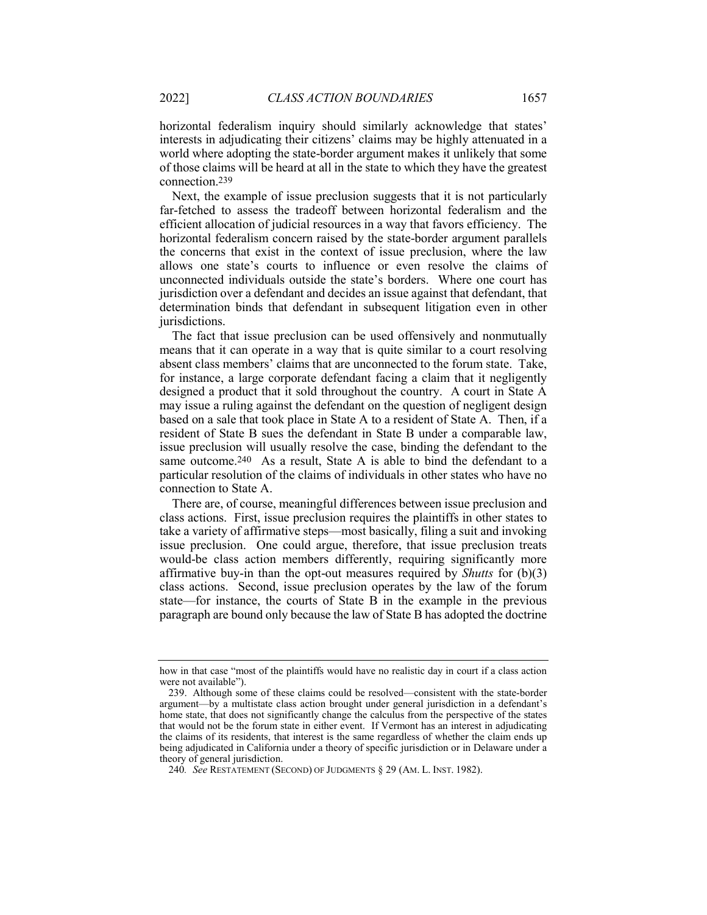horizontal federalism inquiry should similarly acknowledge that states' interests in adjudicating their citizens' claims may be highly attenuated in a world where adopting the state-border argument makes it unlikely that some of those claims will be heard at all in the state to which they have the greatest connection.239

Next, the example of issue preclusion suggests that it is not particularly far-fetched to assess the tradeoff between horizontal federalism and the efficient allocation of judicial resources in a way that favors efficiency. The horizontal federalism concern raised by the state-border argument parallels the concerns that exist in the context of issue preclusion, where the law allows one state's courts to influence or even resolve the claims of unconnected individuals outside the state's borders. Where one court has jurisdiction over a defendant and decides an issue against that defendant, that determination binds that defendant in subsequent litigation even in other jurisdictions.

The fact that issue preclusion can be used offensively and nonmutually means that it can operate in a way that is quite similar to a court resolving absent class members' claims that are unconnected to the forum state. Take, for instance, a large corporate defendant facing a claim that it negligently designed a product that it sold throughout the country. A court in State A may issue a ruling against the defendant on the question of negligent design based on a sale that took place in State A to a resident of State A. Then, if a resident of State B sues the defendant in State B under a comparable law, issue preclusion will usually resolve the case, binding the defendant to the same outcome.<sup>240</sup> As a result, State A is able to bind the defendant to a particular resolution of the claims of individuals in other states who have no connection to State A.

There are, of course, meaningful differences between issue preclusion and class actions. First, issue preclusion requires the plaintiffs in other states to take a variety of affirmative steps—most basically, filing a suit and invoking issue preclusion. One could argue, therefore, that issue preclusion treats would-be class action members differently, requiring significantly more affirmative buy-in than the opt-out measures required by *Shutts* for (b)(3) class actions. Second, issue preclusion operates by the law of the forum state—for instance, the courts of State B in the example in the previous paragraph are bound only because the law of State B has adopted the doctrine

how in that case "most of the plaintiffs would have no realistic day in court if a class action were not available").

<sup>239.</sup> Although some of these claims could be resolved—consistent with the state-border argument—by a multistate class action brought under general jurisdiction in a defendant's home state, that does not significantly change the calculus from the perspective of the states that would not be the forum state in either event. If Vermont has an interest in adjudicating the claims of its residents, that interest is the same regardless of whether the claim ends up being adjudicated in California under a theory of specific jurisdiction or in Delaware under a theory of general jurisdiction.

<sup>240</sup>*. See* RESTATEMENT (SECOND) OF JUDGMENTS § 29 (AM. L. INST. 1982).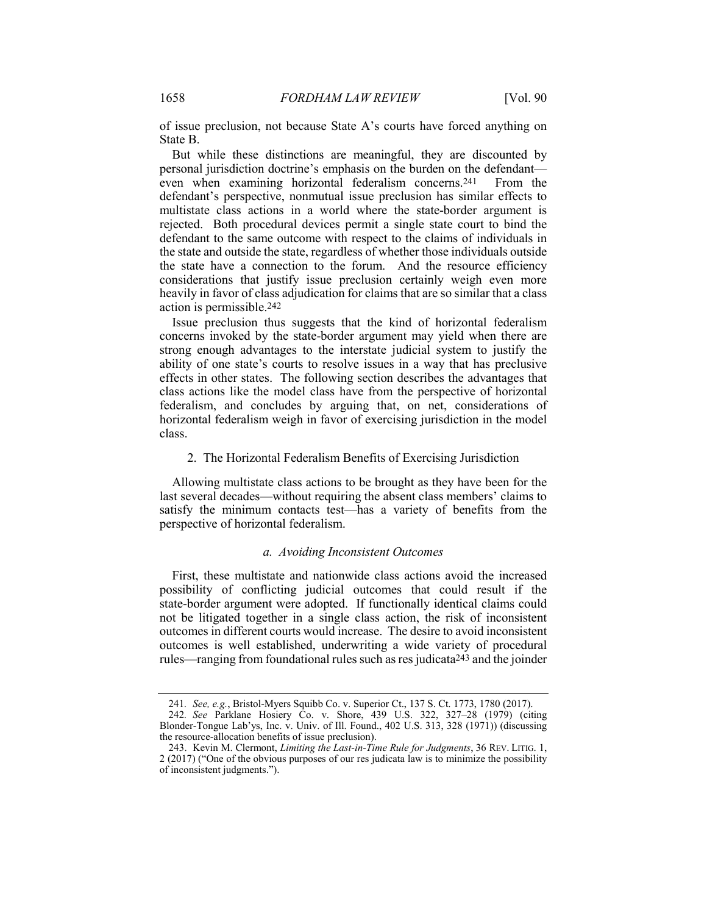of issue preclusion, not because State A's courts have forced anything on State B.

But while these distinctions are meaningful, they are discounted by personal jurisdiction doctrine's emphasis on the burden on the defendant even when examining horizontal federalism concerns.241 From the defendant's perspective, nonmutual issue preclusion has similar effects to multistate class actions in a world where the state-border argument is rejected. Both procedural devices permit a single state court to bind the defendant to the same outcome with respect to the claims of individuals in the state and outside the state, regardless of whether those individuals outside the state have a connection to the forum. And the resource efficiency considerations that justify issue preclusion certainly weigh even more heavily in favor of class adjudication for claims that are so similar that a class action is permissible.242

Issue preclusion thus suggests that the kind of horizontal federalism concerns invoked by the state-border argument may yield when there are strong enough advantages to the interstate judicial system to justify the ability of one state's courts to resolve issues in a way that has preclusive effects in other states. The following section describes the advantages that class actions like the model class have from the perspective of horizontal federalism, and concludes by arguing that, on net, considerations of horizontal federalism weigh in favor of exercising jurisdiction in the model class.

## 2. The Horizontal Federalism Benefits of Exercising Jurisdiction

Allowing multistate class actions to be brought as they have been for the last several decades—without requiring the absent class members' claims to satisfy the minimum contacts test—has a variety of benefits from the perspective of horizontal federalism.

#### *a. Avoiding Inconsistent Outcomes*

First, these multistate and nationwide class actions avoid the increased possibility of conflicting judicial outcomes that could result if the state-border argument were adopted. If functionally identical claims could not be litigated together in a single class action, the risk of inconsistent outcomes in different courts would increase. The desire to avoid inconsistent outcomes is well established, underwriting a wide variety of procedural rules—ranging from foundational rules such as res judicata<sup>243</sup> and the joinder

<sup>241</sup>*. See, e.g.*, Bristol-Myers Squibb Co. v. Superior Ct., 137 S. Ct. 1773, 1780 (2017).

<sup>242</sup>*. See* Parklane Hosiery Co. v. Shore, 439 U.S. 322, 327–28 (1979) (citing Blonder-Tongue Lab'ys, Inc. v. Univ. of Ill. Found., 402 U.S. 313, 328 (1971)) (discussing the resource-allocation benefits of issue preclusion).

<sup>243.</sup> Kevin M. Clermont, *Limiting the Last-in-Time Rule for Judgments*, 36 REV. LITIG. 1, 2 (2017) ("One of the obvious purposes of our res judicata law is to minimize the possibility of inconsistent judgments.").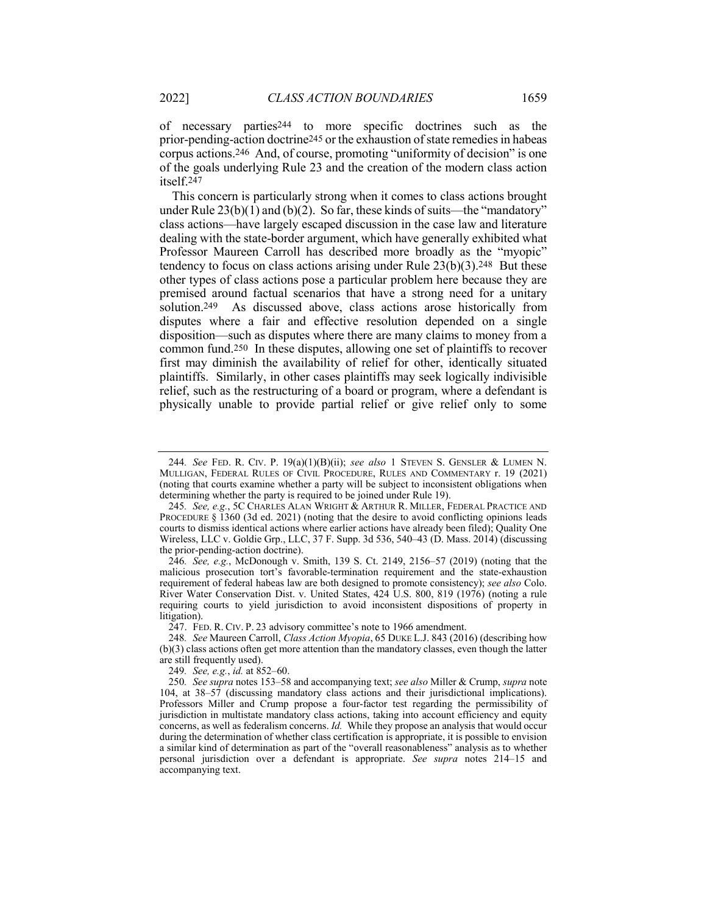of necessary parties244 to more specific doctrines such as the prior-pending-action doctrine245 or the exhaustion of state remedies in habeas corpus actions.246 And, of course, promoting "uniformity of decision" is one of the goals underlying Rule 23 and the creation of the modern class action itself.247

This concern is particularly strong when it comes to class actions brought under Rule  $23(b)(1)$  and  $(b)(2)$ . So far, these kinds of suits—the "mandatory" class actions—have largely escaped discussion in the case law and literature dealing with the state-border argument, which have generally exhibited what Professor Maureen Carroll has described more broadly as the "myopic" tendency to focus on class actions arising under Rule  $23(b)(3)$ .<sup>248</sup> But these other types of class actions pose a particular problem here because they are premised around factual scenarios that have a strong need for a unitary solution.249 As discussed above, class actions arose historically from disputes where a fair and effective resolution depended on a single disposition—such as disputes where there are many claims to money from a common fund.250 In these disputes, allowing one set of plaintiffs to recover first may diminish the availability of relief for other, identically situated plaintiffs. Similarly, in other cases plaintiffs may seek logically indivisible relief, such as the restructuring of a board or program, where a defendant is physically unable to provide partial relief or give relief only to some

247. FED. R. CIV. P. 23 advisory committee's note to 1966 amendment.

249*. See, e.g.*, *id.* at 852–60.

<sup>244</sup>*. See* FED. R. CIV. P. 19(a)(1)(B)(ii); *see also* 1 STEVEN S. GENSLER & LUMEN N. MULLIGAN, FEDERAL RULES OF CIVIL PROCEDURE, RULES AND COMMENTARY r. 19 (2021) (noting that courts examine whether a party will be subject to inconsistent obligations when determining whether the party is required to be joined under Rule 19).

<sup>245</sup>*. See, e.g.*, 5C CHARLES ALAN WRIGHT & ARTHUR R. MILLER, FEDERAL PRACTICE AND PROCEDURE § 1360 (3d ed. 2021) (noting that the desire to avoid conflicting opinions leads courts to dismiss identical actions where earlier actions have already been filed); Quality One Wireless, LLC v. Goldie Grp., LLC, 37 F. Supp. 3d 536, 540–43 (D. Mass. 2014) (discussing the prior-pending-action doctrine).

<sup>246</sup>*. See, e.g.*, McDonough v. Smith, 139 S. Ct. 2149, 2156–57 (2019) (noting that the malicious prosecution tort's favorable-termination requirement and the state-exhaustion requirement of federal habeas law are both designed to promote consistency); *see also* Colo. River Water Conservation Dist. v. United States, 424 U.S. 800, 819 (1976) (noting a rule requiring courts to yield jurisdiction to avoid inconsistent dispositions of property in litigation).

<sup>248</sup>*. See* Maureen Carroll, *Class Action Myopia*, 65 DUKE L.J. 843 (2016) (describing how (b)(3) class actions often get more attention than the mandatory classes, even though the latter are still frequently used).

<sup>250</sup>*. See supra* notes 153–58 and accompanying text; *see also* Miller & Crump, *supra* note 104, at 38–57 (discussing mandatory class actions and their jurisdictional implications). Professors Miller and Crump propose a four-factor test regarding the permissibility of jurisdiction in multistate mandatory class actions, taking into account efficiency and equity concerns, as well as federalism concerns. *Id.* While they propose an analysis that would occur during the determination of whether class certification is appropriate, it is possible to envision a similar kind of determination as part of the "overall reasonableness" analysis as to whether personal jurisdiction over a defendant is appropriate. *See supra* notes 214–15 and accompanying text.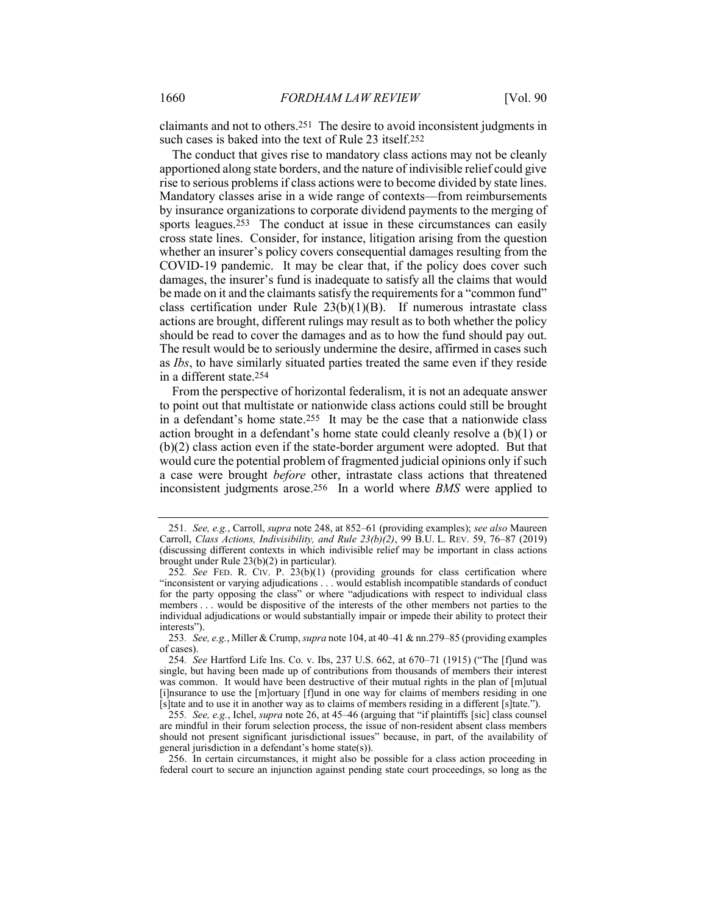claimants and not to others.251 The desire to avoid inconsistent judgments in such cases is baked into the text of Rule 23 itself.252

The conduct that gives rise to mandatory class actions may not be cleanly apportioned along state borders, and the nature of indivisible relief could give rise to serious problems if class actions were to become divided by state lines. Mandatory classes arise in a wide range of contexts—from reimbursements by insurance organizations to corporate dividend payments to the merging of sports leagues.<sup>253</sup> The conduct at issue in these circumstances can easily cross state lines. Consider, for instance, litigation arising from the question whether an insurer's policy covers consequential damages resulting from the COVID-19 pandemic. It may be clear that, if the policy does cover such damages, the insurer's fund is inadequate to satisfy all the claims that would be made on it and the claimants satisfy the requirements for a "common fund" class certification under Rule  $23(b)(1)(B)$ . If numerous intrastate class actions are brought, different rulings may result as to both whether the policy should be read to cover the damages and as to how the fund should pay out. The result would be to seriously undermine the desire, affirmed in cases such as *Ibs*, to have similarly situated parties treated the same even if they reside in a different state.254

From the perspective of horizontal federalism, it is not an adequate answer to point out that multistate or nationwide class actions could still be brought in a defendant's home state.255 It may be the case that a nationwide class action brought in a defendant's home state could cleanly resolve a (b)(1) or (b)(2) class action even if the state-border argument were adopted. But that would cure the potential problem of fragmented judicial opinions only if such a case were brought *before* other, intrastate class actions that threatened inconsistent judgments arose.256 In a world where *BMS* were applied to

<sup>251</sup>*. See, e.g.*, Carroll, *supra* note 248, at 852–61 (providing examples); *see also* Maureen Carroll, *Class Actions, Indivisibility, and Rule 23(b)(2)*, 99 B.U. L. REV. 59, 76–87 (2019) (discussing different contexts in which indivisible relief may be important in class actions brought under Rule 23(b)(2) in particular).

<sup>252</sup>*. See* FED. R. CIV. P. 23(b)(1) (providing grounds for class certification where "inconsistent or varying adjudications . . . would establish incompatible standards of conduct for the party opposing the class" or where "adjudications with respect to individual class members . . . would be dispositive of the interests of the other members not parties to the individual adjudications or would substantially impair or impede their ability to protect their interests").

<sup>253</sup>*. See, e.g.*, Miller & Crump, *supra* note 104, at 40–41 & nn.279–85 (providing examples of cases).

<sup>254</sup>*. See* Hartford Life Ins. Co. v. Ibs, 237 U.S. 662, at 670–71 (1915) ("The [f]und was single, but having been made up of contributions from thousands of members their interest was common. It would have been destructive of their mutual rights in the plan of [m]utual [i]nsurance to use the [m]ortuary [f]und in one way for claims of members residing in one [s]tate and to use it in another way as to claims of members residing in a different [s]tate.").

<sup>255</sup>*. See, e.g.*, Ichel, *supra* note 26, at 45–46 (arguing that "if plaintiffs [sic] class counsel are mindful in their forum selection process, the issue of non-resident absent class members should not present significant jurisdictional issues" because, in part, of the availability of general jurisdiction in a defendant's home state(s)).

<sup>256.</sup> In certain circumstances, it might also be possible for a class action proceeding in federal court to secure an injunction against pending state court proceedings, so long as the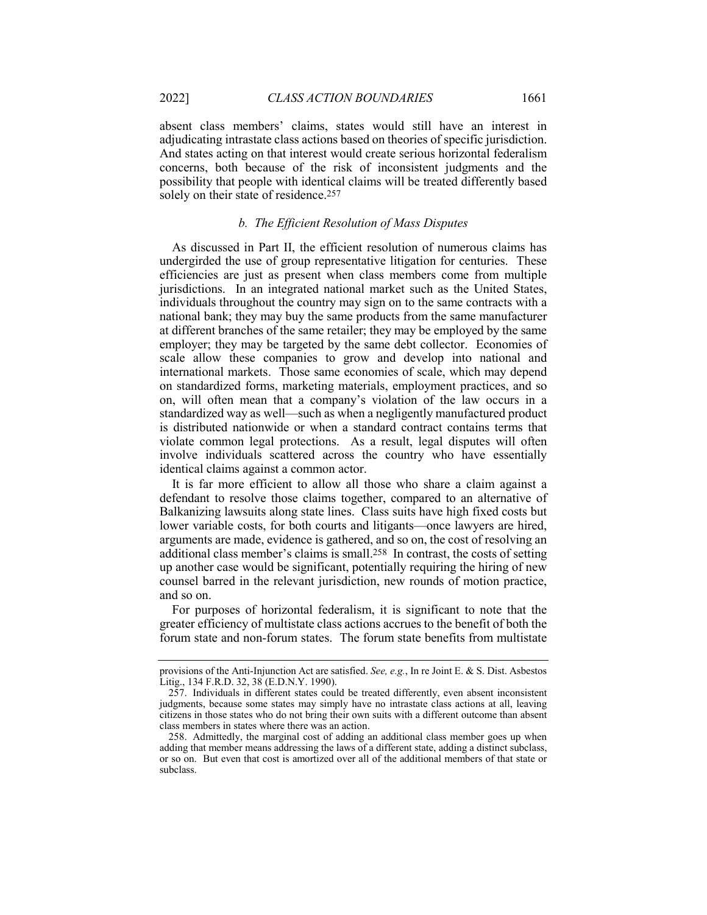absent class members' claims, states would still have an interest in adjudicating intrastate class actions based on theories of specific jurisdiction. And states acting on that interest would create serious horizontal federalism concerns, both because of the risk of inconsistent judgments and the possibility that people with identical claims will be treated differently based solely on their state of residence.257

## *b. The Efficient Resolution of Mass Disputes*

As discussed in Part II, the efficient resolution of numerous claims has undergirded the use of group representative litigation for centuries. These efficiencies are just as present when class members come from multiple jurisdictions. In an integrated national market such as the United States, individuals throughout the country may sign on to the same contracts with a national bank; they may buy the same products from the same manufacturer at different branches of the same retailer; they may be employed by the same employer; they may be targeted by the same debt collector. Economies of scale allow these companies to grow and develop into national and international markets. Those same economies of scale, which may depend on standardized forms, marketing materials, employment practices, and so on, will often mean that a company's violation of the law occurs in a standardized way as well—such as when a negligently manufactured product is distributed nationwide or when a standard contract contains terms that violate common legal protections. As a result, legal disputes will often involve individuals scattered across the country who have essentially identical claims against a common actor.

It is far more efficient to allow all those who share a claim against a defendant to resolve those claims together, compared to an alternative of Balkanizing lawsuits along state lines. Class suits have high fixed costs but lower variable costs, for both courts and litigants—once lawyers are hired, arguments are made, evidence is gathered, and so on, the cost of resolving an additional class member's claims is small.258 In contrast, the costs of setting up another case would be significant, potentially requiring the hiring of new counsel barred in the relevant jurisdiction, new rounds of motion practice, and so on.

For purposes of horizontal federalism, it is significant to note that the greater efficiency of multistate class actions accrues to the benefit of both the forum state and non-forum states. The forum state benefits from multistate

provisions of the Anti-Injunction Act are satisfied. *See, e.g.*, In re Joint E. & S. Dist. Asbestos Litig., 134 F.R.D. 32, 38 (E.D.N.Y. 1990).

<sup>257.</sup> Individuals in different states could be treated differently, even absent inconsistent judgments, because some states may simply have no intrastate class actions at all, leaving citizens in those states who do not bring their own suits with a different outcome than absent class members in states where there was an action.

<sup>258.</sup> Admittedly, the marginal cost of adding an additional class member goes up when adding that member means addressing the laws of a different state, adding a distinct subclass, or so on. But even that cost is amortized over all of the additional members of that state or subclass.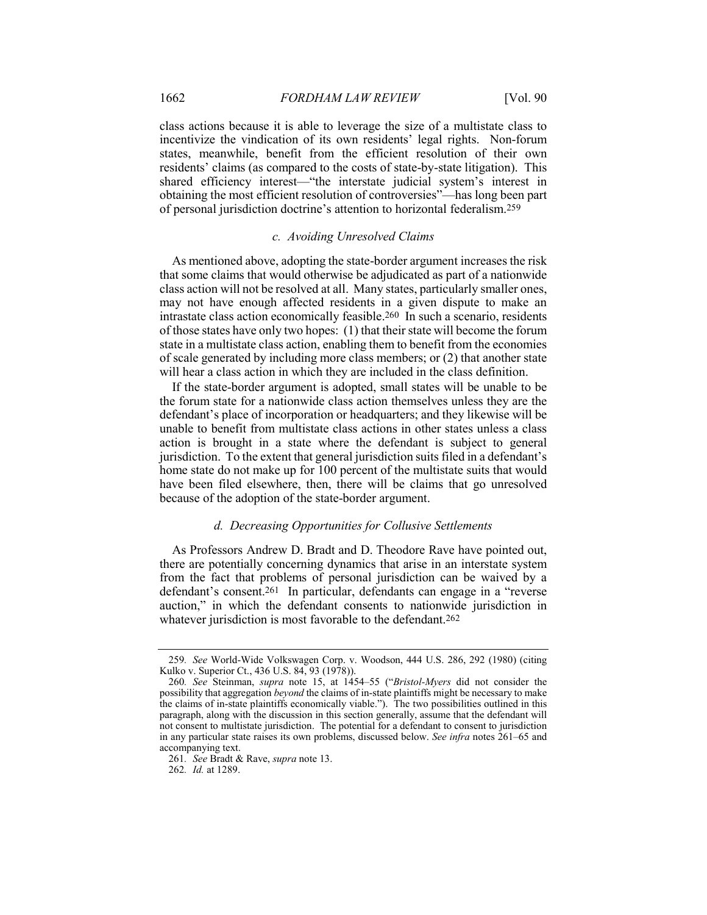class actions because it is able to leverage the size of a multistate class to incentivize the vindication of its own residents' legal rights. Non-forum states, meanwhile, benefit from the efficient resolution of their own residents' claims (as compared to the costs of state-by-state litigation). This shared efficiency interest—"the interstate judicial system's interest in obtaining the most efficient resolution of controversies"—has long been part of personal jurisdiction doctrine's attention to horizontal federalism.259

## *c. Avoiding Unresolved Claims*

As mentioned above, adopting the state-border argument increases the risk that some claims that would otherwise be adjudicated as part of a nationwide class action will not be resolved at all. Many states, particularly smaller ones, may not have enough affected residents in a given dispute to make an intrastate class action economically feasible.260 In such a scenario, residents of those states have only two hopes: (1) that their state will become the forum state in a multistate class action, enabling them to benefit from the economies of scale generated by including more class members; or (2) that another state will hear a class action in which they are included in the class definition.

If the state-border argument is adopted, small states will be unable to be the forum state for a nationwide class action themselves unless they are the defendant's place of incorporation or headquarters; and they likewise will be unable to benefit from multistate class actions in other states unless a class action is brought in a state where the defendant is subject to general jurisdiction. To the extent that general jurisdiction suits filed in a defendant's home state do not make up for 100 percent of the multistate suits that would have been filed elsewhere, then, there will be claims that go unresolved because of the adoption of the state-border argument.

## *d. Decreasing Opportunities for Collusive Settlements*

As Professors Andrew D. Bradt and D. Theodore Rave have pointed out, there are potentially concerning dynamics that arise in an interstate system from the fact that problems of personal jurisdiction can be waived by a defendant's consent.261 In particular, defendants can engage in a "reverse auction," in which the defendant consents to nationwide jurisdiction in whatever jurisdiction is most favorable to the defendant.<sup>262</sup>

262*. Id.* at 1289.

<sup>259</sup>*. See* World-Wide Volkswagen Corp. v. Woodson, 444 U.S. 286, 292 (1980) (citing Kulko v. Superior Ct., 436 U.S. 84, 93 (1978)).

<sup>260</sup>*. See* Steinman, *supra* note 15, at 1454–55 ("*Bristol-Myers* did not consider the possibility that aggregation *beyond* the claims of in-state plaintiffs might be necessary to make the claims of in-state plaintiffs economically viable."). The two possibilities outlined in this paragraph, along with the discussion in this section generally, assume that the defendant will not consent to multistate jurisdiction. The potential for a defendant to consent to jurisdiction in any particular state raises its own problems, discussed below. *See infra* notes 261–65 and accompanying text.

<sup>261</sup>*. See* Bradt & Rave, *supra* note 13.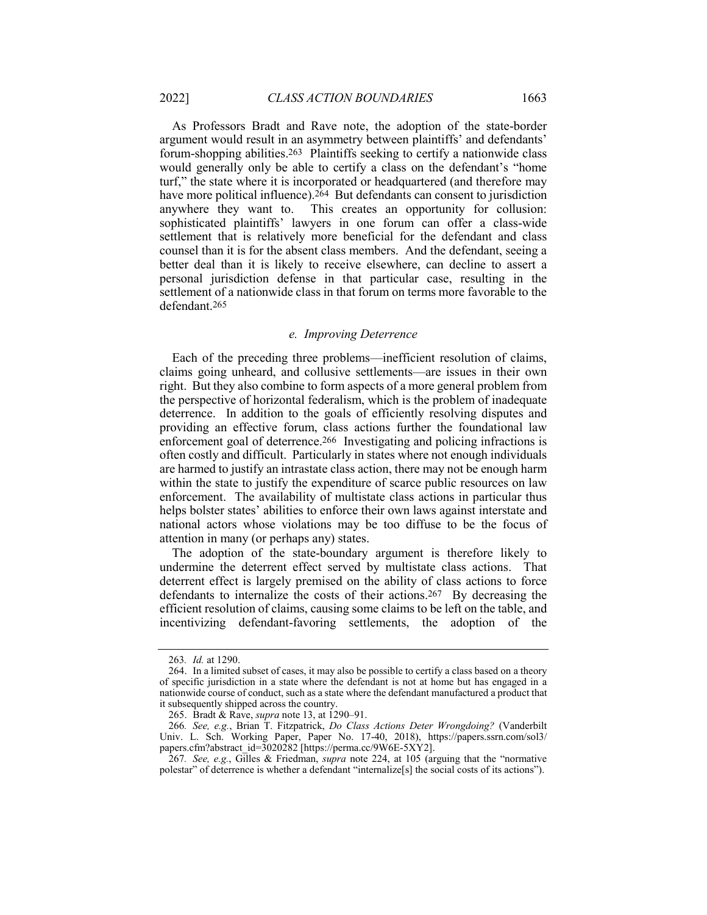As Professors Bradt and Rave note, the adoption of the state-border argument would result in an asymmetry between plaintiffs' and defendants' forum-shopping abilities.263 Plaintiffs seeking to certify a nationwide class would generally only be able to certify a class on the defendant's "home turf," the state where it is incorporated or headquartered (and therefore may have more political influence).<sup>264</sup> But defendants can consent to jurisdiction anywhere they want to. This creates an opportunity for collusion: This creates an opportunity for collusion: sophisticated plaintiffs' lawyers in one forum can offer a class-wide settlement that is relatively more beneficial for the defendant and class counsel than it is for the absent class members. And the defendant, seeing a better deal than it is likely to receive elsewhere, can decline to assert a personal jurisdiction defense in that particular case, resulting in the settlement of a nationwide class in that forum on terms more favorable to the defendant.265

## *e. Improving Deterrence*

Each of the preceding three problems—inefficient resolution of claims, claims going unheard, and collusive settlements—are issues in their own right. But they also combine to form aspects of a more general problem from the perspective of horizontal federalism, which is the problem of inadequate deterrence. In addition to the goals of efficiently resolving disputes and providing an effective forum, class actions further the foundational law enforcement goal of deterrence.266 Investigating and policing infractions is often costly and difficult. Particularly in states where not enough individuals are harmed to justify an intrastate class action, there may not be enough harm within the state to justify the expenditure of scarce public resources on law enforcement. The availability of multistate class actions in particular thus helps bolster states' abilities to enforce their own laws against interstate and national actors whose violations may be too diffuse to be the focus of attention in many (or perhaps any) states.

The adoption of the state-boundary argument is therefore likely to undermine the deterrent effect served by multistate class actions. That deterrent effect is largely premised on the ability of class actions to force defendants to internalize the costs of their actions.267 By decreasing the efficient resolution of claims, causing some claims to be left on the table, and incentivizing defendant-favoring settlements, the adoption of the

<sup>263</sup>*. Id.* at 1290.

<sup>264.</sup> In a limited subset of cases, it may also be possible to certify a class based on a theory of specific jurisdiction in a state where the defendant is not at home but has engaged in a nationwide course of conduct, such as a state where the defendant manufactured a product that it subsequently shipped across the country.

<sup>265.</sup> Bradt & Rave, *supra* note 13, at 1290–91.

<sup>266</sup>*. See, e.g.*, Brian T. Fitzpatrick, *Do Class Actions Deter Wrongdoing?* (Vanderbilt Univ. L. Sch. Working Paper, Paper No. 17-40, 2018), https://papers.ssrn.com/sol3/ papers.cfm?abstract\_id=3020282 [https://perma.cc/9W6E-5XY2].

<sup>267</sup>*. See, e.g.*, Gilles & Friedman, *supra* note 224, at 105 (arguing that the "normative polestar" of deterrence is whether a defendant "internalize[s] the social costs of its actions").